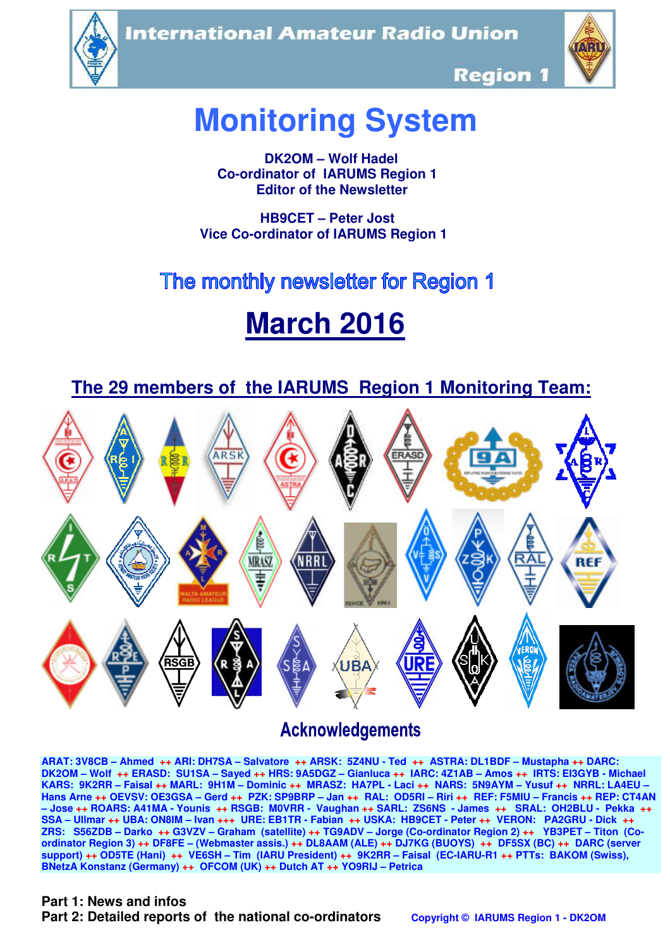**International Amateur Radio Union** 





**Region 1** 

# **Monitoring System**

 **DK2OM – Wolf Hadel Co-ordinator of IARUMS Region 1 Editor of the Newsletter** 

 **HB9CET – Peter Jost Vice Co-ordinator of IARUMS Region 1** 

# The monthly newsletter for Region 1

# **March 2016**

 **The 29 members of the IARUMS Region 1 Monitoring Team:**



# **Acknowledgements**

**ARAT: 3V8CB – Ahmed ++ ARI: DH7SA – Salvatore ++ ARSK: 5Z4NU - Ted ++ ASTRA: DL1BDF – Mustapha ++ DARC: DK2OM – Wolf ++ ERASD: SU1SA – Sayed ++ HRS: 9A5DGZ – Gianluca ++ IARC: 4Z1AB – Amos ++ IRTS: EI3GYB - Michael KARS: 9K2RR – Faisal ++ MARL: 9H1M – Dominic ++ MRASZ: HA7PL - Laci ++ NARS: 5N9AYM – Yusuf ++ NRRL: LA4EU – Hans Arne ++ OEVSV: OE3GSA – Gerd ++ PZK: SP9BRP – Jan ++ RAL: OD5RI – Riri ++ REF: F5MIU – Francis ++ REP: CT4AN – Jose ++ ROARS: A41MA - Younis ++ RSGB: M0VRR - Vaughan ++ SARL: ZS6NS - James ++ SRAL: OH2BLU - Pekka ++ SSA – Ullmar ++ UBA: ON8IM – Ivan +++ URE: EB1TR - Fabian ++ USKA: HB9CET - Peter ++ VERON: PA2GRU - Dick ++ ZRS: S56ZDB – Darko ++ G3VZV – Graham (satellite) ++ TG9ADV – Jorge (Co-ordinator Region 2) ++ YB3PET – Titon (Coordinator Region 3) ++ DF8FE – (Webmaster assis.) ++ DL8AAM (ALE) ++ DJ7KG (BUOYS) ++ DF5SX (BC) ++ DARC (server support) ++ OD5TE (Hani) ++ VE6SH – Tim (IARU President) ++ 9K2RR – Faisal (EC-IARU-R1 ++ PTTs: BAKOM (Swiss), BNetzA Konstanz (Germany) ++ OFCOM (UK) ++ Dutch AT ++ YO9RIJ – Petrica** 

#### **Part 1: News and infos**

**Part 2: Detailed reports of the national co-ordinators copyright © IARUMS Region 1 - DK2OM**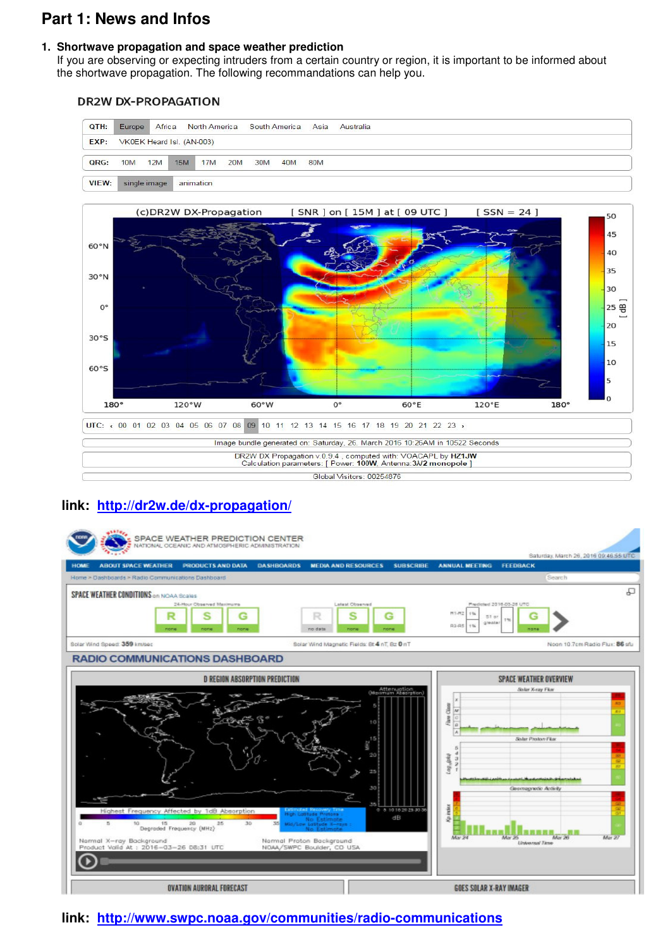## **Part 1: News and Infos**

#### **1. Shortwave propagation and space weather prediction**

 If you are observing or expecting intruders from a certain country or region, it is important to be informed about the shortwave propagation. The following recommandations can help you.

#### **DR2W DX-PROPAGATION**





#### **link: http://dr2w.de/dx-propagation/**



#### **link: http://www.swpc.noaa.gov/communities/radio-communications**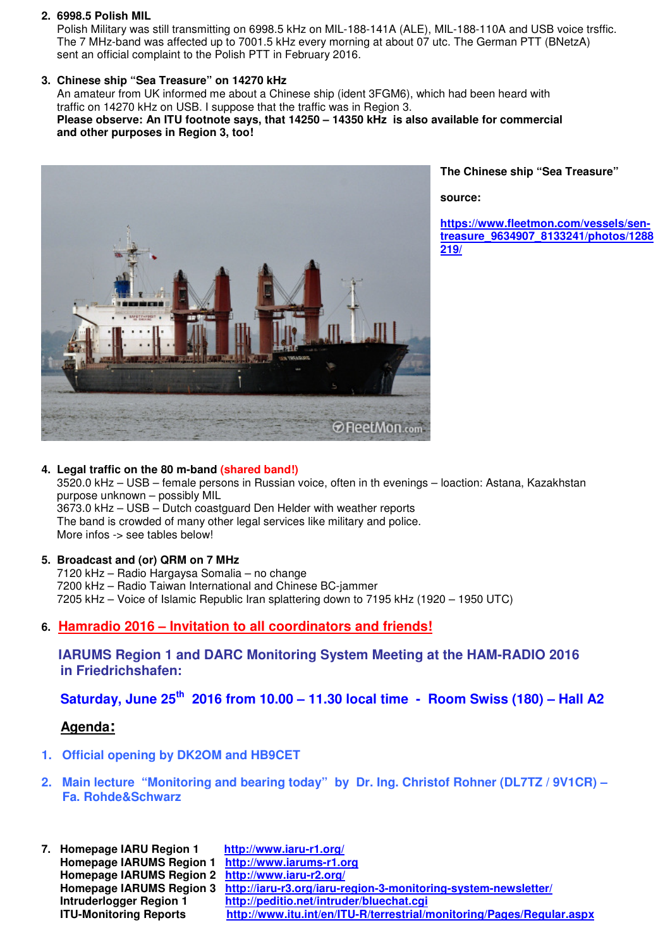#### **2. 6998.5 Polish MIL**

Polish Military was still transmitting on 6998.5 kHz on MIL-188-141A (ALE), MIL-188-110A and USB voice trsffic. The 7 MHz-band was affected up to 7001.5 kHz every morning at about 07 utc. The German PTT (BNetzA) sent an official complaint to the Polish PTT in February 2016.

#### **3. Chinese ship "Sea Treasure" on 14270 kHz**

An amateur from UK informed me about a Chinese ship (ident 3FGM6), which had been heard with traffic on 14270 kHz on USB. I suppose that the traffic was in Region 3. **Please observe: An ITU footnote says, that 14250 – 14350 kHz is also available for commercial and other purposes in Region 3, too!** 



**The Chinese ship "Sea Treasure"** 

**source:** 

**https://www.fleetmon.com/vessels/sentreasure\_9634907\_8133241/photos/1288 219/**

#### **4. Legal traffic on the 80 m-band (shared band!)**

 3520.0 kHz – USB – female persons in Russian voice, often in th evenings – loaction: Astana, Kazakhstan purpose unknown – possibly MIL 3673.0 kHz – USB – Dutch coastguard Den Helder with weather reports The band is crowded of many other legal services like military and police. More infos -> see tables below!

#### **5. Broadcast and (or) QRM on 7 MHz**

7120 kHz – Radio Hargaysa Somalia – no change 7200 kHz – Radio Taiwan International and Chinese BC-jammer 7205 kHz – Voice of Islamic Republic Iran splattering down to 7195 kHz (1920 – 1950 UTC)

#### **6. Hamradio 2016 – Invitation to all coordinators and friends!**

 **IARUMS Region 1 and DARC Monitoring System Meeting at the HAM-RADIO 2016 in Friedrichshafen:** 

 **Saturday, June 25th 2016 from 10.00 – 11.30 local time - Room Swiss (180) – Hall A2** 

#### **Agenda:**

- **1. Official opening by DK2OM and HB9CET**
- **2. Main lecture "Monitoring and bearing today" by Dr. Ing. Christof Rohner (DL7TZ / 9V1CR) Fa. Rohde&Schwarz**
- **7. Homepage IARU Region 1 http://www.iaru-r1.org/ Homepage IARUMS Region 1 http://www.iarums-r1.org Homepage IARUMS Region 2 http://www.iaru-r2.org/ Homepage IARUMS Region 3 http://iaru-r3.org/iaru-region-3-monitoring-system-newsletter/ Intruderlogger Region 1 http://peditio.net/intruder/bluechat.cgi ITU-Monitoring Reports http://www.itu.int/en/ITU-R/terrestrial/monitoring/Pages/Regular.aspx**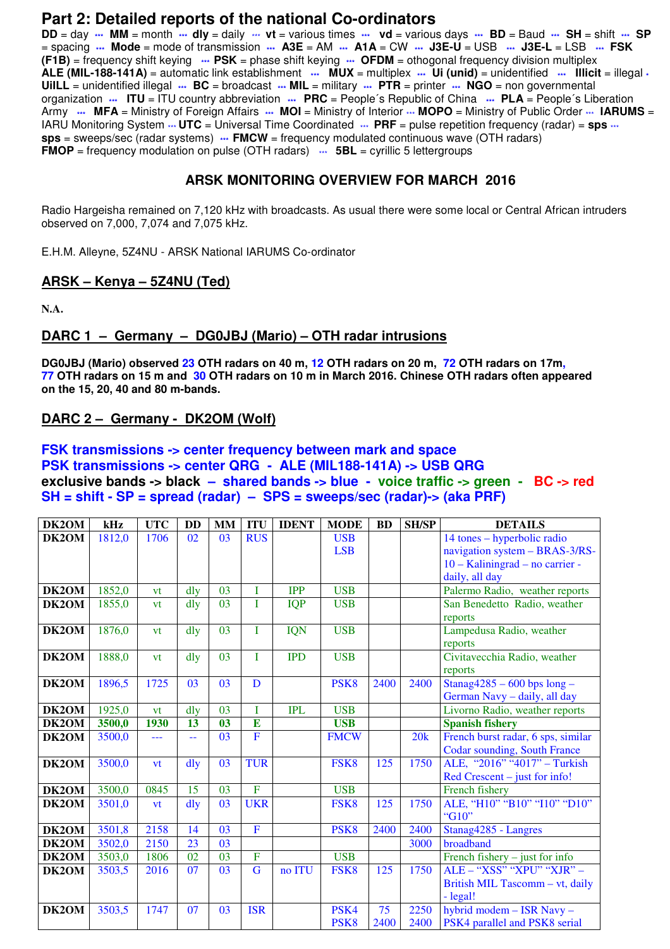## **Part 2: Detailed reports of the national Co-ordinators**

**DD** = day **\*\*\* MM** = month **\*\*\* dly** = daily \*\*\* **vt** = various times **\*\*\* vd** = various days **\*\*\* BD** = Baud **\*\*\* SH** = shift **\*\*\* SP** = spacing **\*\*\* Mode** = mode of transmission **\*\*\* A3E** = AM **\*\*\* A1A** = CW **\*\*\* J3E-U** = USB **\*\*\* J3E-L** = LSB **\*\*\* FSK (F1B)** = frequency shift keying **\*\*\* PSK** = phase shift keying **\*\*\* OFDM** = othogonal frequency division multiplex **ALE (MIL-188-141A)** = automatic link establishment **\*\*\* MUX** = multiplex **\*\*\* Ui (unid)** = unidentified **\*\*\* Illicit** = illegal **\* UiILL** = unidentified illegal **\*\*\* BC** = broadcast **\*\*\* MIL** = military **\*\*\* PTR** = printer **\*\*\* NGO** = non governmental organization **\*\*\* ITU** = ITU country abbreviation **\*\*\* PRC** = People´s Republic of China **\*\*\* PLA** = People´s Liberation Army  $\cdots$  MFA = Ministry of Foreign Affairs  $\cdots$  MOI = Ministry of Interior  $\cdots$  MOPO = Ministry of Public Order  $\cdots$  IARUMS = IARU Monitoring System  $\cdot\cdot\cdot$  **UTC** = Universal Time Coordinated  $\cdot\cdot\cdot$  **PRF** = pulse repetition frequency (radar) = **sps**  $\cdot\cdot\cdot$ **sps** = sweeps/sec (radar systems) **\*\*\* FMCW** = frequency modulated continuous wave (OTH radars) **FMOP** = frequency modulation on pulse (OTH radars)  $\cdots$  **5BL** = cyrillic 5 lettergroups

#### **ARSK MONITORING OVERVIEW FOR MARCH 2016**

Radio Hargeisha remained on 7,120 kHz with broadcasts. As usual there were some local or Central African intruders observed on 7,000, 7,074 and 7,075 kHz.

E.H.M. Alleyne, 5Z4NU - ARSK National IARUMS Co-ordinator

#### **ARSK – Kenya – 5Z4NU (Ted)**

**N.A.** 

#### **DARC 1 – Germany – DG0JBJ (Mario) – OTH radar intrusions**

**DG0JBJ (Mario) observed 23 OTH radars on 40 m, 12 OTH radars on 20 m, 72 OTH radars on 17m, 77 OTH radars on 15 m and 30 OTH radars on 10 m in March 2016. Chinese OTH radars often appeared on the 15, 20, 40 and 80 m-bands.** 

#### **DARC 2 – Germany - DK2OM (Wolf)**

#### **FSK transmissions -> center frequency between mark and space PSK transmissions -> center QRG - ALE (MIL188-141A) -> USB QRG exclusive bands -> black – shared bands -> blue - voice traffic -> green - BC -> red SH = shift - SP = spread (radar) – SPS = sweeps/sec (radar)-> (aka PRF)**

| DK2OM | kHz    | <b>UTC</b> | <b>DD</b>      | <b>MM</b> | <b>ITU</b>     | <b>IDENT</b> | <b>MODE</b>      | <b>BD</b> | <b>SH/SP</b> | <b>DETAILS</b>                          |
|-------|--------|------------|----------------|-----------|----------------|--------------|------------------|-----------|--------------|-----------------------------------------|
| DK2OM | 1812,0 | 1706       | 02             | 03        | <b>RUS</b>     |              | <b>USB</b>       |           |              | 14 tones - hyperbolic radio             |
|       |        |            |                |           |                |              | <b>LSB</b>       |           |              | navigation system - BRAS-3/RS-          |
|       |        |            |                |           |                |              |                  |           |              | 10 - Kaliningrad - no carrier -         |
|       |        |            |                |           |                |              |                  |           |              | daily, all day                          |
| DK2OM | 1852,0 | vt         | dly            | 03        | I              | <b>IPP</b>   | <b>USB</b>       |           |              | Palermo Radio, weather reports          |
| DK2OM | 1855,0 | vt         | dly            | 03        | L              | <b>IQP</b>   | <b>USB</b>       |           |              | San Benedetto Radio, weather            |
|       |        |            |                |           |                |              |                  |           |              | reports                                 |
| DK2OM | 1876,0 | vt         | dly            | 03        | I              | <b>IQN</b>   | <b>USB</b>       |           |              | Lampedusa Radio, weather                |
|       |        |            |                |           | T              |              |                  |           |              | reports                                 |
| DK2OM | 1888,0 | vt         | dlv            | 03        |                | <b>IPD</b>   | <b>USB</b>       |           |              | Civitavecchia Radio, weather<br>reports |
| DK2OM | 1896,5 | 1725       | 03             | 03        | D              |              | PSK <sub>8</sub> | 2400      | 2400         | Stanag $4285 - 600$ bps long -          |
|       |        |            |                |           |                |              |                  |           |              | German Navy - daily, all day            |
| DK2OM | 1925,0 | vt         | dly            | 03        | Ī              | <b>IPL</b>   | <b>USB</b>       |           |              | Livorno Radio, weather reports          |
| DK2OM | 3500,0 | 1930       | 13             | 03        | E              |              | <b>USB</b>       |           |              | <b>Spanish fishery</b>                  |
| DK2OM | 3500,0 | <u>---</u> | 44             | 03        | $\overline{F}$ |              | <b>FMCW</b>      |           | 20k          | French burst radar, 6 sps, similar      |
|       |        |            |                |           |                |              |                  |           |              | <b>Codar sounding, South France</b>     |
| DK2OM | 3500,0 | vt         | $\frac{d}{dy}$ | 03        | <b>TUR</b>     |              | FSK8             | 125       | 1750         | ALE, "2016" "4017" - Turkish            |
|       |        |            |                |           |                |              |                  |           |              | $Red$ Crescent – just for info!         |
| DK2OM | 3500,0 | 0845       | 15             | 03        | $\overline{F}$ |              | <b>USB</b>       |           |              | French fishery                          |
| DK2OM | 3501,0 | vt         | $\frac{d}{dy}$ | 03        | <b>UKR</b>     |              | FSK <sub>8</sub> | 125       | 1750         | ALE, "H10" "B10" "I10" "D10"            |
|       |        |            |                |           |                |              |                  |           |              | "G10"                                   |
| DK2OM | 3501,8 | 2158       | 14             | 03        | $\overline{F}$ |              | PSK <sub>8</sub> | 2400      | 2400         | Stanag4285 - Langres                    |
| DK2OM | 3502,0 | 2150       | 23             | 03        |                |              |                  |           | 3000         | broadband                               |
| DK2OM | 3503,0 | 1806       | 02             | 03        | $\overline{F}$ |              | <b>USB</b>       |           |              | French fishery $-$ just for info        |
| DK2OM | 3503,5 | 2016       | 07             | 03        | $\overline{G}$ | no ITU       | FSK8             | 125       | 1750         | ALE - "XSS" "XPU" "XJR" -               |
|       |        |            |                |           |                |              |                  |           |              | British MIL Tascomm - vt, daily         |
|       |        |            |                |           |                |              |                  |           |              | $-$ legal!                              |
| DK2OM | 3503,5 | 1747       | 07             | 03        | <b>ISR</b>     |              | PSK4             | 75        | 2250         | hybrid modem - ISR Navy -               |
|       |        |            |                |           |                |              | PSK <sub>8</sub> | 2400      | 2400         | PSK4 parallel and PSK8 serial           |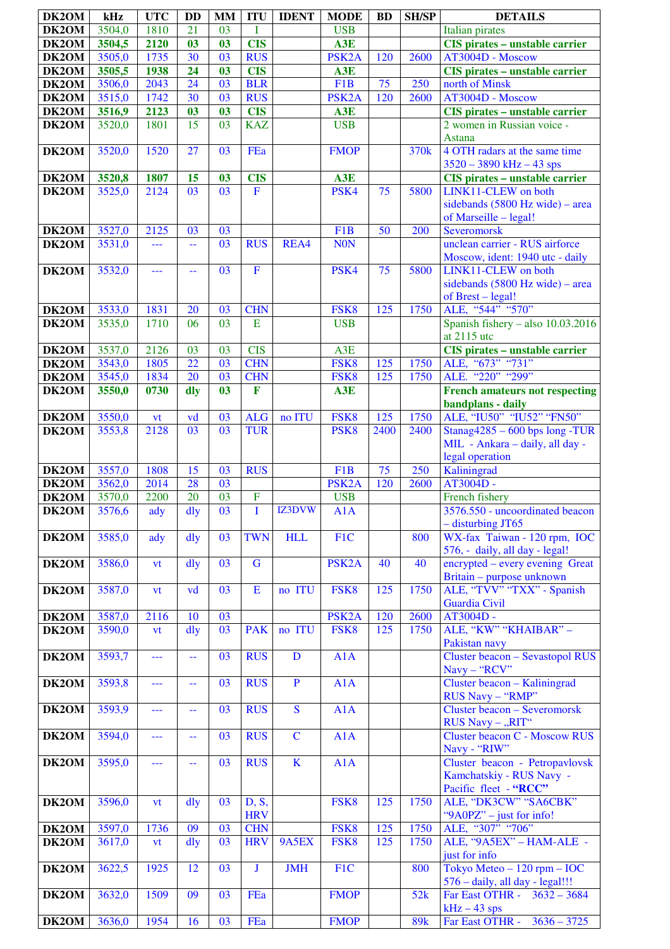| DK2OM              | kHz    | <b>UTC</b>        | <b>DD</b>       | <b>MM</b>       | <b>ITU</b>              | <b>IDENT</b> | <b>MODE</b>        | <b>BD</b> | <b>SH/SP</b>     | <b>DETAILS</b>                                           |
|--------------------|--------|-------------------|-----------------|-----------------|-------------------------|--------------|--------------------|-----------|------------------|----------------------------------------------------------|
| DK2OM              | 3504,0 | 1810              | 21              | 03              | I                       |              | <b>USB</b>         |           |                  | Italian pirates                                          |
| DK2OM              | 3504,5 | 2120              | 03              | 0 <sup>3</sup>  | <b>CIS</b>              |              | A3E                |           |                  | <b>CIS</b> pirates - unstable carrier                    |
| DK2OM              | 3505,0 | 1735              | 30              | 03              | <b>RUS</b>              |              | PSK <sub>2</sub> A | 120       | 2600             | AT3004D - Moscow                                         |
| DK2OM              | 3505,5 | 1938              | 24              | 0 <sup>3</sup>  | <b>CIS</b>              |              | A3E                |           |                  | CIS pirates - unstable carrier                           |
| DK2OM              | 3506,0 | 2043              | 24              | 03              | <b>BLR</b>              |              | F <sub>1</sub> B   | 75        | 250              | north of Minsk                                           |
| DK2OM              | 3515,0 | 1742              | 30              | 03              | <b>RUS</b>              |              | PSK <sub>2</sub> A | 120       | 2600             | AT3004D - Moscow                                         |
| DK2OM              | 3516,9 | 2123              | 03              | 03              | <b>CIS</b>              |              | A3E                |           |                  | <b>CIS</b> pirates - unstable carrier                    |
| DK2OM              | 3520,0 | 1801              | 15              | 03              | <b>KAZ</b>              |              | <b>USB</b>         |           |                  | 2 women in Russian voice -                               |
|                    |        |                   |                 |                 |                         |              |                    |           |                  | Astana                                                   |
| DK2OM              | 3520,0 | 1520              | 27              | 03              | FEa                     |              | <b>FMOP</b>        |           | 370 <sub>k</sub> | 4 OTH radars at the same time                            |
|                    |        |                   |                 |                 |                         |              |                    |           |                  | $3520 - 3890$ kHz $- 43$ sps                             |
| DK2OM              | 3520,8 | 1807              | 15              | 03              | <b>CIS</b>              |              | A3E                |           |                  | <b>CIS</b> pirates - unstable carrier                    |
| DK2OM              | 3525,0 | 2124              | $\overline{03}$ | $\overline{03}$ | $\mathbf F$             |              | PSK4               | 75        | 5800             | LINK11-CLEW on both                                      |
|                    |        |                   |                 |                 |                         |              |                    |           |                  | sidebands $(5800 \text{ Hz wide})$ – area                |
| DK2OM              | 3527,0 | 2125              | 03              | 03              |                         |              | F <sub>1</sub> B   | 50        | 200              | of Marseille - legal!<br>Severomorsk                     |
| DK2OM              | 3531,0 | ---               | 44              | 03              | <b>RUS</b>              | REA4         | <b>NON</b>         |           |                  | unclean carrier - RUS airforce                           |
|                    |        |                   |                 |                 |                         |              |                    |           |                  | Moscow, ident: 1940 utc - daily                          |
| DK2OM              | 3532,0 | 444               | 44              | 03              | $\overline{\mathrm{F}}$ |              | PSK4               | 75        | 5800             | LINK11-CLEW on both                                      |
|                    |        |                   |                 |                 |                         |              |                    |           |                  | sidebands $(5800 \text{ Hz wide})$ – area                |
|                    |        |                   |                 |                 |                         |              |                    |           |                  | of Brest - legal!                                        |
| DK2OM              | 3533,0 | 1831              | 20              | 03              | <b>CHN</b>              |              | FSK8               | 125       | 1750             | ALE, "544" "570"                                         |
| DK2OM              | 3535,0 | 1710              | 06              | 03              | E                       |              | <b>USB</b>         |           |                  | Spanish fishery - also $10.03.2016$                      |
|                    |        |                   |                 |                 |                         |              |                    |           |                  | at 2115 utc                                              |
| DK2OM              | 3537,0 | 2126              | 03              | 03              | <b>CIS</b>              |              | A3E                |           |                  | <b>CIS</b> pirates - unstable carrier                    |
| DK2OM              | 3543,0 | 1805              | $\overline{22}$ | 03              | <b>CHN</b>              |              | FSK8               | 125       | 1750             | "673" "731"<br>ALE,                                      |
| DK2OM              | 3545,0 | 1834              | 20              | 03              | <b>CHN</b>              |              | FSK8               | 125       | 1750             | ALE. "220" "299"                                         |
| DK2OM              | 3550,0 | 0730              | dly             | 0 <sup>3</sup>  | $\overline{\mathbf{F}}$ |              | A3E                |           |                  | <b>French amateurs not respecting</b>                    |
|                    | 3550,0 |                   | vd              | 03              | <b>ALG</b>              | no ITU       | FSK8               | 125       | 1750             | bandplans - daily<br>ALE, "IU50" "IU52" "FN50"           |
| DK2OM<br>DK2OM     | 3553,8 | <b>vt</b><br>2128 | 03              | 03              | <b>TUR</b>              |              | PSK <sub>8</sub>   | 2400      | 2400             | Stanag $4285 - 600$ bps long -TUR                        |
|                    |        |                   |                 |                 |                         |              |                    |           |                  | MIL - Ankara - daily, all day -                          |
|                    |        |                   |                 |                 |                         |              |                    |           |                  | legal operation                                          |
| DK2OM              | 3557,0 | 1808              | 15              | 03              | <b>RUS</b>              |              | F <sub>1</sub> B   | 75        | 250              | Kaliningrad                                              |
| DK2OM              | 3562,0 | 2014              | 28              | 03              |                         |              | PSK <sub>2</sub> A | 120       | 2600             | AT3004D -                                                |
| DK2OM              | 3570,0 | 2200              | 20              | 03              | $\overline{\mathrm{F}}$ |              | <b>USB</b>         |           |                  | French fishery                                           |
| <b>DK2OM</b>       | 3576,6 | ady               | $\frac{d}{dy}$  | 03              | T                       | IZ3DVW       | A1A                |           |                  | 3576.550 - uncoordinated beacon                          |
|                    |        |                   |                 |                 |                         |              |                    |           |                  | $-$ disturbing JT65                                      |
| DK <sub>2</sub> OM | 3585,0 | ady               | dly             | 03              | <b>TWN</b>              | <b>HLL</b>   | F1C                |           | 800              | WX-fax Taiwan - 120 rpm, IOC                             |
|                    |        |                   |                 |                 |                         |              |                    |           |                  | 576, - daily, all day - legal!                           |
| DK2OM              | 3586,0 | <b>vt</b>         | dly             | 03              | G                       |              | PSK <sub>2</sub> A | 40        | 40               | encrypted – every evening Great                          |
| DK2OM              | 3587,0 | vt                | vd              | 03              | $\mathbf E$             | no ITU       | FSK8               | 125       | 1750             | Britain - purpose unknown<br>ALE, "TVV" "TXX" - Spanish  |
|                    |        |                   |                 |                 |                         |              |                    |           |                  | Guardia Civil                                            |
| DK2OM              | 3587,0 | 2116              | 10              | 03              |                         |              | PSK <sub>2</sub> A | 120       | 2600             | AT3004D -                                                |
| DK2OM              | 3590,0 | <b>vt</b>         | $\frac{d}{dy}$  | 03              | <b>PAK</b>              | no ITU       | FSK8               | 125       | 1750             | ALE, "KW" "KHAIBAR" -                                    |
|                    |        |                   |                 |                 |                         |              |                    |           |                  | Pakistan navy                                            |
| DK2OM              | 3593,7 | ---               | 44              | 03              | <b>RUS</b>              | D            | A1A                |           |                  | <b>Cluster beacon - Sevastopol RUS</b>                   |
|                    |        |                   |                 |                 |                         |              |                    |           |                  | Navy - "RCV"                                             |
| DK2OM              | 3593,8 | ---               | 44              | 03              | <b>RUS</b>              | $\mathbf{P}$ | A1A                |           |                  | Cluster beacon - Kaliningrad                             |
|                    |        |                   |                 |                 |                         |              |                    |           |                  | RUS Navy - "RMP"                                         |
| DK2OM              | 3593,9 | ---               |                 | 03              | <b>RUS</b>              | S            | A1A                |           |                  | <b>Cluster beacon - Severomorsk</b>                      |
| DK2OM              | 3594,0 |                   |                 | 03              | <b>RUS</b>              | $\mathbf C$  | A1A                |           |                  | RUS Navy - "RIT"<br><b>Cluster beacon C - Moscow RUS</b> |
|                    |        | ---               | --              |                 |                         |              |                    |           |                  | Navy - "RIW"                                             |
| DK2OM              | 3595,0 | ---               |                 | 03              | <b>RUS</b>              | $\mathbf K$  | A1A                |           |                  | Cluster beacon - Petropavlovsk                           |
|                    |        |                   |                 |                 |                         |              |                    |           |                  | Kamchatskiy - RUS Navy -                                 |
|                    |        |                   |                 |                 |                         |              |                    |           |                  | Pacific fleet - "RCC"                                    |
| DK2OM              | 3596,0 | vt                | dly             | 03              | D, S,                   |              | FSK8               | 125       | 1750             | ALE, "DK3CW" "SA6CBK"                                    |
|                    |        |                   |                 |                 | <b>HRV</b>              |              |                    |           |                  | "9A0PZ" – just for info!                                 |
| DK2OM              | 3597,0 | 1736              | 09              | 03              | <b>CHN</b>              |              | FSK8               | 125       | 1750             | ALE, "307" "706"                                         |
| DK2OM              | 3617,0 | vt                | dly             | 03              | <b>HRV</b>              | 9A5EX        | FSK8               | 125       | 1750             | ALE, "9A5EX" - HAM-ALE -                                 |
|                    |        |                   |                 |                 |                         |              |                    |           |                  | just for info                                            |
| DK2OM              | 3622,5 | 1925              | 12              | 03              | J                       | <b>JMH</b>   | F1C                |           | 800              | Tokyo Meteo $-120$ rpm $-$ IOC                           |
|                    |        |                   |                 |                 |                         |              |                    |           |                  | 576 - daily, all day - legal!!!                          |
| DK2OM              | 3632,0 | 1509              | 09              | 03              | FEa                     |              | <b>FMOP</b>        |           | 52k              | Far East OTHR -<br>$3632 - 3684$                         |
| DK2OM              | 3636,0 | 1954              | 16              | 03              | FEa                     |              | <b>FMOP</b>        |           | 89k              | $kHz - 43$ sps<br>Far East OTHR -<br>$3636 - 3725$       |
|                    |        |                   |                 |                 |                         |              |                    |           |                  |                                                          |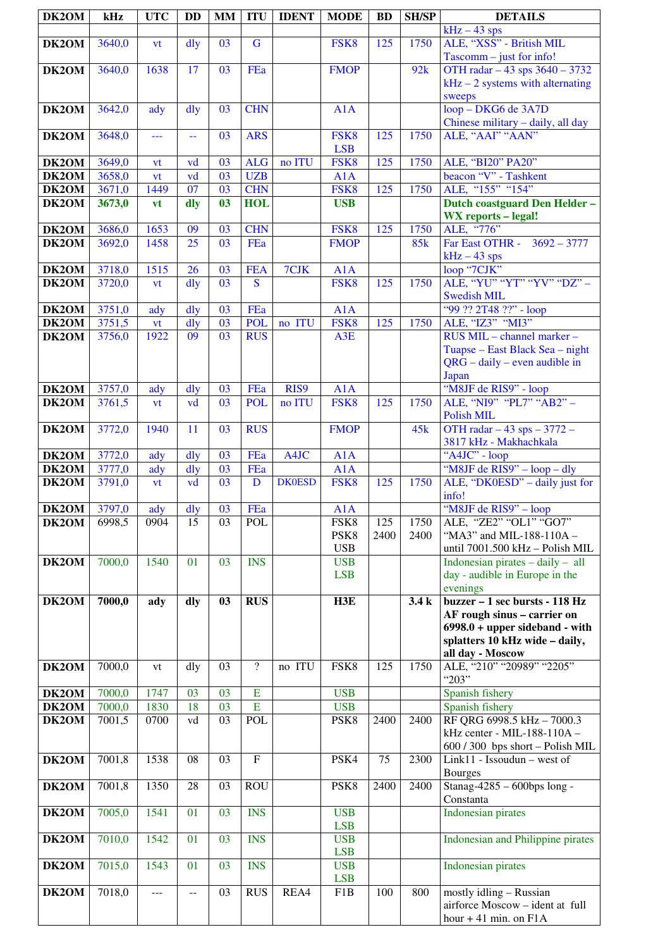| DK2OM          | kHz                | <b>UTC</b>       | DD                                            | <b>MM</b>             | <b>ITU</b>               | <b>IDENT</b>  | <b>MODE</b>              | <b>BD</b>   | <b>SH/SP</b> | <b>DETAILS</b>                                                  |
|----------------|--------------------|------------------|-----------------------------------------------|-----------------------|--------------------------|---------------|--------------------------|-------------|--------------|-----------------------------------------------------------------|
|                |                    |                  |                                               |                       |                          |               |                          |             |              | $kHz - 43$ sps                                                  |
| DK2OM          | 3640,0             | vt               | dly                                           | 03                    | $\mathbf G$              |               | FSK8                     | 125         | 1750         | ALE, "XSS" - British MIL<br>$Tascomm - just for info!$          |
| DK2OM          | 3640,0             | 1638             | 17                                            | 03                    | FEa                      |               | <b>FMOP</b>              |             | 92k          | OTH radar - 43 sps 3640 - 3732                                  |
|                |                    |                  |                                               |                       |                          |               |                          |             |              | $kHz - 2$ systems with alternating                              |
| DK2OM          | 3642,0             | ady              | dly                                           | 03                    | <b>CHN</b>               |               | A1A                      |             |              | sweeps<br>loop - DKG6 de 3A7D                                   |
|                |                    |                  |                                               |                       |                          |               |                          |             |              | Chinese military - daily, all day                               |
| DK2OM          | 3648,0             | ---              | $\mathord{\hspace{1pt}\text{--}\hspace{1pt}}$ | 03                    | <b>ARS</b>               |               | FSK8                     | 125         | 1750         | ALE, "AAI" "AAN"                                                |
|                |                    |                  |                                               |                       |                          |               | <b>LSB</b>               |             |              |                                                                 |
| DK2OM          | 3649,0             | vt               | vd                                            | 03                    | <b>ALG</b>               | no ITU        | FSK8                     | 125         | 1750         | ALE, "BI20" PA20"                                               |
| DK2OM          | 3658,0             | vt               | vd                                            | $\overline{03}$       | <b>UZB</b>               |               | A1A                      |             |              | beacon "V" - Tashkent                                           |
| DK2OM          | 3671,0             | 1449             | $\overline{07}$                               | 03                    | <b>CHN</b>               |               | FSK8                     | 125         | 1750         | ALE, "155" "154"                                                |
| DK2OM          | 3673,0             | <b>vt</b>        | dly                                           | 0 <sub>3</sub>        | <b>HOL</b>               |               | <b>USB</b>               |             |              | Dutch coastguard Den Helder-                                    |
| DK2OM          | 3686,0             | 1653             | 09                                            | 03                    | <b>CHN</b>               |               | FSK8                     | 125         | 1750         | <b>WX</b> reports - legal!<br>ALE, "776"                        |
| DK2OM          | 3692,0             | 1458             | 25                                            | 03                    | FEa                      |               | <b>FMOP</b>              |             | 85k          | Far East OTHR - 3692 - 3777                                     |
|                |                    |                  |                                               |                       |                          |               |                          |             |              | $kHz - 43$ sps                                                  |
| DK2OM          | 3718,0             | 1515             | 26                                            | 03                    | <b>FEA</b>               | 7CJK          | A1A                      |             |              | loop "7CJK"                                                     |
| DK2OM          | 3720,0             | vt               | dly                                           | 03                    | S                        |               | FSK8                     | 125         | 1750         | ALE, "YU" "YT" "YV" "DZ" -                                      |
|                | 3751,0             |                  | dly                                           | 03                    | FEa                      |               | A1A                      |             |              | <b>Swedish MIL</b><br>"99 ?? 2T48 ??" - loop                    |
| DK2OM<br>DK2OM | 3751,5             | ady<br><b>vt</b> | dly                                           | 03                    | <b>POL</b>               | no ITU        | FSK8                     | 125         | 1750         | ALE, "IZ3" "MI3"                                                |
| DK2OM          | 3756,0             | 1922             | 09                                            | $\overline{03}$       | <b>RUS</b>               |               | A3E                      |             |              | RUS MIL - channel marker -                                      |
|                |                    |                  |                                               |                       |                          |               |                          |             |              | Tuapse – East Black Sea – night                                 |
|                |                    |                  |                                               |                       |                          |               |                          |             |              | $QRG - daily - even$ audible in                                 |
|                |                    |                  |                                               |                       |                          |               |                          |             |              | Japan                                                           |
| DK2OM          | $\frac{1}{3757,0}$ | ady              | dly                                           | 03<br>03              | FEa                      | RIS9          | A1A<br>FSK8              |             | 1750         | "M8JF de RIS9" - loop<br>ALE, "NI9" "PL7" "AB2" -               |
| DK2OM          | 3761,5             | vt               | vd                                            |                       | <b>POL</b>               | no ITU        |                          | 125         |              | Polish MIL                                                      |
| DK2OM          | 3772,0             | 1940             | 11                                            | 03                    | <b>RUS</b>               |               | <b>FMOP</b>              |             | 45k          | OTH radar $-43$ sps $-3772$ -<br>3817 kHz - Makhachkala         |
| DK2OM          | 3772,0             | ady              | $\frac{d}{dy}$                                | 03                    | FEa                      | A4JC          | A1A                      |             |              | "A4JC" - loop                                                   |
| DK2OM          | 3777,0             | ady              | $\frac{d}{dy}$                                | 03                    | FEa                      |               | A1A                      |             |              | "M8JF de RIS9" – loop – dly                                     |
| DK2OM          | 3791,0             | vt               | vd                                            | 03                    | D                        | <b>DK0ESD</b> | FSK8                     | 125         | 1750         | ALE, "DK0ESD" – daily just for                                  |
|                |                    |                  |                                               |                       |                          |               |                          |             |              | info!                                                           |
| DK2OM          | 3797,0<br>6998,5   | ady              | dly                                           | $\overline{03}$<br>03 | FEa                      |               | A1A                      |             |              | 'M8JF de RIS9" - loop<br>ALE, "ZE2" "OL1" "GO7"                 |
| DK2OM          |                    | 0904             | 15                                            |                       | <b>POL</b>               |               | FSK8<br>PSK8             | 125<br>2400 | 1750<br>2400 | "MA3" and MIL-188-110A -                                        |
|                |                    |                  |                                               |                       |                          |               | <b>USB</b>               |             |              | until 7001.500 kHz - Polish MIL                                 |
| DK2OM          | 7000,0             | 1540             | 01                                            | 03                    | <b>INS</b>               |               | <b>USB</b>               |             |              | Indonesian pirates $-$ daily $-$ all                            |
|                |                    |                  |                                               |                       |                          |               | <b>LSB</b>               |             |              | day - audible in Europe in the                                  |
| DK2OM          | 7000,0             |                  |                                               | 03                    | <b>RUS</b>               |               | H3E                      |             | 3.4k         | evenings<br>buzzer - 1 sec bursts - 118 Hz                      |
|                |                    | ady              | dly                                           |                       |                          |               |                          |             |              | AF rough sinus - carrier on                                     |
|                |                    |                  |                                               |                       |                          |               |                          |             |              | $6998.0 + upper$ sideband - with                                |
|                |                    |                  |                                               |                       |                          |               |                          |             |              | splatters 10 kHz wide - daily,                                  |
|                |                    |                  |                                               |                       |                          |               |                          |             |              | all day - Moscow                                                |
| DK2OM          | 7000,0             | vt               | dly                                           | 03                    | $\overline{\mathcal{L}}$ | no ITU        | FSK8                     | 125         | 1750         | ALE, "210" "20989" "2205"<br>"203"                              |
| DK2OM          | 7000,0             | 1747             | 03                                            | 03                    | Ε                        |               | <b>USB</b>               |             |              | Spanish fishery                                                 |
| DK2OM          | 7000,0             | 1830             | 18                                            | 03                    | $\mathbf E$              |               | <b>USB</b>               |             |              | Spanish fishery                                                 |
| DK2OM          | 7001,5             | 0700             | vd                                            | 03                    | POL                      |               | PSK8                     | 2400        | 2400         | RF QRG 6998.5 kHz - 7000.3                                      |
|                |                    |                  |                                               |                       |                          |               |                          |             |              | kHz center - MIL-188-110A -                                     |
| DK2OM          | 7001,8             | 1538             | 08                                            | 03                    | ${\bf F}$                |               | PSK4                     | 75          | 2300         | 600 / 300 bps short - Polish MIL<br>Link11 - Issoudun - west of |
|                |                    |                  |                                               |                       |                          |               |                          |             |              | <b>Bourges</b>                                                  |
| DK2OM          | 7001,8             | 1350             | 28                                            | 03                    | <b>ROU</b>               |               | PSK8                     | 2400        | 2400         | $Stanag-4285 - 600bps long -$                                   |
|                |                    |                  |                                               |                       |                          |               |                          |             |              | Constanta                                                       |
| DK2OM          | 7005,0             | 1541             | 01                                            | 03                    | <b>INS</b>               |               | <b>USB</b>               |             |              | <b>Indonesian pirates</b>                                       |
|                | 7010,0             | 1542             | 01                                            | 03                    | <b>INS</b>               |               | <b>LSB</b><br><b>USB</b> |             |              | <b>Indonesian and Philippine pirates</b>                        |
| DK2OM          |                    |                  |                                               |                       |                          |               | <b>LSB</b>               |             |              |                                                                 |
| DK2OM          | 7015,0             | 1543             | 01                                            | 03                    | <b>INS</b>               |               | <b>USB</b>               |             |              | <b>Indonesian pirates</b>                                       |
|                |                    |                  |                                               |                       |                          |               | <b>LSB</b>               |             |              |                                                                 |
| DK2OM          | 7018,0             | $---$            | $-$                                           | 03                    | <b>RUS</b>               | REA4          | F1B                      | 100         | 800          | mostly idling - Russian                                         |
|                |                    |                  |                                               |                       |                          |               |                          |             |              | airforce Moscow - ident at full<br>hour $+41$ min. on $F1A$     |
|                |                    |                  |                                               |                       |                          |               |                          |             |              |                                                                 |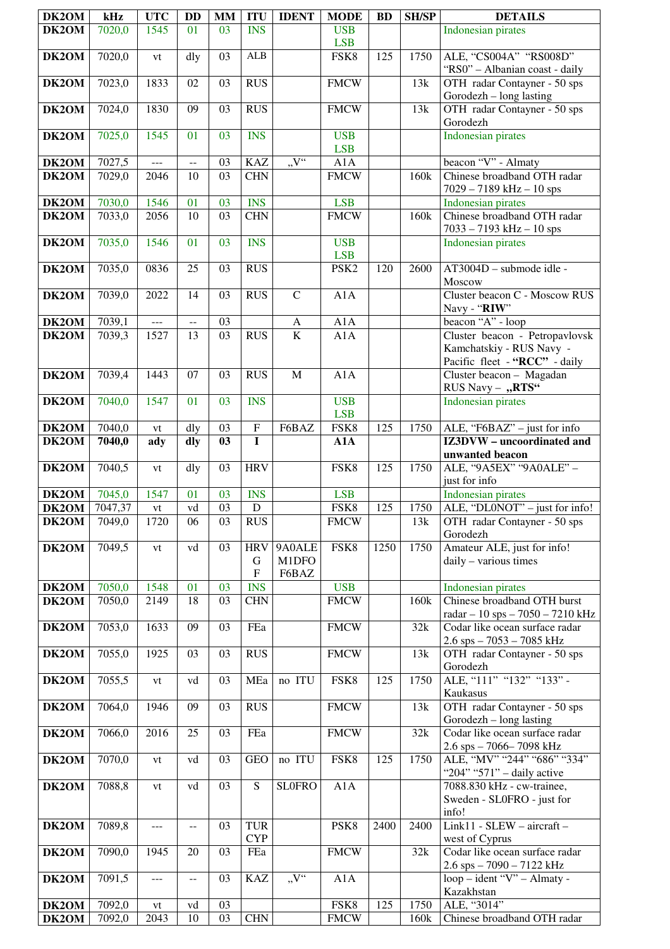| DK2OM                                | kHz    | <b>UTC</b>     | <b>DD</b>                 | <b>MM</b>             | <b>ITU</b>                                   | <b>IDENT</b>             | <b>MODE</b>              | <b>BD</b> | <b>SH/SP</b> | <b>DETAILS</b>                                                    |
|--------------------------------------|--------|----------------|---------------------------|-----------------------|----------------------------------------------|--------------------------|--------------------------|-----------|--------------|-------------------------------------------------------------------|
| DK2OM                                | 7020,0 | 1545           | 01                        | 03                    | <b>INS</b>                                   |                          | <b>USB</b>               |           |              | Indonesian pirates                                                |
|                                      |        |                |                           |                       |                                              |                          | <b>LSB</b>               |           |              |                                                                   |
| DK2OM                                | 7020,0 | vt             | dly                       | 03                    | ${\bf ALB}$                                  |                          | FSK8                     | 125       | 1750         | ALE, "CS004A" "RS008D"<br>"RS0" - Albanian coast - daily          |
| DK2OM                                | 7023,0 | 1833           | 02                        | 03                    | <b>RUS</b>                                   |                          | <b>FMCW</b>              |           | 13k          | OTH radar Contayner - 50 sps<br>Gorodezh – long lasting           |
| DK2OM                                | 7024,0 | 1830           | 09                        | 03                    | <b>RUS</b>                                   |                          | <b>FMCW</b>              |           | 13k          | OTH radar Contayner - 50 sps<br>Gorodezh                          |
| DK2OM                                | 7025,0 | 1545           | 01                        | 03                    | <b>INS</b>                                   |                          | <b>USB</b><br><b>LSB</b> |           |              | Indonesian pirates                                                |
| DK2OM                                | 7027,5 | $\overline{a}$ | $\overline{\phantom{a}}$  | 03                    | <b>KAZ</b>                                   | "V"                      | A1A                      |           |              | beacon "V" - Almaty                                               |
| DK2OM                                | 7029,0 | 2046           | 10                        | $\overline{03}$       | <b>CHN</b>                                   |                          | <b>FMCW</b>              |           | 160k         | Chinese broadband OTH radar<br>$7029 - 7189$ kHz $- 10$ sps       |
| DK2OM                                | 7030,0 | 1546           | 01                        | 03                    | <b>INS</b>                                   |                          | <b>LSB</b>               |           |              | <b>Indonesian</b> pirates                                         |
| DK2OM                                | 7033,0 | 2056           | 10                        | 03                    | <b>CHN</b>                                   |                          | <b>FMCW</b>              |           | 160k         | Chinese broadband OTH radar<br>$7033 - 7193$ kHz $- 10$ sps       |
| DK2OM                                | 7035,0 | 1546           | 01                        | 03                    | <b>INS</b>                                   |                          | <b>USB</b><br><b>LSB</b> |           |              | Indonesian pirates                                                |
| DK2OM                                | 7035,0 | 0836           | 25                        | 03                    | <b>RUS</b>                                   |                          | PSK <sub>2</sub>         | 120       | 2600         | AT3004D - submode idle -<br>Moscow                                |
| DK2OM                                | 7039,0 | 2022           | 14                        | 03                    | <b>RUS</b>                                   | $\mathbf C$              | A1A                      |           |              | Cluster beacon C - Moscow RUS<br>Navy - "RIW"                     |
| $\overline{\text{DK}}$ 20M           | 7039,1 | $\cdots$       | $\overline{a}$            | 03                    |                                              | $\mathbf{A}$             | A1A                      |           |              | beacon "A" - loop                                                 |
| DK2OM                                | 7039,3 | 1527           | 13                        | 03                    | <b>RUS</b>                                   | $\overline{\mathbf{K}}$  | A1A                      |           |              | Cluster beacon - Petropavlovsk                                    |
|                                      |        |                |                           |                       |                                              |                          |                          |           |              | Kamchatskiy - RUS Navy -                                          |
|                                      |        |                |                           |                       |                                              |                          |                          |           |              | Pacific fleet - "RCC" - daily                                     |
| DK2OM                                | 7039,4 | 1443           | 07                        | 03                    | <b>RUS</b>                                   | $\mathbf M$              | A1A                      |           |              | Cluster beacon - Magadan<br>RUS Navy - "RTS"                      |
| DK2OM                                | 7040,0 | 1547           | 01                        | 03                    | <b>INS</b>                                   |                          | <b>USB</b><br><b>LSB</b> |           |              | <b>Indonesian pirates</b>                                         |
| DK2OM                                | 7040,0 | vt             | dly                       | 03                    | $\overline{F}$                               | F6BAZ                    | FSK8                     | 125       | 1750         | ALE, "F6BAZ" - just for info                                      |
| DK2OM                                | 7040,0 | ady            | dly                       | 03                    | $\mathbf I$                                  |                          | A1A                      |           |              | IZ3DVW - uncoordinated and                                        |
| DK2OM                                | 7040,5 | vt             | dly                       | 03                    | <b>HRV</b>                                   |                          | FSK8                     | 125       | 1750         | unwanted beacon<br>ALE, "9A5EX" "9A0ALE" -                        |
|                                      |        |                |                           |                       |                                              |                          |                          |           |              | just for info                                                     |
| <b>DK2OM</b><br><b>DK2OM</b> 7047,37 | 7045,0 | 1547           | 01<br>$\operatorname{vd}$ | 03<br>$\overline{03}$ | <b>INS</b><br>$\overline{D}$                 |                          | <b>LSB</b><br>FSK8       | 125       | 1750         | Indonesian pirates<br>ALE, "DL0NOT" – just for info!              |
| DK2OM                                | 7049,0 | vt<br>1720     | 06                        | 03                    | <b>RUS</b>                                   |                          | <b>FMCW</b>              |           | 13k          | OTH radar Contayner - 50 sps<br>Gorodezh                          |
| DK2OM                                | 7049,5 | vt             | vd                        | 03                    | <b>HRV</b><br>G<br>$\boldsymbol{\mathrm{F}}$ | 9A0ALE<br>M1DFO<br>F6BAZ | FSK8                     | 1250      | 1750         | Amateur ALE, just for info!<br>daily - various times              |
| DK2OM                                | 7050,0 | 1548           | 01                        | 03                    | <b>INS</b>                                   |                          | <b>USB</b>               |           |              | Indonesian pirates                                                |
| DK2OM                                | 7050,0 | 2149           | 18                        | 03                    | <b>CHN</b>                                   |                          | <b>FMCW</b>              |           | 160k         | Chinese broadband OTH burst<br>radar - 10 sps - 7050 - 7210 kHz   |
| DK2OM                                | 7053,0 | 1633           | 09                        | 03                    | FEa                                          |                          | <b>FMCW</b>              |           | 32k          | Codar like ocean surface radar<br>$2.6$ sps $-7053 - 7085$ kHz    |
| DK2OM                                | 7055,0 | 1925           | 03                        | 03                    | <b>RUS</b>                                   |                          | <b>FMCW</b>              |           | 13k          | OTH radar Contayner - 50 sps<br>Gorodezh                          |
| DK2OM                                | 7055,5 | vt             | vd                        | 03                    | MEa                                          | no ITU                   | FSK8                     | 125       | 1750         | ALE, "111" "132" "133" -<br>Kaukasus                              |
| DK2OM                                | 7064,0 | 1946           | 09                        | 03                    | <b>RUS</b>                                   |                          | <b>FMCW</b>              |           | 13k          | OTH radar Contayner - 50 sps<br>Gorodezh – long lasting           |
| DK2OM                                | 7066,0 | 2016           | 25                        | 03                    | FEa                                          |                          | <b>FMCW</b>              |           | 32k          | Codar like ocean surface radar<br>2.6 sps - 7066-7098 kHz         |
| DK2OM                                | 7070,0 | vt             | vd                        | 03                    | <b>GEO</b>                                   | no ITU                   | FSK8                     | 125       | 1750         | ALE, "MV" "244" "686" "334"<br>"204" "571" - daily active         |
| DK2OM                                | 7088,8 | vt             | vd                        | 03                    | S                                            | <b>SLOFRO</b>            | A1A                      |           |              | 7088.830 kHz - cw-trainee,<br>Sweden - SL0FRO - just for<br>info! |
| DK2OM                                | 7089,8 | ---            | $-$                       | 03                    | <b>TUR</b><br><b>CYP</b>                     |                          | PSK8                     | 2400      | 2400         | Link11 - SLEW - aircraft -<br>west of Cyprus                      |
| DK2OM                                | 7090,0 | 1945           | 20                        | 03                    | FEa                                          |                          | <b>FMCW</b>              |           | 32k          | Codar like ocean surface radar<br>2.6 sps - 7090 - 7122 kHz       |
| DK2OM                                | 7091,5 | ---            | $-$                       | 03                    | <b>KAZ</b>                                   | $\overline{V''}$         | A1A                      |           |              | loop – ident "V" – Almaty -<br>Kazakhstan                         |
| DK2OM                                | 7092,0 | vt             | vd                        | 03                    |                                              |                          | FSK8                     | 125       | 1750         | ALE, "3014"                                                       |
| DK2OM                                | 7092,0 | 2043           | 10                        | 03                    | <b>CHN</b>                                   |                          | <b>FMCW</b>              |           | 160k         | Chinese broadband OTH radar                                       |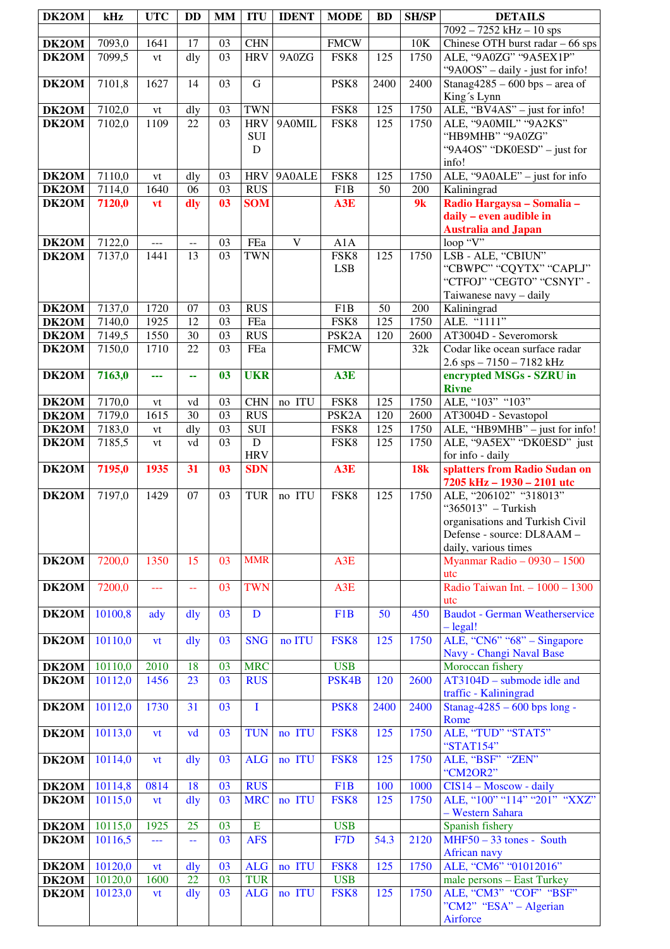| DK2OM              | kHz                | <b>UTC</b>     | DD                       | <b>MM</b>      | <b>ITU</b>              | <b>IDENT</b> | <b>MODE</b>        | <b>BD</b> | <b>SH/SP</b> | <b>DETAILS</b>                                              |
|--------------------|--------------------|----------------|--------------------------|----------------|-------------------------|--------------|--------------------|-----------|--------------|-------------------------------------------------------------|
|                    |                    |                |                          |                |                         |              |                    |           |              | $7092 - 7252$ kHz $- 10$ sps                                |
| DK2OM              | 7093,0             | 1641           | 17                       | 03             | <b>CHN</b>              |              | <b>FMCW</b>        |           | 10K          | Chinese OTH burst radar $-66$ sps                           |
| DK2OM              | 7099,5             | vt             | dly                      | 03             | <b>HRV</b>              | 9A0ZG        | FSK8               | 125       | 1750         | ALE, "9A0ZG" "9A5EX1P"<br>"9A0OS" - daily - just for info!  |
| DK2OM              | 7101,8             | 1627           | 14                       | 03             | G                       |              | PSK8               | 2400      | 2400         | Stanag $4285 - 600$ bps – area of<br>King's Lynn            |
| DK2OM              | 7102,0             | vt             | dly                      | 03             | <b>TWN</b>              |              | FSK8               | 125       | 1750         | ALE, "BV4AS" - just for info!                               |
| DK2OM              | 7102,0             | 1109           | 22                       | 03             | <b>HRV</b>              | 9A0MIL       | FSK8               | 125       | 1750         | ALE, "9A0MIL" "9A2KS"                                       |
|                    |                    |                |                          |                | $\rm SUI$               |              |                    |           |              | "HB9MHB" "9A0ZG"                                            |
|                    |                    |                |                          |                | $\mathbf D$             |              |                    |           |              | "9A4OS" "DK0ESD" - just for                                 |
| DK2OM              | 7110,0             |                | dly                      | 03             | <b>HRV</b>              | 9A0ALE       | FSK8               | 125       | 1750         | info!<br>ALE, "9A0ALE" - just for info                      |
| DK2OM              | 7114,0             | vt<br>1640     | 06                       | 03             | <b>RUS</b>              |              | F1B                | 50        | 200          | Kaliningrad                                                 |
| DK2OM              | 7120,0             | vt             | dly                      | 0 <sup>3</sup> | <b>SOM</b>              |              | A3E                |           | 9k           | Radio Hargaysa - Somalia -                                  |
|                    |                    |                |                          |                |                         |              |                    |           |              | daily - even audible in                                     |
|                    |                    |                |                          |                |                         |              |                    |           |              | <b>Australia and Japan</b>                                  |
| DK2OM              | 7122,0             | $\cdots$       | $\overline{\phantom{a}}$ | 03             | FEa                     | V            | A1A                |           |              | loop "V"                                                    |
| DK2OM              | 7137,0             | 1441           | 13                       | 03             | <b>TWN</b>              |              | FSK8               | 125       | 1750         | LSB - ALE, "CBIUN"                                          |
|                    |                    |                |                          |                |                         |              | <b>LSB</b>         |           |              | "CBWPC" "CQYTX" "CAPLJ"<br>"CTFOJ" "CEGTO" "CSNYI" -        |
|                    |                    |                |                          |                |                         |              |                    |           |              | Taiwanese navy - daily                                      |
| DK2OM              | 7137,0             | 1720           | 07                       | 03             | <b>RUS</b>              |              | F1B                | 50        | 200          | Kaliningrad                                                 |
| DK2OM              | 7140,0             | 1925           | 12                       | 03             | FEa                     |              | FSK8               | 125       | 1750         | ALE. "1111"                                                 |
| DK <sub>2</sub> OM | 7149,5             | 1550           | 30                       | 03             | <b>RUS</b>              |              | PSK <sub>2</sub> A | 120       | 2600         | AT3004D - Severomorsk                                       |
| DK2OM              | 7150,0             | 1710           | 22                       | 03             | FEa                     |              | <b>FMCW</b>        |           | 32k          | Codar like ocean surface radar                              |
| DK2OM              | 7163,0             | ---            | 44                       | 03             | <b>UKR</b>              |              | A3E                |           |              | $2.6$ sps $-7150 - 7182$ kHz<br>encrypted MSGs - SZRU in    |
|                    |                    |                |                          |                |                         |              |                    |           |              | <b>Rivne</b>                                                |
| DK2OM              | 7170,0             | vt             | vd                       | 03             | <b>CHN</b>              | no ITU       | FSK8               | 125       | 1750         | ALE, "103" "103"                                            |
| DK2OM              | 7179,0             | 1615           | 30                       | 03             | <b>RUS</b>              |              | PSK <sub>2</sub> A | 120       | 2600         | AT3004D - Sevastopol                                        |
| DK2OM              | 7183,0             | vt             | dly                      | 03             | $\rm SUI$               |              | FSK8               | 125       | 1750         | ALE, "HB9MHB" - just for info!                              |
| DK2OM              | 7185,5             | vt             | vd                       | 03             | ${\bf D}$<br><b>HRV</b> |              | FSK8               | 125       | 1750         | ALE, "9A5EX" "DK0ESD" just<br>for info - daily              |
| DK2OM              | 7195,0             | 1935           | 31                       | 0 <sub>3</sub> | <b>SDN</b>              |              | A3E                |           | <b>18k</b>   | splatters from Radio Sudan on<br>7205 kHz - 1930 - 2101 utc |
| DK2OM              | 7197,0             | 1429           | 07                       | 03             | <b>TUR</b>              | no ITU       | FSK8               | 125       | 1750         | ALE, "206102" "318013"                                      |
|                    |                    |                |                          |                |                         |              |                    |           |              | "365013" - Turkish<br>organisations and Turkish Civil       |
|                    |                    |                |                          |                |                         |              |                    |           |              | Defense - source: DL8AAM -                                  |
|                    |                    |                |                          |                |                         |              |                    |           |              | daily, various times                                        |
| DK2OM              | 7200,0             | 1350           | 15                       | 03             | <b>MMR</b>              |              | A3E                |           |              |                                                             |
|                    |                    |                |                          |                |                         |              |                    |           |              | Myanmar Radio - 0930 - 1500                                 |
|                    |                    |                |                          |                |                         |              |                    |           |              | utc                                                         |
| DK2OM              | 7200,0             | $\overline{a}$ | $\mathbb{L}^{\perp}$     | 03             | <b>TWN</b>              |              | A3E                |           |              | Radio Taiwan Int. - 1000 - 1300<br>utc                      |
| DK2OM              | 10100,8            | ady            | dly                      | 03             | $\mathbf D$             |              | F <sub>1</sub> B   | 50        | 450          | <b>Baudot - German Weatherservice</b>                       |
|                    |                    |                |                          |                |                         |              |                    |           |              | $-\text{legal!}$                                            |
| DK2OM              | 10110,0            | vt             | dly                      | 03             | <b>SNG</b>              | no ITU       | FSK8               | 125       | 1750         | ALE, "CN6" "68" – Singapore                                 |
|                    |                    | 2010           | 18                       | 03             | <b>MRC</b>              |              | <b>USB</b>         |           |              | Navy - Changi Naval Base<br>Moroccan fishery                |
| DK2OM<br>DK2OM     | 10110,0<br>10112,0 | 1456           | 23                       | 03             | <b>RUS</b>              |              | PSK4B              | 120       | 2600         | $AT3104D$ – submode idle and                                |
|                    |                    |                |                          |                |                         |              |                    |           |              | traffic - Kaliningrad                                       |
| DK2OM              | 10112,0            | 1730           | 31                       | 03             | I                       |              | PSK <sub>8</sub>   | 2400      | 2400         | Stanag-4285 - 600 bps long -                                |
| DK2OM              | 10113,0            | vt             | vd                       | 03             | <b>TUN</b>              | no ITU       | FSK8               | 125       | 1750         | Rome<br>ALE, "TUD" "STAT5"                                  |
|                    |                    |                |                          |                |                         |              |                    |           |              | "STAT154"                                                   |
| DK2OM              | 10114,0            | vt             | dly                      | 03             | <b>ALG</b>              | no ITU       | FSK8               | 125       | 1750         | ALE, "BSF" "ZEN"<br>"CM2OR2"                                |
| DK2OM              | 10114,8            | 0814           | 18                       | 03             | <b>RUS</b>              |              | F <sub>1</sub> B   | 100       | 1000         | CIS14 - Moscow - daily                                      |
| DK2OM              | 10115,0            | vt             | dly                      | 03             | <b>MRC</b>              | no ITU       | FSK8               | 125       | 1750         | ALE, "100" "114" "201" "XXZ"                                |
|                    |                    |                |                          |                |                         |              |                    |           |              | - Western Sahara                                            |
| DK2OM<br>DK2OM     | 10115,0<br>10116,5 | 1925<br>---    | 25<br>44                 | 03<br>03       | ${\bf E}$<br><b>AFS</b> |              | <b>USB</b><br>F7D  | 54.3      | 2120         | Spanish fishery<br>$MHF50 - 33$ tones - South               |
|                    |                    |                |                          |                |                         |              |                    |           |              | African navy                                                |
| DK2OM              | 10120,0            | <b>vt</b>      | dly                      | 03             | <b>ALG</b>              | no ITU       | FSK8               | 125       | 1750         | ALE, "CM6" "01012016"                                       |
| DK2OM              | 10120,0            | 1600           | 22                       | 03             | <b>TUR</b>              |              | <b>USB</b>         |           |              | male persons - East Turkey                                  |
| DK2OM              | 10123,0            | vt             | dly                      | 03             | <b>ALG</b>              | no ITU       | FSK8               | 125       | 1750         | ALE, "CM3" "COF" "BSF"                                      |
|                    |                    |                |                          |                |                         |              |                    |           |              | "CM2" "ESA" – Algerian<br>Airforce                          |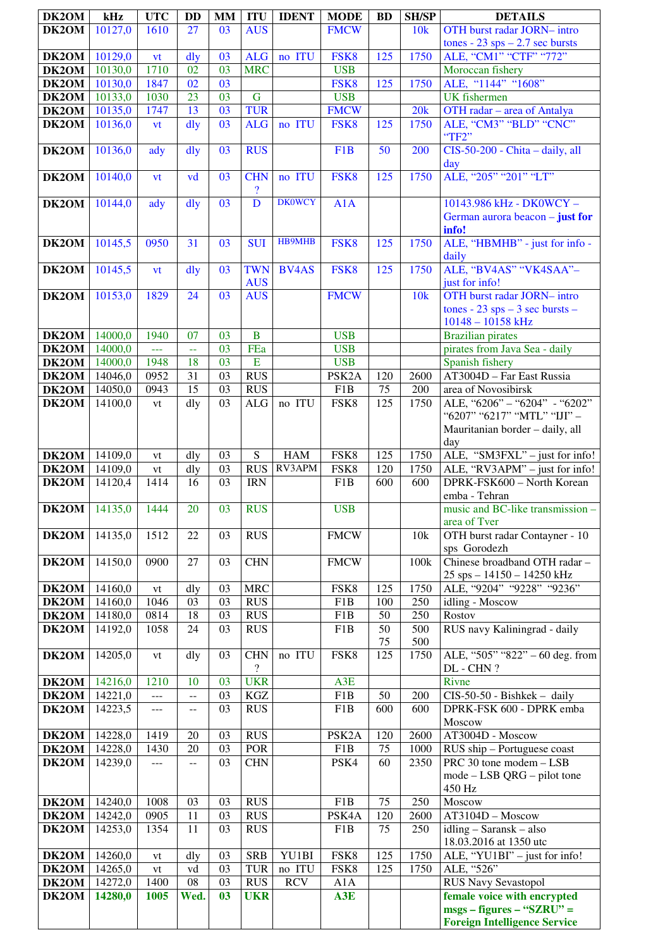| DK2OM                | kHz                | <b>UTC</b>            | <b>DD</b>                | <b>MM</b> | <b>ITU</b>                                | <b>IDENT</b>  | <b>MODE</b>        | <b>BD</b>       | <b>SH/SP</b> | <b>DETAILS</b>                                                    |
|----------------------|--------------------|-----------------------|--------------------------|-----------|-------------------------------------------|---------------|--------------------|-----------------|--------------|-------------------------------------------------------------------|
| DK2OM                | 10127,0            | 1610                  | 27                       | 03        | $A\overline{US}$                          |               | <b>FMCW</b>        |                 | 10k          | OTH burst radar JORN- intro                                       |
|                      |                    |                       |                          |           |                                           |               |                    |                 |              | tones - $23$ sps $-2.7$ sec bursts                                |
| DK2OM                | 10129,0            | vt                    | dly                      | 03        | <b>ALG</b>                                | no ITU        | FSK8               | 125             | 1750         | ALE, "CM1" "CTF" "772"                                            |
| DK2OM                | 10130,0            | 1710                  | 02                       | 03        | <b>MRC</b>                                |               | <b>USB</b>         |                 |              | Moroccan fishery                                                  |
| DK2OM                | 10130,0            | 1847                  | 02                       | 03        |                                           |               | FSK8               | 125             | 1750         | ALE, "1144" "1608"                                                |
| DK2OM                | 10133,0            | 1030                  | 23                       | 03        | $\overline{G}$                            |               | <b>USB</b>         |                 |              | <b>UK</b> fishermen                                               |
|                      |                    | 1747                  | 13                       | 03        | <b>TUR</b>                                |               | <b>FMCW</b>        |                 | 20k          |                                                                   |
| DK2OM                | 10135,0<br>10136,0 |                       |                          | 03        | <b>ALG</b>                                |               |                    | 125             |              | OTH radar - area of Antalya<br>ALE, "CM3" "BLD" "CNC"             |
| DK2OM                |                    | vt                    | dly                      |           |                                           | no ITU        | FSK8               |                 | 1750         | "TF2"                                                             |
| DK2OM                | 10136,0            | ady                   | dly                      | 03        | <b>RUS</b>                                |               | F <sub>1</sub> B   | $\overline{50}$ | 200          | CIS-50-200 - Chita - daily, all                                   |
|                      |                    |                       |                          |           |                                           |               |                    |                 |              |                                                                   |
|                      | 10140,0            |                       | vd                       | 03        | <b>CHN</b>                                | no ITU        | FSK8               | 125             | 1750         | day<br>ALE, "205" "201" "LT"                                      |
| DK2OM                |                    | vt                    |                          |           |                                           |               |                    |                 |              |                                                                   |
| DK2OM                | 10144,0            |                       | $\frac{d}{dy}$           | 03        | $\boldsymbol{\mathcal{P}}$<br>$\mathbf D$ | <b>DK0WCY</b> |                    |                 |              | 10143.986 kHz - DK0WCY -                                          |
|                      |                    | ady                   |                          |           |                                           |               | A1A                |                 |              | German aurora beacon – just for                                   |
|                      |                    |                       |                          |           |                                           |               |                    |                 |              | info!                                                             |
| DK2OM                | 10145,5            | 0950                  | 31                       | 03        | <b>SUI</b>                                | <b>HB9MHB</b> | FSK8               | 125             | 1750         | ALE, "HBMHB" - just for info -                                    |
|                      |                    |                       |                          |           |                                           |               |                    |                 |              | daily                                                             |
| DK2OM                | 10145,5            |                       | dly                      | 03        | <b>TWN</b>                                | <b>BV4AS</b>  | FSK8               | 125             | 1750         | ALE, "BV4AS" "VK4SAA"-                                            |
|                      |                    | vt                    |                          |           | <b>AUS</b>                                |               |                    |                 |              | just for info!                                                    |
|                      | 10153,0            | 1829                  | 24                       | 03        | <b>AUS</b>                                |               | <b>FMCW</b>        |                 | 10k          | OTH burst radar JORN- intro                                       |
| DK2OM                |                    |                       |                          |           |                                           |               |                    |                 |              | tones - $23$ sps - $3$ sec bursts -                               |
|                      |                    |                       |                          |           |                                           |               |                    |                 |              | $10148 - 10158$ kHz                                               |
| DK2OM                | 14000,0            | 1940                  | 07                       | 03        | $\overline{B}$                            |               | <b>USB</b>         |                 |              | <b>Brazilian pirates</b>                                          |
|                      | 14000,0            |                       |                          | 03        | FEa                                       |               | <b>USB</b>         |                 |              |                                                                   |
| DK2OM                |                    | $\perp$ $\perp$       | $\rightarrow$            |           | E                                         |               |                    |                 |              | pirates from Java Sea - daily                                     |
| DK2OM                | 14000,0            | 1948                  | 18                       | 03        |                                           |               | <b>USB</b>         |                 |              | Spanish fishery                                                   |
| DK2OM                | 14046,0            | 0952                  | 31                       | 03        | <b>RUS</b>                                |               | PSK <sub>2</sub> A | 120             | 2600         | AT3004D - Far East Russia                                         |
| DK2OM                | 14050,0            | 0943                  | 15                       | 03        | <b>RUS</b>                                |               | F1B                | 75              | 200          | area of Novosibirsk                                               |
| DK2OM                | 14100,0            | vt                    | dly                      | 03        | ALG                                       | no ITU        | FSK8               | 125             | 1750         | ALE, "6206" - "6204" - "6202"                                     |
|                      |                    |                       |                          |           |                                           |               |                    |                 |              | "6207" "6217" "MTL" "IJI" -                                       |
|                      |                    |                       |                          |           |                                           |               |                    |                 |              | Mauritanian border - daily, all                                   |
|                      |                    |                       |                          |           |                                           |               |                    |                 |              | day                                                               |
| DK2OM                | 14109,0            | vt                    | dly                      | 03        | S                                         | <b>HAM</b>    | FSK8               | 125             | 1750         | ALE, "SM3FXL" - just for info!                                    |
| DK2OM                | 14109,0            | vt                    | dly                      | 03        | <b>RUS</b>                                | RV3APM        | FSK8               | 120             | 1750         | ALE, "RV3APM" - just for info!                                    |
| DK2OM                | 14120,4            | 1414                  | 16                       | 03        | <b>IRN</b>                                |               | F1B                | 600             | 600          | DPRK-FSK600 - North Korean                                        |
|                      |                    |                       |                          |           |                                           |               |                    |                 |              | emba - Tehran                                                     |
| <b>DK2OM</b> 14135,0 |                    | 1444                  | 20                       | 03        | <b>RUS</b>                                |               | <b>USB</b>         |                 |              | music and BC-like transmission -                                  |
|                      |                    |                       |                          |           |                                           |               |                    |                 |              | area of Tver                                                      |
| DK <sub>2</sub> OM   | 14135,0            | 1512                  | 22                       | 03        | <b>RUS</b>                                |               | <b>FMCW</b>        |                 | 10k          | OTH burst radar Contayner - 10                                    |
|                      |                    |                       |                          |           |                                           |               |                    |                 |              | sps Gorodezh                                                      |
| DK2OM                | 14150,0            | 0900                  | 27                       | 03        | <b>CHN</b>                                |               | <b>FMCW</b>        |                 | 100k         | Chinese broadband OTH radar -                                     |
|                      |                    |                       |                          |           |                                           |               |                    |                 |              | $25$ sps $- 14150 - 14250$ kHz                                    |
| DK2OM                | 14160,0            | vt                    | dly                      | 03        | <b>MRC</b>                                |               | FSK8               | 125             | 1750         | ALE, "9204" "9228" "9236"                                         |
| DK2OM                | 14160,0            | 1046                  | 03                       | 03        | <b>RUS</b>                                |               | F1B                | 100             | 250          | idling - Moscow                                                   |
| DK2OM                | 14180,0            | 0814                  | 18                       | 03        | RUS                                       |               | F1B                | 50              | 250          | Rostov                                                            |
| DK2OM                | 14192,0            | 1058                  | 24                       | 03        | <b>RUS</b>                                |               | F1B                | 50              | 500          | RUS navy Kaliningrad - daily                                      |
|                      |                    |                       |                          |           |                                           |               |                    | 75<br>125       | 500<br>1750  |                                                                   |
| DK2OM                | 14205,0            | vt                    | dly                      | 03        | <b>CHN</b><br>$\overline{\mathcal{C}}$    | no ITU        | FSK8               |                 |              | ALE, "505" "822" - 60 deg. from<br>DL - CHN ?                     |
| DK2OM                | 14216,0            | 1210                  | 10                       | 03        | <b>UKR</b>                                |               | A3E                |                 |              | Rivne                                                             |
| DK2OM                | 14221,0            |                       |                          | 03        | KGZ                                       |               | F1B                | 50              | 200          | $CIS-50-50$ - Bishkek - daily                                     |
|                      | 14223,5            | ---                   | $\overline{\phantom{a}}$ | 03        | RUS                                       |               | F1B                | 600             | 600          | DPRK-FSK 600 - DPRK emba                                          |
| DK2OM                |                    | ---                   | $\overline{\phantom{a}}$ |           |                                           |               |                    |                 |              | Moscow                                                            |
| DK2OM                | 14228,0            | 1419                  | 20                       | 03        | <b>RUS</b>                                |               | PSK <sub>2</sub> A | 120             | 2600         | AT3004D - Moscow                                                  |
| DK2OM                | 14228,0            | 1430                  | 20                       | 03        | POR                                       |               |                    | 75              | 1000         | RUS ship - Portuguese coast                                       |
| DK2OM                | 14239,0            |                       |                          | 03        | <b>CHN</b>                                |               | F1B<br>PSK4        | 60              | 2350         | $\overline{PRC}$ 30 tone modem $-$ LSB                            |
|                      |                    | ---                   | $\overline{\phantom{a}}$ |           |                                           |               |                    |                 |              | $mode - LSB QRG - pilot tone$                                     |
|                      |                    |                       |                          |           |                                           |               |                    |                 |              | 450 Hz                                                            |
| DK2OM                | 14240,0            | 1008                  | 03                       | 03        | <b>RUS</b>                                |               | F1B                | 75              | 250          | Moscow                                                            |
| DK2OM                | 14242,0            | 0905                  | 11                       | 03        | <b>RUS</b>                                |               | PSK4A              | 120             | 2600         | AT3104D - Moscow                                                  |
| DK2OM                | 14253,0            | 1354                  | 11                       | 03        | <b>RUS</b>                                |               | F1B                | 75              | 250          | $idling - Saransk - also$                                         |
|                      |                    |                       |                          |           |                                           |               |                    |                 |              | 18.03.2016 at 1350 utc                                            |
| DK2OM                | 14260,0            | $\mathrm{vt}$         | dly                      | 03        | <b>SRB</b>                                | YU1BI         | FSK8               | 125             | 1750         | $\overline{\text{ALE}}, \text{``YU1BI''} - \text{just for info!}$ |
| DK2OM                | 14265,0            |                       |                          | 03        | <b>TUR</b>                                | no ITU        |                    | 125             | 1750         | ALE, "526"                                                        |
| DK2OM                | 14272,0            | $\mathrm{vt}$<br>1400 | vd<br>08                 | 03        | <b>RUS</b>                                | <b>RCV</b>    | FSK8               |                 |              |                                                                   |
| DK2OM                | 14280,0            | 1005                  | Wed.                     | 03        | <b>UKR</b>                                |               | A1A<br>A3E         |                 |              | <b>RUS Navy Sevastopol</b><br>female voice with encrypted         |
|                      |                    |                       |                          |           |                                           |               |                    |                 |              | $msgs - figures - "SZRU" =$                                       |
|                      |                    |                       |                          |           |                                           |               |                    |                 |              |                                                                   |
|                      |                    |                       |                          |           |                                           |               |                    |                 |              | <b>Foreign Intelligence Service</b>                               |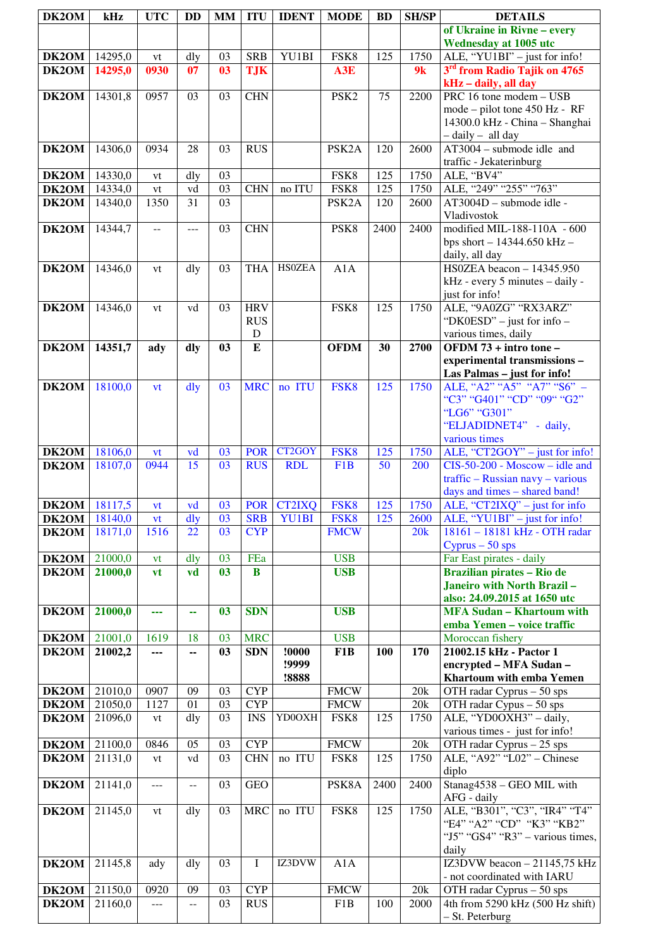| DK2OM                | kHz                  | <b>UTC</b>        | <b>DD</b>      | <b>MM</b>      | <b>ITU</b>  | <b>IDENT</b>         | <b>MODE</b>        | <b>BD</b> | <b>SH/SP</b> | <b>DETAILS</b>                                                     |
|----------------------|----------------------|-------------------|----------------|----------------|-------------|----------------------|--------------------|-----------|--------------|--------------------------------------------------------------------|
|                      |                      |                   |                |                |             |                      |                    |           |              | of Ukraine in Rivne - every                                        |
|                      |                      |                   |                |                |             |                      |                    |           |              | <b>Wednesday at 1005 utc</b>                                       |
| DK2OM                | 14295,0              | vt                | dly            | 03             | <b>SRB</b>  | YU1BI                | FSK8               | 125       | 1750         | ALE, "YU1BI" $-$ just for info!                                    |
| DK2OM                | 14295,0              | 0930              | 07             | 0 <sup>3</sup> | <b>TJK</b>  |                      | A3E                |           | 9k           | 3 <sup>rd</sup> from Radio Tajik on 4765                           |
|                      |                      |                   |                |                |             |                      |                    |           |              | kHz - daily, all day                                               |
| <b>DK2OM</b>         | 14301,8              | 0957              | 03             | 03             | <b>CHN</b>  |                      | PSK <sub>2</sub>   | 75        | 2200         | PRC 16 tone modem - USB<br>mode – pilot tone 450 Hz - RF           |
|                      |                      |                   |                |                |             |                      |                    |           |              | 14300.0 kHz - China - Shanghai                                     |
|                      |                      |                   |                |                |             |                      |                    |           |              | - daily - all day                                                  |
| <b>DK2OM</b>         | 14306,0              | 0934              | 28             | 03             | <b>RUS</b>  |                      | PSK <sub>2</sub> A | 120       | 2600         | $AT3004 - submode$ idle and                                        |
|                      |                      |                   |                |                |             |                      |                    |           |              | traffic - Jekaterinburg                                            |
| <b>DK2OM</b>         | 14330,0              | vt                | dly            | 03             |             |                      | FSK8               | 125       | 1750         | ALE, "BV4"                                                         |
| <b>DK2OM</b>         | 14334,0              | vt                | vd<br>31       | 03<br>03       | <b>CHN</b>  | no ITU               | FSK8               | 125       | 1750         | ALE, "249" "255" "763"                                             |
| DK2OM                | 14340,0              | 1350              |                |                |             |                      | PSK <sub>2</sub> A | 120       | 2600         | AT3004D - submode idle -<br>Vladivostok                            |
| <b>DK2OM</b>         | 14344,7              | $\overline{a}$    | ---            | 03             | <b>CHN</b>  |                      | PSK8               | 2400      | 2400         | modified MIL-188-110A - 600                                        |
|                      |                      |                   |                |                |             |                      |                    |           |              | bps short - 14344.650 kHz -                                        |
|                      |                      |                   |                |                |             |                      |                    |           |              | daily, all day                                                     |
| DK2OM                | 14346,0              | vt                | dly            | 03             | <b>THA</b>  | <b>HS0ZEA</b>        | A1A                |           |              | HS0ZEA beacon $-14345.950$                                         |
|                      |                      |                   |                |                |             |                      |                    |           |              | kHz - every 5 minutes - daily -<br>just for info!                  |
| DK2OM                | 14346,0              | vt                | vd             | 03             | <b>HRV</b>  |                      | FSK8               | 125       | 1750         | ALE, "9A0ZG" "RX3ARZ"                                              |
|                      |                      |                   |                |                | <b>RUS</b>  |                      |                    |           |              | "DK0ESD" - just for info -                                         |
|                      |                      |                   |                |                | $\mathbf D$ |                      |                    |           |              | various times, daily                                               |
| DK2OM                | 14351,7              | ady               | dly            | 03             | E           |                      | <b>OFDM</b>        | 30        | 2700         | OFDM 73 + intro tone -                                             |
|                      |                      |                   |                |                |             |                      |                    |           |              | experimental transmissions-                                        |
| DK2OM                | 18100,0              | vt                | $\frac{d}{dy}$ | 03             | <b>MRC</b>  | no ITU               | FSK8               | 125       | 1750         | Las Palmas - just for info!<br>ALE, "A2" "A5" "A7" "S6" -          |
|                      |                      |                   |                |                |             |                      |                    |           |              | "C3" "G401" "CD" "09" "G2"                                         |
|                      |                      |                   |                |                |             |                      |                    |           |              | "LG6" "G301"                                                       |
|                      |                      |                   |                |                |             |                      |                    |           |              | "ELJADIDNET4" - daily,                                             |
|                      |                      |                   |                |                |             |                      |                    |           |              | various times                                                      |
| <b>DK2OM</b>         | 18106,0<br>18107,0   | <b>vt</b><br>0944 | vd<br>15       | 03<br>03       | <b>POR</b>  | CT2GOY<br><b>RDL</b> | FSK8               | 125       | 1750         | ALE, "CT2GOY" - just for info!<br>$CIS-50-200$ - Moscow – idle and |
| DK2OM                |                      |                   |                |                | <b>RUS</b>  |                      | F <sub>1</sub> B   | 50        | 200          | $\text{traffic} - \text{ Russian}$ navy - various                  |
|                      |                      |                   |                |                |             |                      |                    |           |              | days and times - shared band!                                      |
| <b>DK2OM</b> 18117,5 |                      | <b>vt</b>         | vd             | 03             |             | POR CT2IXQ           | FSK8               | 125       | 1750         | ALE, " $CT2IXQ"$ – just for info                                   |
| <b>DK2OM</b>         | 18140,0              | vt                | $\frac{d}{dy}$ | 03             | <b>SRB</b>  | <b>YU1BI</b>         | FSK8               | 125       | 2600         | ALE, "YU1BI" $-$ just for info!                                    |
| DK <sub>2</sub> OM   | 18171,0              | 1516              | 22             | 03             | <b>CYP</b>  |                      | <b>FMCW</b>        |           | 20k          | 18161 - 18181 kHz - OTH radar                                      |
| <b>DK2OM</b>         | 21000,0              | vt                | dly            | 03             | FEa         |                      | <b>USB</b>         |           |              | $Cyprus - 50$ sps<br>Far East pirates - daily                      |
| <b>DK2OM</b>         | 21000,0              | <b>vt</b>         | vd             | 03             | B           |                      | <b>USB</b>         |           |              | Brazilian pirates - Rio de                                         |
|                      |                      |                   |                |                |             |                      |                    |           |              | Janeiro with North Brazil-                                         |
|                      |                      |                   |                |                |             |                      |                    |           |              | also: 24.09.2015 at 1650 utc                                       |
| DK2OM                | 21000,0              | ---               | 44             | 03             | <b>SDN</b>  |                      | <b>USB</b>         |           |              | <b>MFA Sudan - Khartoum with</b>                                   |
| <b>DK2OM</b>         | 21001,0              | 1619              | 18             | 03             | <b>MRC</b>  |                      | <b>USB</b>         |           |              | emba Yemen - voice traffic<br>Moroccan fishery                     |
| <b>DK2OM</b>         | 21002,2              | ---               | --             | 03             | <b>SDN</b>  | !0000                | F <sub>1</sub> B   | 100       | 170          | 21002.15 kHz - Pactor 1                                            |
|                      |                      |                   |                |                |             | !9999                |                    |           |              | encrypted - MFA Sudan -                                            |
|                      |                      |                   |                |                |             | !8888                |                    |           |              | Khartoum with emba Yemen                                           |
| <b>DK2OM</b>         | 21010,0              | 0907              | 09             | 03             | <b>CYP</b>  |                      | <b>FMCW</b>        |           | 20k          | OTH radar Cyprus $-50$ sps                                         |
| <b>DK2OM</b>         | 21050,0              | 1127              | 01             | 03             | <b>CYP</b>  |                      | <b>FMCW</b>        |           | 20k          | $\overline{OTH}$ radar $\overline{Cy}$ pus – 50 sps                |
| DK2OM                | 21096,0              | vt                | dly            | 03             | <b>INS</b>  | YD0OXH               | FSK8               | 125       | 1750         | ALE, "YD0OXH3" - daily,<br>various times - just for info!          |
| <b>DK2OM</b>         | 21100,0              | 0846              | 05             | 03             | <b>CYP</b>  |                      | <b>FMCW</b>        |           | 20k          | $\overline{OTH}$ radar Cyprus – 25 sps                             |
| DK2OM                | 21131,0              | vt                | vd             | 03             | <b>CHN</b>  | no ITU               | FSK8               | 125       | 1750         | ALE, "A92" "L02" - Chinese                                         |
|                      |                      |                   |                |                |             |                      |                    |           |              | diplo                                                              |
| DK2OM                | 21141,0              | $---$             | --             | 03             | <b>GEO</b>  |                      | PSK8A              | 2400      | 2400         | Stanag4538 - GEO MIL with                                          |
| DK2OM                | $\overline{21145,0}$ | vt                | dly            | 03             | <b>MRC</b>  | no ITU               | FSK8               | 125       | 1750         | AFG - daily<br>ALE, "B301", "C3", "IR4" "T4"                       |
|                      |                      |                   |                |                |             |                      |                    |           |              | "E4" "A2" "CD" "K3" "KB2"                                          |
|                      |                      |                   |                |                |             |                      |                    |           |              | "J5" "GS4" "R3" - various times,                                   |
|                      |                      |                   |                |                |             |                      |                    |           |              | daily                                                              |
| DK2OM                | 21145,8              | ady               | dly            | 03             | I           | IZ3DVW               | A1A                |           |              | IZ3DVW beacon - 21145,75 kHz                                       |
|                      | 21150,0              | 0920              | 09             | 03             | <b>CYP</b>  |                      | <b>FMCW</b>        |           | 20k          | - not coordinated with IARU                                        |
| DK2OM<br>DK2OM       | 21160,0              | $\cdots$          | $- -$          | 03             | <b>RUS</b>  |                      | F1B                | 100       | 2000         | OTH radar Cyprus - 50 sps<br>4th from 5290 kHz (500 Hz shift)      |
|                      |                      |                   |                |                |             |                      |                    |           |              | - St. Peterburg                                                    |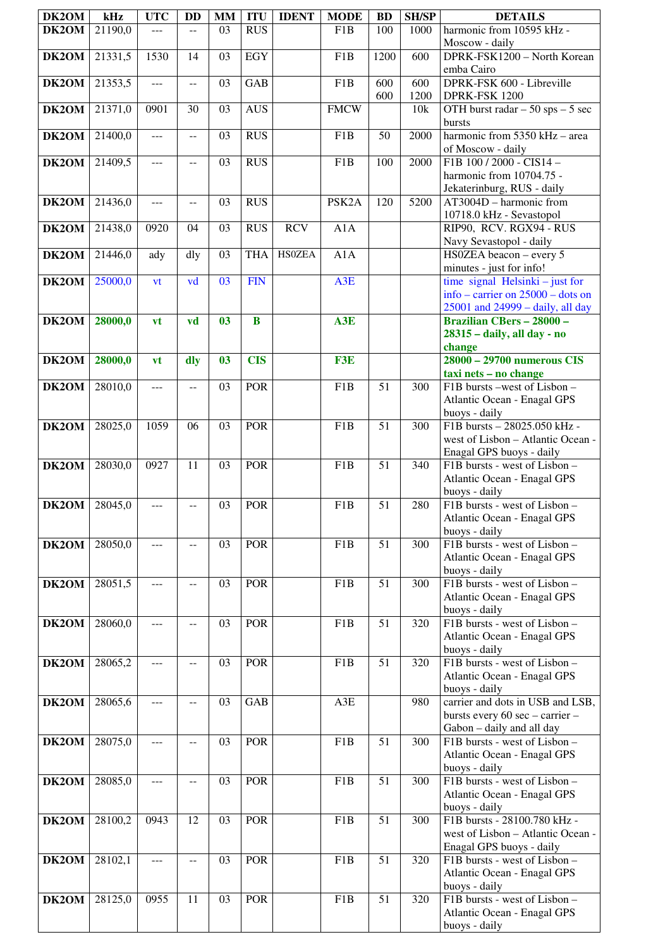| DK2OM                | kHz     | <b>UTC</b>     | <b>DD</b>      | <b>MM</b> | <b>ITU</b> | <b>IDENT</b>  | <b>MODE</b>        | <b>BD</b>       | <b>SH/SP</b> | <b>DETAILS</b>                                                                                               |
|----------------------|---------|----------------|----------------|-----------|------------|---------------|--------------------|-----------------|--------------|--------------------------------------------------------------------------------------------------------------|
| DK2OM                | 21190,0 | ---            | $\overline{a}$ | 03        | <b>RUS</b> |               | F1B                | 100             | 1000         | harmonic from 10595 kHz -                                                                                    |
|                      |         |                |                |           |            |               |                    |                 |              | Moscow - daily                                                                                               |
| DK2OM                | 21331,5 | 1530           | 14             | 03        | <b>EGY</b> |               | F1B                | 1200            | 600          | DPRK-FSK1200 - North Korean<br>emba Cairo                                                                    |
| DK2OM                | 21353,5 | $ -$           | $\overline{a}$ | 03        | <b>GAB</b> |               | F1B                | 600<br>600      | 600<br>1200  | DPRK-FSK 600 - Libreville<br>DPRK-FSK 1200                                                                   |
| DK2OM                | 21371,0 | 0901           | 30             | 03        | <b>AUS</b> |               | <b>FMCW</b>        |                 | 10k          | OTH burst radar $-50$ sps $-5$ sec                                                                           |
| DK2OM                | 21400,0 | ---            | $\overline{a}$ | 03        | <b>RUS</b> |               | F1B                | 50              | 2000         | bursts<br>harmonic from 5350 kHz - area                                                                      |
|                      |         |                |                |           |            |               |                    |                 |              | of Moscow - daily                                                                                            |
| DK2OM                | 21409,5 | ---            | $-$            | 03        | <b>RUS</b> |               | F1B                | 100             | 2000         | F1B 100 / 2000 - CIS14 -<br>harmonic from 10704.75 -                                                         |
| DK2OM                | 21436,0 | $---$          | $-$            | 03        | <b>RUS</b> |               | PSK <sub>2</sub> A | 120             | 5200         | Jekaterinburg, RUS - daily<br>$AT3004D - harmonic from$                                                      |
| DK2OM                | 21438,0 | 0920           | 04             | 03        | <b>RUS</b> | <b>RCV</b>    | A1A                |                 |              | 10718.0 kHz - Sevastopol<br>RIP90, RCV. RGX94 - RUS                                                          |
|                      |         |                |                |           |            |               |                    |                 |              | Navy Sevastopol - daily                                                                                      |
| <b>DK2OM</b>         | 21446,0 | ady            | dly            | 03        | <b>THA</b> | <b>HSOZEA</b> | A1A                |                 |              | HS0ZEA beacon - every 5<br>minutes - just for info!                                                          |
| DK2OM                | 25000,0 | vt             | vd             | 03        | <b>FIN</b> |               | A3E                |                 |              | time signal Helsinki $-$ just for<br>info – carrier on $25000$ – dots on<br>25001 and 24999 - daily, all day |
| <b>DK2OM</b>         | 28000,0 | <b>vt</b>      | vd             | 03        | $\bf{B}$   |               | A3E                |                 |              | <b>Brazilian CBers - 28000 -</b>                                                                             |
|                      |         |                |                |           |            |               |                    |                 |              | 28315 - daily, all day - no<br>change                                                                        |
| <b>DK2OM</b>         | 28000,0 | vt             | dly            | 03        | <b>CIS</b> |               | F3E                |                 |              | 28000 - 29700 numerous CIS<br>taxi nets - no change                                                          |
| <b>DK2OM</b>         | 28010,0 | $\overline{a}$ | $- -$          | 03        | <b>POR</b> |               | F1B                | 51              | 300          | F1B bursts -west of Lisbon -                                                                                 |
|                      |         |                |                |           |            |               |                    |                 |              | Atlantic Ocean - Enagal GPS                                                                                  |
|                      |         |                |                |           |            |               |                    |                 |              | buoys - daily                                                                                                |
| <b>DK2OM</b>         | 28025,0 | 1059           | 06             | 03        | <b>POR</b> |               | F <sub>1</sub> B   | 51              | 300          | F1B bursts - 28025.050 kHz -                                                                                 |
|                      |         |                |                |           |            |               |                    |                 |              | west of Lisbon - Atlantic Ocean -<br>Enagal GPS buoys - daily                                                |
| DK2OM                | 28030,0 | 0927           | 11             | 03        | <b>POR</b> |               | F <sub>1</sub> B   | 51              | 340          | F1B bursts - west of Lisbon -                                                                                |
|                      |         |                |                |           |            |               |                    |                 |              | Atlantic Ocean - Enagal GPS                                                                                  |
|                      |         |                |                |           |            |               |                    |                 |              | buoys - daily                                                                                                |
| <b>DK2OM</b> 28045,0 |         |                |                | 03        | <b>POR</b> |               | F1B                | $\overline{51}$ | 280          | F1B bursts - west of Lisbon -<br>Atlantic Ocean - Enagal GPS                                                 |
|                      |         |                |                |           |            |               |                    |                 |              | buoys - daily                                                                                                |
| DK2OM                | 28050,0 | ---            | $-$            | 03        | <b>POR</b> |               | F1B                | 51              | 300          | F1B bursts - west of Lisbon -                                                                                |
|                      |         |                |                |           |            |               |                    |                 |              | Atlantic Ocean - Enagal GPS                                                                                  |
|                      |         |                |                |           |            |               |                    |                 |              | buoys - daily                                                                                                |
| DK2OM                | 28051,5 | ---            | $\overline{a}$ | 03        | POR        |               | F1B                | 51              | 300          | F1B bursts - west of Lisbon -<br>Atlantic Ocean - Enagal GPS                                                 |
|                      |         |                |                |           |            |               |                    |                 |              | buoys - daily                                                                                                |
| DK2OM                | 28060,0 | $---$          | $-$            | 03        | <b>POR</b> |               | F1B                | 51              | 320          | F1B bursts - west of Lisbon -                                                                                |
|                      |         |                |                |           |            |               |                    |                 |              | Atlantic Ocean - Enagal GPS                                                                                  |
| DK2OM                | 28065,2 |                |                | 03        | <b>POR</b> |               | F1B                | 51              | 320          | buoys - daily<br>F1B bursts - west of Lisbon -                                                               |
|                      |         | ---            |                |           |            |               |                    |                 |              | Atlantic Ocean - Enagal GPS                                                                                  |
|                      |         |                |                |           |            |               |                    |                 |              | buoys - daily                                                                                                |
| DK2OM                | 28065,6 | $ -$           | $-$            | 03        | <b>GAB</b> |               | A3E                |                 | 980          | carrier and dots in USB and LSB,                                                                             |
|                      |         |                |                |           |            |               |                    |                 |              | bursts every 60 sec - carrier -<br>Gabon - daily and all day                                                 |
| DK2OM                | 28075,0 | <u></u>        | $-$            | 03        | <b>POR</b> |               | F <sub>1</sub> B   | 51              | 300          | F1B bursts - west of Lisbon -                                                                                |
|                      |         |                |                |           |            |               |                    |                 |              | Atlantic Ocean - Enagal GPS                                                                                  |
|                      |         |                |                |           |            |               |                    |                 |              | buoys - daily                                                                                                |
| DK2OM                | 28085,0 | ---            | $-$            | 03        | <b>POR</b> |               | F1B                | 51              | 300          | F1B bursts - west of Lisbon -                                                                                |
|                      |         |                |                |           |            |               |                    |                 |              | Atlantic Ocean - Enagal GPS<br>buoys - daily                                                                 |
| DK2OM                | 28100,2 | 0943           | 12             | 03        | <b>POR</b> |               | F <sub>1</sub> B   | 51              | 300          | F1B bursts - 28100.780 kHz -                                                                                 |
|                      |         |                |                |           |            |               |                    |                 |              | west of Lisbon - Atlantic Ocean -                                                                            |
|                      |         |                |                |           |            |               |                    |                 |              | Enagal GPS buoys - daily                                                                                     |
| DK2OM                | 28102,1 |                | $-$            | 03        | <b>POR</b> |               | F1B                | 51              | 320          | F1B bursts - west of Lisbon -                                                                                |
|                      |         |                |                |           |            |               |                    |                 |              | Atlantic Ocean - Enagal GPS<br>buoys - daily                                                                 |
| DK2OM                | 28125,0 | 0955           | 11             | 03        | <b>POR</b> |               | F1B                | 51              | 320          | F1B bursts - west of Lisbon -                                                                                |
|                      |         |                |                |           |            |               |                    |                 |              | Atlantic Ocean - Enagal GPS                                                                                  |
|                      |         |                |                |           |            |               |                    |                 |              | buoys - daily                                                                                                |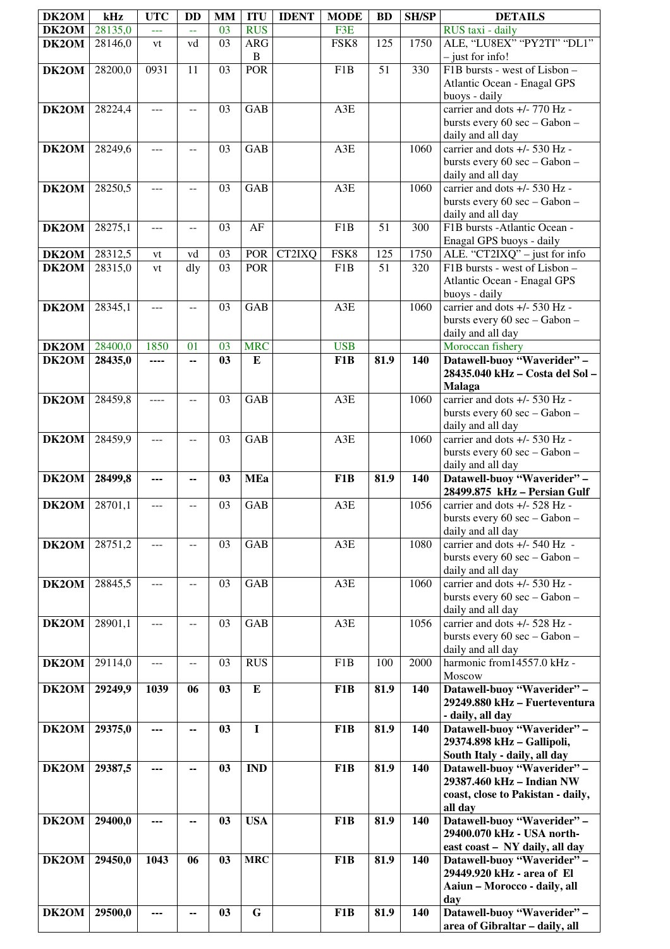| DK2OM | kHz     | <b>UTC</b> | <b>DD</b>                | <b>MM</b> | <b>ITU</b>  | <b>IDENT</b> | <b>MODE</b>      | <b>BD</b> | <b>SH/SP</b> | <b>DETAILS</b>                                                 |
|-------|---------|------------|--------------------------|-----------|-------------|--------------|------------------|-----------|--------------|----------------------------------------------------------------|
| DK2OM | 28135,0 | 222        | u.                       | 03        | <b>RUS</b>  |              | F3E              |           |              | RUS taxi - daily                                               |
| DK2OM | 28146,0 | vt         | vd                       | 03        | <b>ARG</b>  |              | FSK8             | 125       | 1750         | ALE, "LU8EX" "PY2TI" "DL1"                                     |
|       |         |            |                          |           | $\bf{B}$    |              |                  |           |              | $-$ just for info!                                             |
| DK2OM | 28200,0 | 0931       | 11                       | 03        | POR         |              | F1B              | 51        | 330          | F1B bursts - west of Lisbon -                                  |
|       |         |            |                          |           |             |              |                  |           |              | Atlantic Ocean - Enagal GPS                                    |
|       |         |            |                          |           |             |              |                  |           |              | buoys - daily                                                  |
| DK2OM | 28224,4 | $ -$       | $\mathbf{u}$             | 03        | GAB         |              | A3E              |           |              | carrier and dots +/- 770 Hz -                                  |
|       |         |            |                          |           |             |              |                  |           |              | bursts every 60 sec - Gabon -                                  |
|       |         |            |                          |           |             |              |                  |           |              | daily and all day                                              |
| DK2OM | 28249,6 | ---        | $-$                      | 03        | GAB         |              | A3E              |           | 1060         | carrier and dots +/- 530 Hz -                                  |
|       |         |            |                          |           |             |              |                  |           |              | bursts every 60 sec - Gabon -                                  |
|       |         |            |                          |           |             |              |                  |           |              | daily and all day                                              |
| DK2OM | 28250,5 | $ -$       | $-$                      | 03        | <b>GAB</b>  |              | A3E              |           | 1060         | carrier and dots +/- 530 Hz -                                  |
|       |         |            |                          |           |             |              |                  |           |              | bursts every 60 sec - Gabon -                                  |
|       |         |            |                          |           |             |              |                  |           |              | daily and all day                                              |
| DK2OM | 28275,1 | ---        | $-$                      | 03        | AF          |              | F1B              | 51        | 300          | F1B bursts - Atlantic Ocean -                                  |
|       |         |            |                          |           |             |              |                  |           |              | Enagal GPS buoys - daily                                       |
| DK2OM | 28312,5 | vt         | vd                       | 03        | POR         | CT2IXQ       | FSK8             | 125       | 1750         | ALE. "CT2IXQ" - just for info                                  |
| DK2OM | 28315,0 | vt         | dly                      | 03        | <b>POR</b>  |              | F1B              | 51        | 320          | F1B bursts - west of Lisbon -                                  |
|       |         |            |                          |           |             |              |                  |           |              | Atlantic Ocean - Enagal GPS                                    |
|       |         |            |                          |           |             |              |                  |           |              | buoys - daily                                                  |
| DK2OM | 28345,1 | ---        | $-$                      | 03        | GAB         |              | A3E              |           | 1060         | carrier and dots +/- 530 Hz -<br>bursts every 60 sec - Gabon - |
|       |         |            |                          |           |             |              |                  |           |              | daily and all day                                              |
| DK2OM | 28400,0 | 1850       | 01                       | 03        | <b>MRC</b>  |              | <b>USB</b>       |           |              | Moroccan fishery                                               |
| DK2OM | 28435,0 | ----       | ۰.                       | 03        | ${\bf E}$   |              | F1B              | 81.9      | 140          | Datawell-buoy "Waverider" -                                    |
|       |         |            |                          |           |             |              |                  |           |              | 28435.040 kHz - Costa del Sol -                                |
|       |         |            |                          |           |             |              |                  |           |              | <b>Malaga</b>                                                  |
| DK2OM | 28459,8 | ----       | $- -$                    | 03        | GAB         |              | A3E              |           | 1060         | carrier and dots +/- 530 Hz -                                  |
|       |         |            |                          |           |             |              |                  |           |              | bursts every 60 sec - Gabon -                                  |
|       |         |            |                          |           |             |              |                  |           |              | daily and all day                                              |
| DK2OM | 28459,9 |            |                          | 03        | GAB         |              | A3E              |           | 1060         | carrier and dots +/- 530 Hz -                                  |
|       |         |            |                          |           |             |              |                  |           |              | bursts every 60 sec - Gabon -                                  |
|       |         |            |                          |           |             |              |                  |           |              | daily and all day                                              |
| DK2OM | 28499,8 | ---        | ۰.                       | 03        | <b>MEa</b>  |              | F1B              | 81.9      | 140          | Datawell-buoy "Waverider" -                                    |
| DK2OM | 28701,1 | ---        |                          | 03        | GAB         |              | A3E              |           | 1056         | 28499.875 kHz - Persian Gulf                                   |
|       |         |            | $-$                      |           |             |              |                  |           |              | carrier and dots +/- 528 Hz -<br>bursts every 60 sec - Gabon - |
|       |         |            |                          |           |             |              |                  |           |              | daily and all day                                              |
| DK2OM | 28751,2 | $---$      | $- -$                    | 03        | <b>GAB</b>  |              | A3E              |           | 1080         | carrier and dots $+/- 540$ Hz -                                |
|       |         |            |                          |           |             |              |                  |           |              | bursts every 60 sec - Gabon -                                  |
|       |         |            |                          |           |             |              |                  |           |              | daily and all day                                              |
| DK2OM | 28845,5 | ---        | $\overline{a}$           | 03        | <b>GAB</b>  |              | A3E              |           | 1060         | carrier and dots $+/- 530$ Hz -                                |
|       |         |            |                          |           |             |              |                  |           |              | bursts every 60 sec - Gabon -                                  |
|       |         |            |                          |           |             |              |                  |           |              | daily and all day                                              |
| DK2OM | 28901,1 | ---        | $-$                      | 03        | <b>GAB</b>  |              | A3E              |           | 1056         | carrier and dots +/- 528 Hz -                                  |
|       |         |            |                          |           |             |              |                  |           |              | bursts every 60 sec - Gabon -                                  |
|       |         |            |                          |           |             |              |                  |           |              | daily and all day                                              |
| DK2OM | 29114,0 | ---        | $\overline{\phantom{a}}$ | 03        | <b>RUS</b>  |              | F1B              | 100       | 2000         | harmonic from 14557.0 kHz -                                    |
|       |         |            |                          |           |             |              |                  |           |              | Moscow                                                         |
| DK2OM | 29249,9 | 1039       | 06                       | 03        | ${\bf E}$   |              | F1B              | 81.9      | 140          | Datawell-buoy "Waverider" -                                    |
|       |         |            |                          |           |             |              |                  |           |              | 29249.880 kHz - Fuerteventura                                  |
|       |         |            |                          |           |             |              |                  |           |              | - daily, all day                                               |
| DK2OM | 29375,0 |            | ۰.                       | 03        | $\mathbf I$ |              | F1B              | 81.9      | 140          | Datawell-buoy "Waverider" -                                    |
|       |         |            |                          |           |             |              |                  |           |              | 29374.898 kHz - Gallipoli,<br>South Italy - daily, all day     |
| DK2OM | 29387,5 |            | --                       | 03        | <b>IND</b>  |              | F1B              | 81.9      | 140          | Datawell-buoy "Waverider" -                                    |
|       |         |            |                          |           |             |              |                  |           |              | 29387.460 kHz - Indian NW                                      |
|       |         |            |                          |           |             |              |                  |           |              | coast, close to Pakistan - daily,                              |
|       |         |            |                          |           |             |              |                  |           |              | all day                                                        |
| DK2OM | 29400,0 | ---        | --                       | 03        | <b>USA</b>  |              | F <sub>1</sub> B | 81.9      | 140          | Datawell-buoy "Waverider" -                                    |
|       |         |            |                          |           |             |              |                  |           |              | 29400.070 kHz - USA north-                                     |
|       |         |            |                          |           |             |              |                  |           |              | east coast - NY daily, all day                                 |
| DK2OM | 29450,0 | 1043       | 06                       | 03        | <b>MRC</b>  |              | F1B              | 81.9      | 140          | Datawell-buoy "Waverider" -                                    |
|       |         |            |                          |           |             |              |                  |           |              | 29449.920 kHz - area of El                                     |
|       |         |            |                          |           |             |              |                  |           |              | Aaiun - Morocco - daily, all                                   |
|       |         |            |                          |           |             |              |                  |           |              | day                                                            |
| DK2OM | 29500,0 |            | --                       | 03        | ${\bf G}$   |              | F1B              | 81.9      | 140          | Datawell-buoy "Waverider" -<br>area of Gibraltar - daily, all  |
|       |         |            |                          |           |             |              |                  |           |              |                                                                |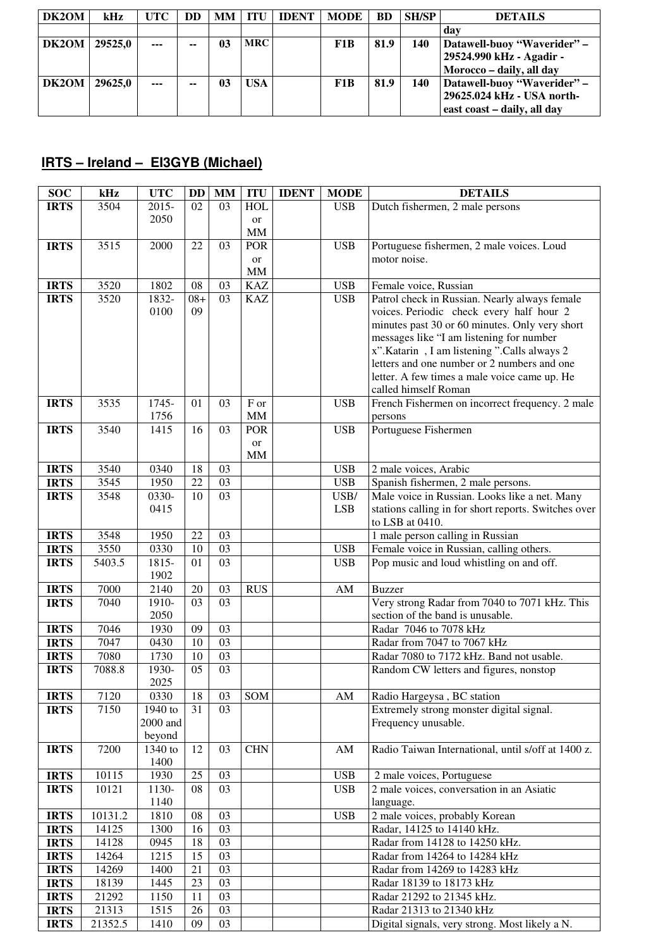| DK2OM | kHz     | UTC- | DD | <b>MM</b> | ITU        | <b>IDENT</b> | <b>MODE</b> | <b>BD</b> | <b>SH/SP</b> | <b>DETAILS</b>                                                                           |
|-------|---------|------|----|-----------|------------|--------------|-------------|-----------|--------------|------------------------------------------------------------------------------------------|
|       |         |      |    |           |            |              |             |           |              | dav                                                                                      |
| DK2OM | 29525.0 | ---  | -- | 03        | <b>MRC</b> |              | F1B         | 81.9      | 140          | Datawell-buoy "Waverider" –<br>29524.990 kHz - Agadir -<br>Morocco - daily, all day      |
| DK2OM | 29625.0 | ---  | -- | 03        | <b>USA</b> |              | F1B         | 81.9      | 140          | Datawell-buoy "Waverider" -<br>29625.024 kHz - USA north-<br>east coast - daily, all day |

## **IRTS – Ireland – EI3GYB (Michael)**

| <b>SOC</b>                 | kHz            | <b>UTC</b>    | <b>DD</b> | <b>MM</b>       | <b>ITU</b>              | <b>IDENT</b> | <b>MODE</b>            | <b>DETAILS</b>                                       |
|----------------------------|----------------|---------------|-----------|-----------------|-------------------------|--------------|------------------------|------------------------------------------------------|
| <b>IRTS</b>                | 3504           | $2015 -$      | 02        | 03              | <b>HOL</b>              |              | <b>USB</b>             | Dutch fishermen, 2 male persons                      |
|                            |                | 2050          |           |                 | <b>or</b>               |              |                        |                                                      |
|                            |                |               |           |                 | $\text{MM}{}$           |              |                        |                                                      |
| <b>IRTS</b>                | 3515           | 2000          | 22        | 03              | <b>POR</b>              |              | <b>USB</b>             | Portuguese fishermen, 2 male voices. Loud            |
|                            |                |               |           |                 | <b>or</b>               |              |                        | motor noise.                                         |
|                            |                |               |           |                 | MM                      |              |                        |                                                      |
| <b>IRTS</b>                | 3520           | 1802          | 08        | 03              | <b>KAZ</b>              |              | <b>USB</b>             | Female voice, Russian                                |
| <b>IRTS</b>                | 3520           | 1832-         | $08+$     | 03              | <b>KAZ</b>              |              | <b>USB</b>             | Patrol check in Russian. Nearly always female        |
|                            |                | 0100          | 09        |                 |                         |              |                        | voices. Periodic check every half hour 2             |
|                            |                |               |           |                 |                         |              |                        | minutes past 30 or 60 minutes. Only very short       |
|                            |                |               |           |                 |                         |              |                        | messages like "I am listening for number             |
|                            |                |               |           |                 |                         |              |                        | x".Katarin, I am listening ".Calls always 2          |
|                            |                |               |           |                 |                         |              |                        | letters and one number or 2 numbers and one          |
|                            |                |               |           |                 |                         |              |                        | letter. A few times a male voice came up. He         |
|                            |                |               |           |                 |                         |              |                        | called himself Roman                                 |
| <b>IRTS</b>                | 3535           | 1745-         | 01        | 03              | F or                    |              | <b>USB</b>             | French Fishermen on incorrect frequency. 2 male      |
| <b>IRTS</b>                | 3540           | 1756<br>1415  | 16        | 03              | <b>MM</b><br><b>POR</b> |              | <b>USB</b>             | persons<br>Portuguese Fishermen                      |
|                            |                |               |           |                 |                         |              |                        |                                                      |
|                            |                |               |           |                 | or<br><b>MM</b>         |              |                        |                                                      |
| <b>IRTS</b>                | 3540           | 0340          | 18        | 03              |                         |              | <b>USB</b>             | 2 male voices, Arabic                                |
| <b>IRTS</b>                | 3545           | 1950          | 22        | 03              |                         |              | <b>USB</b>             | Spanish fishermen, 2 male persons.                   |
| <b>IRTS</b>                | 3548           | 0330-         | 10        | 03              |                         |              | USB/                   | Male voice in Russian. Looks like a net. Many        |
|                            |                | 0415          |           |                 |                         |              | <b>LSB</b>             | stations calling in for short reports. Switches over |
|                            |                |               |           |                 |                         |              |                        | to LSB at 0410.                                      |
| <b>IRTS</b>                | 3548           | 1950          | 22        | 03              |                         |              |                        | 1 male person calling in Russian                     |
| <b>IRTS</b>                | 3550           | 0330          | 10        | 03              |                         |              | <b>USB</b>             | Female voice in Russian, calling others.             |
| <b>IRTS</b>                | 5403.5         | 1815-         | 01        | 03              |                         |              | <b>USB</b>             | Pop music and loud whistling on and off.             |
|                            |                | 1902          |           |                 |                         |              |                        |                                                      |
| <b>IRTS</b>                | 7000           | 2140          | 20        | 03              | <b>RUS</b>              |              | AM                     | <b>Buzzer</b>                                        |
| <b>IRTS</b>                | 7040           | 1910-         | 03        | $\overline{03}$ |                         |              |                        | Very strong Radar from 7040 to 7071 kHz. This        |
|                            |                | 2050          |           |                 |                         |              |                        | section of the band is unusable.                     |
| <b>IRTS</b>                | 7046           | 1930          | 09        | 03              |                         |              |                        | Radar 7046 to 7078 kHz                               |
| <b>IRTS</b>                | 7047           | 0430          | 10        | 03<br>03        |                         |              |                        | Radar from 7047 to 7067 kHz                          |
| <b>IRTS</b><br><b>IRTS</b> | 7080<br>7088.8 | 1730<br>1930- | 10<br>05  | 03              |                         |              |                        | Radar 7080 to 7172 kHz. Band not usable.             |
|                            |                | 2025          |           |                 |                         |              |                        | Random CW letters and figures, nonstop               |
| <b>IRTS</b>                | 7120           | 0330          | 18        | 03              | SOM                     |              | $\mathbf{A}\mathbf{M}$ | Radio Hargeysa, BC station                           |
| <b>IRTS</b>                | 7150           | 1940 to       | 31        | 03              |                         |              |                        | Extremely strong monster digital signal.             |
|                            |                | 2000 and      |           |                 |                         |              |                        | Frequency unusable.                                  |
|                            |                | beyond        |           |                 |                         |              |                        |                                                      |
| <b>IRTS</b>                | 7200           | 1340 to       | 12        | 03              | <b>CHN</b>              |              | AM                     | Radio Taiwan International, until s/off at 1400 z.   |
|                            |                | 1400          |           |                 |                         |              |                        |                                                      |
| <b>IRTS</b>                | 10115          | 1930          | 25        | 03              |                         |              | <b>USB</b>             | 2 male voices, Portuguese                            |
| <b>IRTS</b>                | 10121          | 1130-         | 08        | 03              |                         |              | <b>USB</b>             | 2 male voices, conversation in an Asiatic            |
|                            |                | 1140          |           |                 |                         |              |                        | language.                                            |
| <b>IRTS</b>                | 10131.2        | 1810          | 08        | 03              |                         |              | <b>USB</b>             | 2 male voices, probably Korean                       |
| <b>IRTS</b>                | 14125          | 1300          | 16        | 03              |                         |              |                        | Radar, 14125 to 14140 kHz.                           |
| <b>IRTS</b>                | 14128          | 0945          | 18        | 03              |                         |              |                        | Radar from 14128 to 14250 kHz.                       |
| <b>IRTS</b>                | 14264          | 1215          | 15        | 03              |                         |              |                        | Radar from 14264 to 14284 kHz                        |
| <b>IRTS</b>                | 14269          | 1400          | 21        | 03              |                         |              |                        | Radar from 14269 to 14283 kHz                        |
| <b>IRTS</b>                | 18139          | 1445          | 23        | 03              |                         |              |                        | Radar 18139 to 18173 kHz                             |
| <b>IRTS</b>                | 21292          | 1150          | 11        | 03              |                         |              |                        | Radar 21292 to 21345 kHz.                            |
| <b>IRTS</b>                | 21313          | 1515          | 26        | 03              |                         |              |                        | Radar 21313 to 21340 kHz                             |
| <b>IRTS</b>                | 21352.5        | 1410          | 09        | 03              |                         |              |                        | Digital signals, very strong. Most likely a N.       |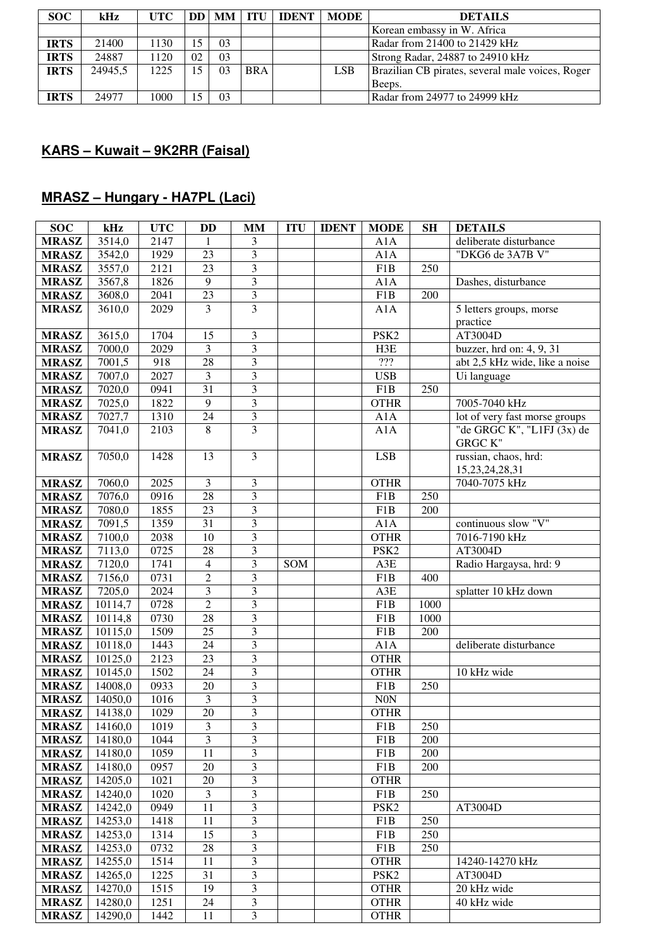| <b>SOC</b>  | kHz     | UTC  | DD | MM             | TTU        | <b>IDENT</b> | <b>MODE</b> | <b>DETAILS</b>                                   |
|-------------|---------|------|----|----------------|------------|--------------|-------------|--------------------------------------------------|
|             |         |      |    |                |            |              |             | Korean embassy in W. Africa                      |
| <b>IRTS</b> | 21400   | 1130 |    | 03             |            |              |             | Radar from 21400 to 21429 kHz                    |
| <b>IRTS</b> | 24887   | 1120 | 02 | 0 <sub>3</sub> |            |              |             | Strong Radar, 24887 to 24910 kHz                 |
| <b>IRTS</b> | 24945.5 | 1225 |    | 03             | <b>BRA</b> |              | LSB         | Brazilian CB pirates, several male voices, Roger |
|             |         |      |    |                |            |              |             | Beeps.                                           |
| <b>IRTS</b> | 24977   | 1000 |    | 03             |            |              |             | Radar from 24977 to 24999 kHz                    |

## **KARS – Kuwait – 9K2RR (Faisal)**

# **MRASZ – Hungary - HA7PL (Laci)**

| <b>SOC</b>                   | kHz                | <b>UTC</b>   | DD                      | MМ                      | <b>ITU</b> | <b>IDENT</b> | <b>MODE</b>                      | <b>SH</b> | <b>DETAILS</b>                 |
|------------------------------|--------------------|--------------|-------------------------|-------------------------|------------|--------------|----------------------------------|-----------|--------------------------------|
| <b>MRASZ</b>                 | 3514,0             | 2147         | 1                       | 3                       |            |              | A1A                              |           | deliberate disturbance         |
| <b>MRASZ</b>                 | 3542,0             | 1929         | 23                      | 3                       |            |              | A1A                              |           | "DKG6 de 3A7B V"               |
| <b>MRASZ</b>                 | 3557,0             | 2121         | 23                      | 3                       |            |              | F1B                              | 250       |                                |
| <b>MRASZ</b>                 | 3567,8             | 1826         | 9                       | 3                       |            |              | A1A                              |           | Dashes, disturbance            |
| <b>MRASZ</b>                 | 3608,0             | 2041         | 23                      | 3                       |            |              | F1B                              | 200       |                                |
| <b>MRASZ</b>                 | 3610,0             | 2029         | 3                       | 3                       |            |              | A1A                              |           | 5 letters groups, morse        |
|                              |                    |              |                         |                         |            |              |                                  |           | practice                       |
| <b>MRASZ</b>                 | 3615,0             | 1704         | 15                      | 3                       |            |              | PSK <sub>2</sub>                 |           | AT3004D                        |
| <b>MRASZ</b>                 | 7000,0             | 2029         | $\mathfrak{Z}$          | 3                       |            |              | H3E                              |           | buzzer, hrd on: 4, 9, 31       |
| <b>MRASZ</b>                 | 7001,5             | 918          | 28                      | 3                       |            |              | $\mathbf{?}\mathbf{?}\mathbf{?}$ |           | abt 2,5 kHz wide, like a noise |
| <b>MRASZ</b>                 | 7007,0             | 2027         | $\mathfrak{Z}$          | 3                       |            |              | <b>USB</b>                       |           | Ui language                    |
| <b>MRASZ</b>                 | 7020,0             | 0941         | 31                      | 3                       |            |              | F1B                              | 250       |                                |
| <b>MRASZ</b>                 | 7025,0             | 1822         | 9                       | $\overline{\mathbf{3}}$ |            |              | <b>OTHR</b>                      |           | 7005-7040 kHz                  |
| <b>MRASZ</b>                 | 7027,7             | 1310         | 24                      | 3                       |            |              | A1A                              |           | lot of very fast morse groups  |
| <b>MRASZ</b>                 | 7041,0             | 2103         | 8                       | $\overline{3}$          |            |              | A1A                              |           | "de GRGC K", "L1FJ (3x) de     |
|                              |                    |              |                         |                         |            |              |                                  |           | <b>GRGC K"</b>                 |
| <b>MRASZ</b>                 | 7050,0             | 1428         | 13                      | 3                       |            |              | <b>LSB</b>                       |           | russian, chaos, hrd:           |
|                              |                    |              |                         |                         |            |              |                                  |           | 15,23,24,28,31                 |
| <b>MRASZ</b>                 | 7060,0             | 2025         | $\overline{\mathbf{3}}$ | 3                       |            |              | <b>OTHR</b>                      |           | 7040-7075 kHz                  |
| <b>MRASZ</b>                 | 7076,0             | 0916         | 28                      | $\overline{\mathbf{3}}$ |            |              | F1B                              | 250       |                                |
| <b>MRASZ</b>                 | 7080,0             | 1855         | $\overline{23}$         | $\overline{\mathbf{3}}$ |            |              | F1B                              | 200       |                                |
| <b>MRASZ</b>                 | 7091,5             | 1359         | $\overline{31}$         | $\overline{\mathbf{3}}$ |            |              | A1A                              |           | continuous slow "V"            |
| <b>MRASZ</b>                 | 7100,0             | 2038         | $\overline{10}$         | 3                       |            |              | <b>OTHR</b>                      |           | 7016-7190 kHz                  |
| <b>MRASZ</b>                 | 7113,0             | 0725         | 28                      | $\overline{\mathbf{3}}$ |            |              | PSK <sub>2</sub>                 |           | AT3004D                        |
| <b>MRASZ</b>                 | 7120,0             | 1741         | $\overline{4}$          | 3                       | SOM        |              | A3E                              |           | Radio Hargaysa, hrd: 9         |
| <b>MRASZ</b>                 | 7156,0             | 0731         | $\overline{2}$          | 3                       |            |              | F1B                              | 400       |                                |
| <b>MRASZ</b>                 | 7205,0             | 2024         | 3                       | 3                       |            |              | A3E                              |           | splatter 10 kHz down           |
| <b>MRASZ</b>                 | 10114,7            | 0728         | $\overline{2}$          | 3                       |            |              | F1B                              | 1000      |                                |
| <b>MRASZ</b>                 | 10114,8            | 0730         | 28                      | 3                       |            |              | F1B                              | 1000      |                                |
| <b>MRASZ</b>                 | 10115,0            | 1509         | 25                      | 3                       |            |              | F1B                              | 200       |                                |
| <b>MRASZ</b>                 | 10118,0            | 1443         | 24                      | 3                       |            |              | A1A                              |           | deliberate disturbance         |
| <b>MRASZ</b>                 | 10125,0            | 2123         | 23                      | 3                       |            |              | <b>OTHR</b>                      |           |                                |
| <b>MRASZ</b>                 | 10145,0            | 1502         | $\overline{24}$         | 3                       |            |              | <b>OTHR</b>                      |           | 10 kHz wide                    |
| <b>MRASZ</b>                 | 14008,0            | 0933         | $\overline{20}$         | 3                       |            |              | F1B                              | 250       |                                |
| <b>MRASZ</b>                 | 14050,0            | 1016         | 3                       | $\overline{\mathbf{3}}$ |            |              | N0N                              |           |                                |
| <b>MRASZ</b>                 | 14138,0            | 1029         | $\overline{20}$         | 3                       |            |              | <b>OTHR</b>                      |           |                                |
| <b>MRASZ</b>                 | 14160,0            | 1019         | $\overline{3}$          | $\overline{3}$          |            |              | F1B                              | 250       |                                |
| <b>MRASZ</b>                 | 14180,0            | 1044         | 3                       | 3                       |            |              | F1B                              | 200       |                                |
| <b>MRASZ</b>                 | 14180,0            | 1059         | 11                      | 3                       |            |              | F1B                              | 200       |                                |
| <b>MRASZ</b>                 | 14180,0            | 0957         | 20                      | 3                       |            |              | F1B                              | 200       |                                |
| <b>MRASZ</b>                 | 14205,0            | 1021         | 20                      | 3                       |            |              | <b>OTHR</b>                      |           |                                |
| <b>MRASZ</b>                 | 14240,0            | 1020         | $\mathfrak{Z}$          | 3                       |            |              | F1B                              | 250       |                                |
| <b>MRASZ</b>                 | 14242,0            | 0949         | 11                      | 3                       |            |              | PSK <sub>2</sub>                 |           | AT3004D                        |
| <b>MRASZ</b>                 | 14253,0            | 1418         | 11<br>15                | 3<br>3                  |            |              | F1B                              | 250       |                                |
| <b>MRASZ</b>                 | 14253,0            | 1314         |                         |                         |            |              | F1B                              | 250       |                                |
| <b>MRASZ</b>                 | 14253,0            | 0732         | $28\,$<br>11            | 3<br>3                  |            |              | F1B<br><b>OTHR</b>               | 250       | 14240-14270 kHz                |
| <b>MRASZ</b>                 | 14255,0<br>14265,0 | 1514<br>1225 | 31                      | 3                       |            |              | PSK <sub>2</sub>                 |           |                                |
| <b>MRASZ</b>                 | 14270,0            | 1515         | 19                      | 3                       |            |              | <b>OTHR</b>                      |           | AT3004D<br>20 kHz wide         |
| <b>MRASZ</b><br><b>MRASZ</b> | 14280,0            | 1251         | 24                      | 3                       |            |              | <b>OTHR</b>                      |           | 40 kHz wide                    |
| <b>MRASZ</b>                 | 14290,0            | 1442         | 11                      | $\overline{3}$          |            |              | <b>OTHR</b>                      |           |                                |
|                              |                    |              |                         |                         |            |              |                                  |           |                                |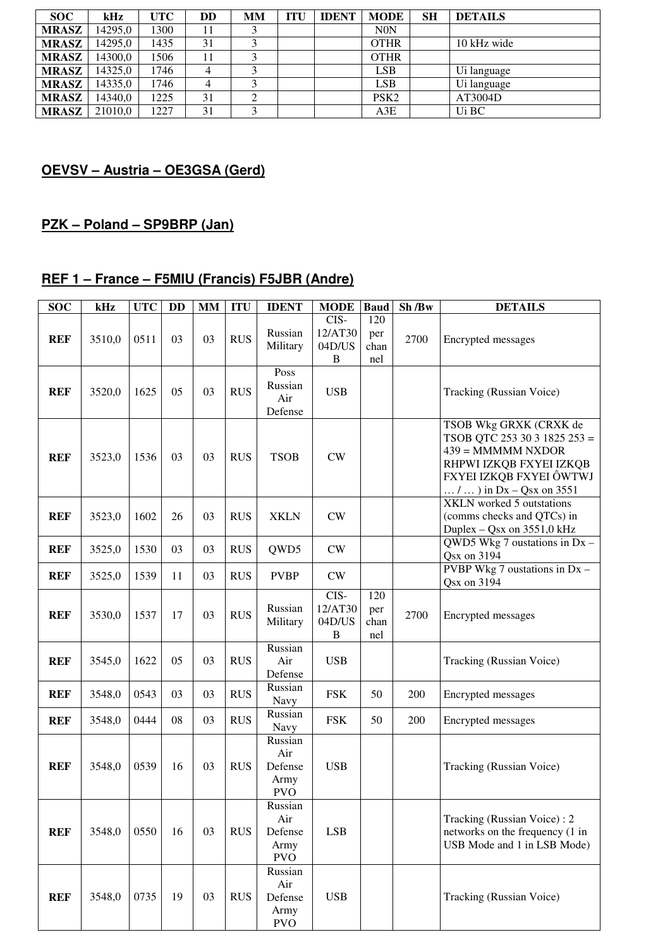| SOC.         | kHz     | UTC  | DD | MМ | <b>ITU</b> | <b>IDENT</b> | <b>MODE</b>      | SН | <b>DETAILS</b> |
|--------------|---------|------|----|----|------------|--------------|------------------|----|----------------|
| <b>MRASZ</b> | 14295,0 | 1300 |    |    |            |              | <b>N0N</b>       |    |                |
| <b>MRASZ</b> | 14295.0 | 1435 | 31 |    |            |              | <b>OTHR</b>      |    | 10 kHz wide    |
| <b>MRASZ</b> | 14300.0 | 1506 |    |    |            |              | <b>OTHR</b>      |    |                |
| <b>MRASZ</b> | 14325.0 | 1746 |    |    |            |              | <b>LSB</b>       |    | Ui language    |
| <b>MRASZ</b> | 14335.0 | 1746 | 4  |    |            |              | <b>LSB</b>       |    | Ui language    |
| <b>MRASZ</b> | 14340.0 | 1225 | 31 |    |            |              | PSK <sub>2</sub> |    | AT3004D        |
| <b>MRASZ</b> | 21010.0 | 1227 | 31 |    |            |              | A3E              |    | Ui BC          |

## **OEVSV – Austria – OE3GSA (Gerd)**

## **PZK – Poland – SP9BRP (Jan)**

#### **REF 1 – France – F5MIU (Francis) F5JBR (Andre)**

| <b>SOC</b> | kHz    | <b>UTC</b> | <b>DD</b> | <b>MM</b> | <b>ITU</b> | <b>IDENT</b>                                    | <b>MODE</b>                    | <b>Baud</b>               | Sh/Bw | <b>DETAILS</b>                                                                                                                                                  |
|------------|--------|------------|-----------|-----------|------------|-------------------------------------------------|--------------------------------|---------------------------|-------|-----------------------------------------------------------------------------------------------------------------------------------------------------------------|
| <b>REF</b> | 3510,0 | 0511       | 03        | 03        | <b>RUS</b> | Russian<br>Military                             | CIS-<br>12/AT30<br>04D/US<br>B | 120<br>per<br>chan<br>nel | 2700  | Encrypted messages                                                                                                                                              |
| <b>REF</b> | 3520,0 | 1625       | 05        | 03        | <b>RUS</b> | Poss<br>Russian<br>Air<br>Defense               | <b>USB</b>                     |                           |       | Tracking (Russian Voice)                                                                                                                                        |
| <b>REF</b> | 3523,0 | 1536       | 03        | 03        | <b>RUS</b> | <b>TSOB</b>                                     | CW                             |                           |       | TSOB Wkg GRXK (CRXK de<br>TSOB QTC 253 30 3 1825 253 =<br>$439 = MMMMM$ NXDOR<br>RHPWI IZKQB FXYEI IZKQB<br>FXYEI IZKQB FXYEI ÔWTWJ<br>$/ $ in Dx – Qsx on 3551 |
| <b>REF</b> | 3523,0 | 1602       | 26        | 03        | <b>RUS</b> | <b>XKLN</b>                                     | CW                             |                           |       | <b>XKLN</b> worked 5 outstations<br>(comms checks and QTCs) in<br>Duplex – Qsx on 3551,0 kHz                                                                    |
| <b>REF</b> | 3525,0 | 1530       | 03        | 03        | <b>RUS</b> | QWD5                                            | CW                             |                           |       | QWD5 Wkg 7 oustations in $Dx -$<br>Qsx on 3194                                                                                                                  |
| <b>REF</b> | 3525,0 | 1539       | 11        | 03        | <b>RUS</b> | <b>PVBP</b>                                     | CW                             |                           |       | PVBP Wkg 7 oustations in $Dx -$<br>Qsx on 3194                                                                                                                  |
| <b>REF</b> | 3530,0 | 1537       | 17        | 03        | <b>RUS</b> | Russian<br>Military                             | CIS-<br>12/AT30<br>04D/US<br>B | 120<br>per<br>chan<br>nel | 2700  | Encrypted messages                                                                                                                                              |
| <b>REF</b> | 3545,0 | 1622       | 05        | 03        | <b>RUS</b> | Russian<br>Air<br>Defense                       | <b>USB</b>                     |                           |       | Tracking (Russian Voice)                                                                                                                                        |
| <b>REF</b> | 3548,0 | 0543       | 03        | 03        | <b>RUS</b> | Russian<br>Navy                                 | <b>FSK</b>                     | 50                        | 200   | Encrypted messages                                                                                                                                              |
| <b>REF</b> | 3548,0 | 0444       | 08        | 03        | <b>RUS</b> | Russian<br>Navy                                 | <b>FSK</b>                     | 50                        | 200   | Encrypted messages                                                                                                                                              |
| <b>REF</b> | 3548,0 | 0539       | 16        | 03        | <b>RUS</b> | Russian<br>Air<br>Defense<br>Army<br><b>PVO</b> | <b>USB</b>                     |                           |       | Tracking (Russian Voice)                                                                                                                                        |
| <b>REF</b> | 3548,0 | 0550       | 16        | 03        | <b>RUS</b> | Russian<br>Air<br>Defense<br>Army<br><b>PVO</b> | <b>LSB</b>                     |                           |       | Tracking (Russian Voice): 2<br>networks on the frequency (1 in<br>USB Mode and 1 in LSB Mode)                                                                   |
| <b>REF</b> | 3548,0 | 0735       | 19        | 03        | <b>RUS</b> | Russian<br>Air<br>Defense<br>Army<br><b>PVO</b> | <b>USB</b>                     |                           |       | Tracking (Russian Voice)                                                                                                                                        |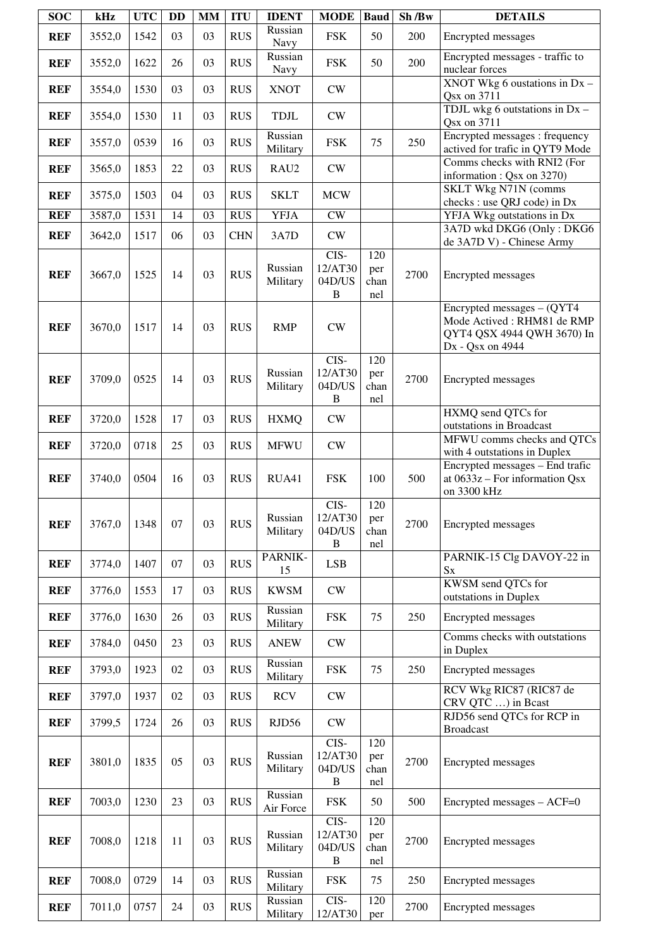| <b>SOC</b> | kHz    | <b>UTC</b> | <b>DD</b> | <b>MM</b> | <b>ITU</b> | <b>IDENT</b>         | <b>MODE</b>                               | Baud                      | Sh /Bw | <b>DETAILS</b>                                                                                               |
|------------|--------|------------|-----------|-----------|------------|----------------------|-------------------------------------------|---------------------------|--------|--------------------------------------------------------------------------------------------------------------|
| <b>REF</b> | 3552,0 | 1542       | 03        | 03        | <b>RUS</b> | Russian<br>Navy      | <b>FSK</b>                                | 50                        | 200    | Encrypted messages                                                                                           |
| <b>REF</b> | 3552,0 | 1622       | 26        | 03        | <b>RUS</b> | Russian<br>Navy      | <b>FSK</b>                                | 50                        | 200    | Encrypted messages - traffic to<br>nuclear forces                                                            |
| <b>REF</b> | 3554,0 | 1530       | 03        | 03        | <b>RUS</b> | <b>XNOT</b>          | ${\rm\bf CW}$                             |                           |        | XNOT Wkg 6 oustations in $Dx -$<br>Qsx on 3711                                                               |
| <b>REF</b> | 3554,0 | 1530       | 11        | 03        | <b>RUS</b> | <b>TDJL</b>          | ${\rm\bf CW}$                             |                           |        | TDJL wkg 6 outstations in Dx -<br>Qsx on 3711                                                                |
| <b>REF</b> | 3557,0 | 0539       | 16        | 03        | <b>RUS</b> | Russian<br>Military  | <b>FSK</b>                                | 75                        | 250    | Encrypted messages : frequency<br>actived for trafic in QYT9 Mode                                            |
| <b>REF</b> | 3565,0 | 1853       | 22        | 03        | <b>RUS</b> | RAU2                 | CW                                        |                           |        | Comms checks with RNI2 (For<br>information: Qsx on 3270)                                                     |
| <b>REF</b> | 3575,0 | 1503       | 04        | 03        | <b>RUS</b> | <b>SKLT</b>          | <b>MCW</b>                                |                           |        | SKLT Wkg N71N (comms<br>checks : use QRJ code) in Dx                                                         |
| <b>REF</b> | 3587,0 | 1531       | 14        | 03        | <b>RUS</b> | <b>YFJA</b>          | CW                                        |                           |        | YFJA Wkg outstations in Dx                                                                                   |
| <b>REF</b> | 3642,0 | 1517       | 06        | 03        | <b>CHN</b> | 3A7D                 | ${\rm\bf CW}$                             |                           |        | 3A7D wkd DKG6 (Only: DKG6<br>de 3A7D V) - Chinese Army                                                       |
| <b>REF</b> | 3667,0 | 1525       | 14        | 03        | <b>RUS</b> | Russian<br>Military  | CIS-<br>12/AT30<br>04D/US<br>$\, {\bf B}$ | 120<br>per<br>chan<br>nel | 2700   | Encrypted messages                                                                                           |
| <b>REF</b> | 3670,0 | 1517       | 14        | 03        | <b>RUS</b> | <b>RMP</b>           | CW                                        |                           |        | Encrypted messages $-$ (QYT4<br>Mode Actived: RHM81 de RMP<br>QYT4 QSX 4944 QWH 3670) In<br>Dx - Qsx on 4944 |
| <b>REF</b> | 3709,0 | 0525       | 14        | 03        | <b>RUS</b> | Russian<br>Military  | $CIS-$<br>12/AT30<br>04D/US<br>B          | 120<br>per<br>chan<br>nel | 2700   | Encrypted messages                                                                                           |
| <b>REF</b> | 3720,0 | 1528       | 17        | 03        | <b>RUS</b> | <b>HXMQ</b>          | CW                                        |                           |        | HXMQ send QTCs for<br>outstations in Broadcast                                                               |
| <b>REF</b> | 3720,0 | 0718       | 25        | 03        | <b>RUS</b> | <b>MFWU</b>          | ${\rm\bf CW}$                             |                           |        | MFWU comms checks and QTCs<br>with 4 outstations in Duplex                                                   |
| <b>REF</b> | 3740,0 | 0504       | 16        | 03        | <b>RUS</b> | RUA41                | <b>FSK</b>                                | 100                       | 500    | Encrypted messages - End trafic<br>at $0633z$ – For information Qsx<br>on 3300 kHz                           |
| <b>REF</b> | 3767,0 | 1348       | 07        | 03        | <b>RUS</b> | Russian<br>Military  | CIS-<br>12/AT30<br>04D/US<br>$\, {\bf B}$ | 120<br>per<br>chan<br>nel | 2700   | Encrypted messages                                                                                           |
| <b>REF</b> | 3774,0 | 1407       | 07        | 03        | <b>RUS</b> | PARNIK-<br>15        | <b>LSB</b>                                |                           |        | PARNIK-15 Clg DAVOY-22 in<br>$S_{X}$                                                                         |
| <b>REF</b> | 3776,0 | 1553       | 17        | 03        | <b>RUS</b> | <b>KWSM</b>          | CW                                        |                           |        | KWSM send QTCs for<br>outstations in Duplex                                                                  |
| <b>REF</b> | 3776,0 | 1630       | 26        | 03        | <b>RUS</b> | Russian<br>Military  | <b>FSK</b>                                | 75                        | 250    | Encrypted messages                                                                                           |
| <b>REF</b> | 3784,0 | 0450       | 23        | 03        | <b>RUS</b> | <b>ANEW</b>          | ${\rm\bf CW}$                             |                           |        | Comms checks with outstations<br>in Duplex                                                                   |
| <b>REF</b> | 3793,0 | 1923       | 02        | 03        | <b>RUS</b> | Russian<br>Military  | <b>FSK</b>                                | 75                        | 250    | Encrypted messages                                                                                           |
| <b>REF</b> | 3797,0 | 1937       | 02        | 03        | <b>RUS</b> | <b>RCV</b>           | CW                                        |                           |        | RCV Wkg RIC87 (RIC87 de<br>CRV QTC ) in Bcast                                                                |
| <b>REF</b> | 3799,5 | 1724       | 26        | 03        | <b>RUS</b> | RJD56                | CW                                        |                           |        | RJD56 send QTCs for RCP in<br><b>Broadcast</b>                                                               |
| <b>REF</b> | 3801,0 | 1835       | 05        | 03        | <b>RUS</b> | Russian<br>Military  | CIS-<br>12/AT30<br>04D/US<br>$\, {\bf B}$ | 120<br>per<br>chan<br>nel | 2700   | Encrypted messages                                                                                           |
| <b>REF</b> | 7003,0 | 1230       | 23        | 03        | <b>RUS</b> | Russian<br>Air Force | <b>FSK</b>                                | 50                        | 500    | $\text{Encrypted messages} - \text{ACF=0}$                                                                   |
| <b>REF</b> | 7008,0 | 1218       | 11        | 03        | <b>RUS</b> | Russian<br>Military  | CIS-<br>12/AT30<br>04D/US<br>$\, {\bf B}$ | 120<br>per<br>chan<br>nel | 2700   | Encrypted messages                                                                                           |
| <b>REF</b> | 7008,0 | 0729       | 14        | 03        | <b>RUS</b> | Russian<br>Military  | <b>FSK</b>                                | 75                        | 250    | Encrypted messages                                                                                           |
| <b>REF</b> | 7011,0 | 0757       | 24        | 03        | <b>RUS</b> | Russian<br>Military  | CIS-<br>12/AT30                           | 120<br>per                | 2700   | Encrypted messages                                                                                           |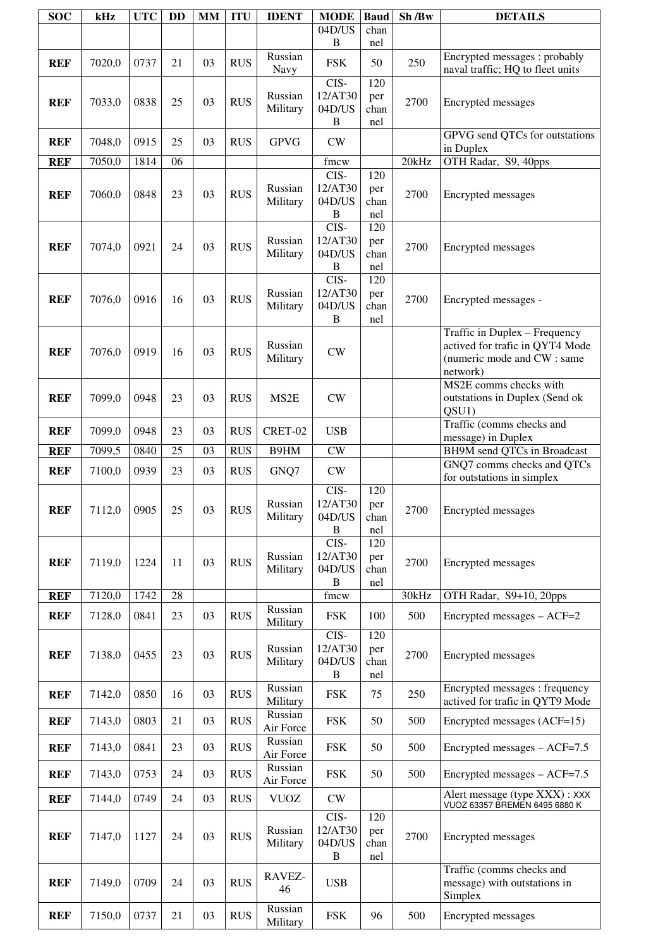| <b>SOC</b> | kHz         | <b>UTC</b> | <b>DD</b> | <b>MM</b> | <b>ITU</b> | <b>IDENT</b>         | <b>MODE</b>                               | <b>Baud</b>               | Sh/Bw | <b>DETAILS</b>                                                                                              |
|------------|-------------|------------|-----------|-----------|------------|----------------------|-------------------------------------------|---------------------------|-------|-------------------------------------------------------------------------------------------------------------|
|            |             |            |           |           |            |                      | $04D/\overline{US}$<br>$\bf{B}$           | chan<br>nel               |       |                                                                                                             |
| <b>REF</b> | 7020,0      | 0737       | 21        | 03        | <b>RUS</b> | Russian<br>Navy      | <b>FSK</b>                                | 50                        | 250   | Encrypted messages: probably<br>naval traffic; HQ to fleet units                                            |
| <b>REF</b> | 7033,0      | 0838       | 25        | 03        | <b>RUS</b> | Russian<br>Military  | $CIS-$<br>12/AT30<br>04D/US<br>B          | 120<br>per<br>chan<br>nel | 2700  | Encrypted messages                                                                                          |
| <b>REF</b> | 7048,0      | 0915       | 25        | 03        | <b>RUS</b> | <b>GPVG</b>          | CW                                        |                           |       | GPVG send QTCs for outstations<br>in Duplex                                                                 |
| <b>REF</b> | 7050,0      | 1814       | 06        |           |            |                      | fmcw                                      |                           | 20kHz | OTH Radar, S9, 40pps                                                                                        |
| <b>REF</b> | 7060,0      | 0848       | 23        | 03        | <b>RUS</b> | Russian<br>Military  | CIS-<br>12/AT30<br>04D/US<br>$\, {\bf B}$ | 120<br>per<br>chan<br>nel | 2700  | Encrypted messages                                                                                          |
| <b>REF</b> | 7074,0      | 0921       | 24        | 03        | <b>RUS</b> | Russian<br>Military  | CIS-<br>12/AT30<br>04D/US<br>$\, {\bf B}$ | 120<br>per<br>chan<br>nel | 2700  | Encrypted messages                                                                                          |
| <b>REF</b> | 7076,0      | 0916       | 16        | 03        | <b>RUS</b> | Russian<br>Military  | CIS-<br>12/AT30<br>04D/US<br>B            | 120<br>per<br>chan<br>nel | 2700  | Encrypted messages -                                                                                        |
| <b>REF</b> | 7076,0      | 0919       | 16        | 03        | <b>RUS</b> | Russian<br>Military  | CW                                        |                           |       | Traffic in Duplex - Frequency<br>actived for trafic in QYT4 Mode<br>(numeric mode and CW : same<br>network) |
| <b>REF</b> | 7099,0      | 0948       | 23        | 03        | <b>RUS</b> | MS <sub>2</sub> E    | CW                                        |                           |       | MS2E comms checks with<br>outstations in Duplex (Send ok<br>QSU1)                                           |
| <b>REF</b> | 7099,0      | 0948       | 23        | 03        | <b>RUS</b> | CRET-02              | <b>USB</b>                                |                           |       | Traffic (comms checks and<br>message) in Duplex                                                             |
| <b>REF</b> | 7099,5      | 0840       | 25        | 03        | <b>RUS</b> | B9HM                 | $\overline{\text{CW}}$                    |                           |       | <b>BH9M</b> send QTCs in Broadcast                                                                          |
| <b>REF</b> | 7100,0      | 0939       | 23        | 03        | <b>RUS</b> | GNQ7                 | ${\rm\bf CW}$                             |                           |       | GNQ7 comms checks and QTCs<br>for outstations in simplex                                                    |
| <b>REF</b> | 7112,0 0905 |            | 25        | 03        | RUS        | Russian<br>Military  | CIS-<br>12/AT30<br>04D/US<br>$\, {\bf B}$ | 120<br>per<br>chan<br>nel | 2700  | Encrypted messages                                                                                          |
| <b>REF</b> | 7119,0      | 1224       | 11        | 03        | <b>RUS</b> | Russian<br>Military  | CIS-<br>12/AT30<br>04D/US<br>B            | 120<br>per<br>chan<br>nel | 2700  | Encrypted messages                                                                                          |
| <b>REF</b> | 7120,0      | 1742       | 28        |           |            |                      | fmcw                                      |                           | 30kHz | OTH Radar, S9+10, 20pps                                                                                     |
| <b>REF</b> | 7128,0      | 0841       | 23        | 03        | <b>RUS</b> | Russian<br>Military  | <b>FSK</b>                                | 100                       | 500   | Encrypted messages - ACF=2                                                                                  |
| <b>REF</b> | 7138,0      | 0455       | 23        | 03        | <b>RUS</b> | Russian<br>Military  | CIS-<br>12/AT30<br>04D/US<br>$\, {\bf B}$ | 120<br>per<br>chan<br>nel | 2700  | Encrypted messages                                                                                          |
| <b>REF</b> | 7142,0      | 0850       | 16        | 03        | <b>RUS</b> | Russian<br>Military  | <b>FSK</b>                                | 75                        | 250   | Encrypted messages : frequency<br>actived for trafic in QYT9 Mode                                           |
| <b>REF</b> | 7143,0      | 0803       | 21        | 03        | <b>RUS</b> | Russian<br>Air Force | <b>FSK</b>                                | 50                        | 500   | Encrypted messages (ACF=15)                                                                                 |
| <b>REF</b> | 7143,0      | 0841       | 23        | 03        | <b>RUS</b> | Russian<br>Air Force | <b>FSK</b>                                | 50                        | 500   | Encrypted messages - ACF=7.5                                                                                |
| <b>REF</b> | 7143,0      | 0753       | 24        | 03        | <b>RUS</b> | Russian<br>Air Force | <b>FSK</b>                                | 50                        | 500   | Encrypted messages - ACF=7.5                                                                                |
| <b>REF</b> | 7144,0      | 0749       | 24        | 03        | <b>RUS</b> | <b>VUOZ</b>          | CW                                        |                           |       | Alert message (type XXX): XXX<br>VUOZ 63357 BREMEN 6495 6880 K                                              |
| <b>REF</b> | 7147,0      | 1127       | 24        | 03        | <b>RUS</b> | Russian<br>Military  | CIS-<br>12/AT30<br>04D/US<br>B            | 120<br>per<br>chan<br>nel | 2700  | Encrypted messages                                                                                          |
| <b>REF</b> | 7149,0      | 0709       | 24        | 03        | <b>RUS</b> | RAVEZ-<br>46         | <b>USB</b>                                |                           |       | Traffic (comms checks and<br>message) with outstations in<br>Simplex                                        |
| <b>REF</b> | 7150,0      | 0737       | 21        | 03        | <b>RUS</b> | Russian<br>Military  | <b>FSK</b>                                | 96                        | 500   | Encrypted messages                                                                                          |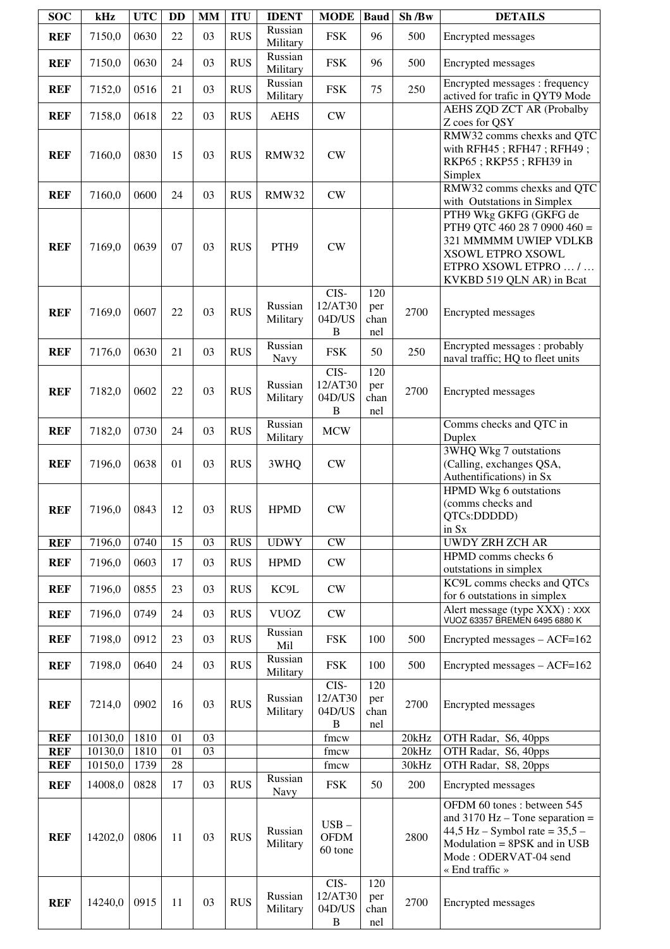| <b>SOC</b>               | kHz                | <b>UTC</b>   | <b>DD</b>    | MM | <b>ITU</b> | <b>IDENT</b>        | <b>MODE</b>                               | Baud                      | Sh/Bw          | <b>DETAILS</b>                                                                                                                                                                    |
|--------------------------|--------------------|--------------|--------------|----|------------|---------------------|-------------------------------------------|---------------------------|----------------|-----------------------------------------------------------------------------------------------------------------------------------------------------------------------------------|
| <b>REF</b>               | 7150,0             | 0630         | 22           | 03 | <b>RUS</b> | Russian<br>Military | <b>FSK</b>                                | 96                        | 500            | Encrypted messages                                                                                                                                                                |
| <b>REF</b>               | 7150,0             | 0630         | 24           | 03 | <b>RUS</b> | Russian<br>Military | <b>FSK</b>                                | 96                        | 500            | Encrypted messages                                                                                                                                                                |
| <b>REF</b>               | 7152,0             | 0516         | 21           | 03 | <b>RUS</b> | Russian<br>Military | <b>FSK</b>                                | 75                        | 250            | Encrypted messages : frequency<br>actived for trafic in QYT9 Mode                                                                                                                 |
| <b>REF</b>               | 7158,0             | 0618         | 22           | 03 | <b>RUS</b> | <b>AEHS</b>         | ${\rm\bf CW}$                             |                           |                | <b>AEHS ZQD ZCT AR (Probalby</b><br>Z coes for QSY                                                                                                                                |
| <b>REF</b>               | 7160,0             | 0830         | 15           | 03 | <b>RUS</b> | RMW32               | ${\rm\bf CW}$                             |                           |                | RMW32 comms chexks and QTC<br>with RFH45; RFH47; RFH49;<br>RKP65; RKP55; RFH39 in<br>Simplex                                                                                      |
| <b>REF</b>               | 7160,0             | 0600         | 24           | 03 | <b>RUS</b> | <b>RMW32</b>        | CW                                        |                           |                | RMW32 comms chexks and QTC<br>with Outstations in Simplex                                                                                                                         |
| <b>REF</b>               | 7169,0             | 0639         | 07           | 03 | <b>RUS</b> | PTH9                | CW                                        |                           |                | PTH9 Wkg GKFG (GKFG de<br>PTH9 QTC 460 28 7 0900 460 =<br>321 MMMMM UWIEP VDLKB<br>XSOWL ETPRO XSOWL<br>ETPRO XSOWL ETPRO  /<br>KVKBD 519 QLN AR) in Bcat                         |
| <b>REF</b>               | 7169,0             | 0607         | 22           | 03 | <b>RUS</b> | Russian<br>Military | CIS-<br>12/AT30<br>04D/US<br>B            | 120<br>per<br>chan<br>nel | 2700           | Encrypted messages                                                                                                                                                                |
| <b>REF</b>               | 7176,0             | 0630         | 21           | 03 | <b>RUS</b> | Russian<br>Navy     | <b>FSK</b>                                | 50                        | 250            | Encrypted messages: probably<br>naval traffic; HQ to fleet units                                                                                                                  |
| <b>REF</b>               | 7182,0             | 0602         | 22           | 03 | <b>RUS</b> | Russian<br>Military | CIS-<br>12/AT30<br>04D/US<br>B            | 120<br>per<br>chan<br>nel | 2700           | Encrypted messages                                                                                                                                                                |
| <b>REF</b>               | 7182,0             | 0730         | 24           | 03 | <b>RUS</b> | Russian<br>Military | <b>MCW</b>                                |                           |                | Comms checks and QTC in<br>Duplex                                                                                                                                                 |
| <b>REF</b>               | 7196,0             | 0638         | 01           | 03 | <b>RUS</b> | 3WHQ                | CW                                        |                           |                | <b>3WHQ Wkg 7 outstations</b><br>(Calling, exchanges QSA,<br>Authentifications) in Sx                                                                                             |
| <b>REF</b>               | 7196,0             | 0843         | 12           | 03 | <b>RUS</b> | <b>HPMD</b>         | <b>CW</b>                                 |                           |                | HPMD Wkg 6 outstations<br>(comms checks and<br>QTCs:DDDDD)<br>in Sx                                                                                                               |
| <b>REF</b>               | 7196,0             | 0740         | 15           | 03 | <b>RUS</b> | <b>UDWY</b>         | CW                                        |                           |                | <b>UWDY ZRH ZCH AR</b>                                                                                                                                                            |
| <b>REF</b>               | 7196,0             | 0603         | 17           | 03 | <b>RUS</b> | <b>HPMD</b>         | CW                                        |                           |                | HPMD comms checks 6<br>outstations in simplex                                                                                                                                     |
| <b>REF</b>               | 7196,0             | 0855         | 23           | 03 | <b>RUS</b> | KC9L                | CW                                        |                           |                | KC9L comms checks and QTCs<br>for 6 outstations in simplex                                                                                                                        |
| <b>REF</b>               | 7196,0             | 0749         | 24           | 03 | <b>RUS</b> | <b>VUOZ</b>         | CW                                        |                           |                | Alert message (type XXX) : XXX<br>VUOZ 63357 BREMEN 6495 6880 K                                                                                                                   |
| <b>REF</b>               | 7198,0             | 0912         | 23           | 03 | <b>RUS</b> | Russian<br>Mil      | <b>FSK</b>                                | 100                       | 500            | Encrypted messages - ACF=162                                                                                                                                                      |
| <b>REF</b>               | 7198,0             | 0640         | 24           | 03 | <b>RUS</b> | Russian<br>Military | <b>FSK</b>                                | 100                       | 500            | Encrypted messages - ACF=162                                                                                                                                                      |
| <b>REF</b>               | 7214,0             | 0902         | 16           | 03 | <b>RUS</b> | Russian<br>Military | CIS-<br>12/AT30<br>04D/US<br>B            | 120<br>per<br>chan<br>nel | 2700           | Encrypted messages                                                                                                                                                                |
| <b>REF</b>               | 10130,0            | 1810         | 01           | 03 |            |                     | fmcw                                      |                           | 20kHz          | OTH Radar, S6, 40pps                                                                                                                                                              |
| <b>REF</b><br><b>REF</b> | 10130,0<br>10150,0 | 1810<br>1739 | 01<br>$28\,$ | 03 |            |                     | fmcw<br>fmcw                              |                           | 20kHz<br>30kHz | OTH Radar, S6, 40pps<br>OTH Radar, S8, 20pps                                                                                                                                      |
|                          |                    |              |              |    |            | Russian             |                                           |                           |                |                                                                                                                                                                                   |
| <b>REF</b>               | 14008,0            | 0828         | 17           | 03 | <b>RUS</b> | Navy                | <b>FSK</b>                                | 50                        | 200            | Encrypted messages                                                                                                                                                                |
| <b>REF</b>               | 14202,0            | 0806         | 11           | 03 | <b>RUS</b> | Russian<br>Military | $USB -$<br><b>OFDM</b><br>60 tone         |                           | 2800           | OFDM 60 tones: between 545<br>and $3170$ Hz – Tone separation =<br>44,5 Hz – Symbol rate = $35,5$ –<br>$Modulation = 8PSK$ and in USB<br>Mode: ODERVAT-04 send<br>« End traffic » |
| <b>REF</b>               | 14240,0            | 0915         | 11           | 03 | <b>RUS</b> | Russian<br>Military | CIS-<br>12/AT30<br>04D/US<br>$\, {\bf B}$ | 120<br>per<br>chan<br>nel | 2700           | Encrypted messages                                                                                                                                                                |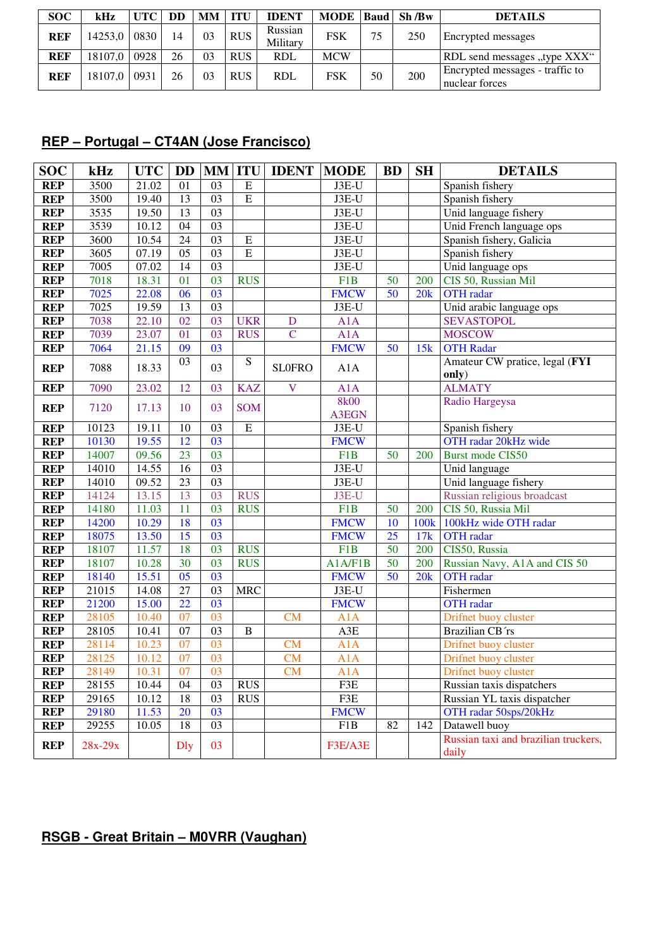| <b>SOC</b> | kHz          | <b>UTC</b> | DD | MМ | <b>ITU</b> | <b>IDENT</b>        | MODE   Baud   Sh / Bw |    |     | <b>DETAILS</b>                                    |
|------------|--------------|------------|----|----|------------|---------------------|-----------------------|----|-----|---------------------------------------------------|
| <b>REF</b> | 14253,0      | 0830       | 14 | 03 | <b>RUS</b> | Russian<br>Military | FSK                   | 75 | 250 | Encrypted messages                                |
| REF        | 18107,0 0928 |            | 26 | 03 | <b>RUS</b> | <b>RDL</b>          | <b>MCW</b>            |    |     | RDL send messages "type XXX"                      |
| <b>REF</b> | 18107,0      | 0931       | 26 | 03 | <b>RUS</b> | <b>RDL</b>          | FSK                   | 50 | 200 | Encrypted messages - traffic to<br>nuclear forces |

## **REP – Portugal – CT4AN (Jose Francisco)**

| <b>SOC</b> | kHz       | <b>UTC</b> | <b>DD</b>       | <b>MM ITU</b>   |                | <b>IDENT</b>   | <b>MODE</b>          | <b>BD</b>       | <b>SH</b>        | <b>DETAILS</b>                                |
|------------|-----------|------------|-----------------|-----------------|----------------|----------------|----------------------|-----------------|------------------|-----------------------------------------------|
| <b>REP</b> | 3500      | 21.02      | 01              | 03              | ${\bf E}$      |                | $J3E-U$              |                 |                  | Spanish fishery                               |
| <b>REP</b> | 3500      | 19.40      | 13              | $\overline{03}$ | $\overline{E}$ |                | $J3E-U$              |                 |                  | Spanish fishery                               |
| <b>REP</b> | 3535      | 19.50      | 13              | 03              |                |                | J3E-U                |                 |                  | Unid language fishery                         |
| <b>REP</b> | 3539      | 10.12      | 04              | 03              |                |                | J3E-U                |                 |                  | Unid French language ops                      |
| <b>REP</b> | 3600      | 10.54      | 24              | $\overline{03}$ | ${\bf E}$      |                | J3E-U                |                 |                  | Spanish fishery, Galicia                      |
| <b>REP</b> | 3605      | 07.19      | 05              | 03              | $\overline{E}$ |                | J3E-U                |                 |                  | Spanish fishery                               |
| <b>REP</b> | 7005      | 07.02      | 14              | 03              |                |                | J3E-U                |                 |                  | Unid language ops                             |
| <b>REP</b> | 7018      | 18.31      | 01              | 03              | <b>RUS</b>     |                | F1B                  | 50              | 200              | CIS 50, Russian Mil                           |
| <b>REP</b> | 7025      | 22.08      | 06              | 03              |                |                | <b>FMCW</b>          | 50              | 20k              | <b>OTH</b> radar                              |
| <b>REP</b> | 7025      | 19.59      | 13              | 03              |                |                | J3E-U                |                 |                  | Unid arabic language ops                      |
| <b>REP</b> | 7038      | 22.10      | 02              | 03              | <b>UKR</b>     | ${\bf D}$      | A1A                  |                 |                  | <b>SEVASTOPOL</b>                             |
| <b>REP</b> | 7039      | 23.07      | 01              | 03              | <b>RUS</b>     | $\overline{C}$ | A1A                  |                 |                  | <b>MOSCOW</b>                                 |
| <b>REP</b> | 7064      | 21.15      | 09              | 03              |                |                | <b>FMCW</b>          | 50              | 15k              | <b>OTH Radar</b>                              |
| <b>REP</b> | 7088      | 18.33      | 03              | 03              | ${\bf S}$      | <b>SLOFRO</b>  | A1A                  |                 |                  | Amateur CW pratice, legal (FYI<br>only)       |
| <b>REP</b> | 7090      | 23.02      | 12              | 03              | <b>KAZ</b>     | $\bf V$        | A1A                  |                 |                  | <b>ALMATY</b>                                 |
| <b>REP</b> | 7120      | 17.13      | 10              | 03              | <b>SOM</b>     |                | <b>8k00</b><br>A3EGN |                 |                  | Radio Hargeysa                                |
| <b>REP</b> | 10123     | 19.11      | 10              | 03              | $\mathbf E$    |                | J3E-U                |                 |                  | Spanish fishery                               |
| <b>REP</b> | 10130     | 19.55      | 12              | 03              |                |                | <b>FMCW</b>          |                 |                  | OTH radar 20kHz wide                          |
| <b>REP</b> | 14007     | 09.56      | 23              | 03              |                |                | F1B                  | 50              | 200              | <b>Burst mode CIS50</b>                       |
| <b>REP</b> | 14010     | 14.55      | 16              | 03              |                |                | J3E-U                |                 |                  | Unid language                                 |
| <b>REP</b> | 14010     | 09.52      | 23              | 03              |                |                | J3E-U                |                 |                  | Unid language fishery                         |
| <b>REP</b> | 14124     | 13.15      | 13              | 03              | <b>RUS</b>     |                | J3E-U                |                 |                  | Russian religious broadcast                   |
| <b>REP</b> | 14180     | 11.03      | 11              | 03              | <b>RUS</b>     |                | F1B                  | 50              | 200              | CIS 50, Russia Mil                            |
| <b>REP</b> | 14200     | 10.29      | 18              | 03              |                |                | <b>FMCW</b>          | 10              | 100 <sub>k</sub> | 100kHz wide OTH radar                         |
| <b>REP</b> | 18075     | 13.50      | 15              | 03              |                |                | <b>FMCW</b>          | 25              | 17k              | <b>OTH</b> radar                              |
| <b>REP</b> | 18107     | 11.57      | 18              | 03              | <b>RUS</b>     |                | F1B                  | 50              | 200              | CIS50, Russia                                 |
| <b>REP</b> | 18107     | 10.28      | $\overline{30}$ | 03              | <b>RUS</b>     |                | A1A/F1B              | $\overline{50}$ | 200              | Russian Navy, A1A and CIS 50                  |
| <b>REP</b> | 18140     | 15.51      | $\overline{05}$ | 03              |                |                | <b>FMCW</b>          | $\overline{50}$ | 20k              | OTH radar                                     |
| <b>REP</b> | 21015     | 14.08      | $\overline{27}$ | 03              | <b>MRC</b>     |                | $J3E-U$              |                 |                  | Fishermen                                     |
| <b>REP</b> | 21200     | 15.00      | 22              | 03              |                |                | <b>FMCW</b>          |                 |                  | <b>OTH</b> radar                              |
| <b>REP</b> | 28105     | 10.40      | 07              | 03              |                | <b>CM</b>      | A1A                  |                 |                  | Drifnet buoy cluster                          |
| <b>REP</b> | 28105     | 10.41      | 07              | 03              | $\bf{B}$       |                | A3E                  |                 |                  | Brazilian CB'rs                               |
| <b>REP</b> | 28114     | 10.23      | 07              | 03              |                | <b>CM</b>      | A1A                  |                 |                  | Drifnet buoy cluster                          |
| <b>REP</b> | 28125     | 10.12      | 07              | $\overline{03}$ |                | CM             | A1A                  |                 |                  | Drifnet buoy cluster                          |
| REP        | 28149     | 10.31      | 07              | 03              |                | <b>CM</b>      | A1A                  |                 |                  | Drifnet buoy cluster                          |
| <b>REP</b> | 28155     | 10.44      | 04              | 03              | <b>RUS</b>     |                | F3E                  |                 |                  | Russian taxis dispatchers                     |
| <b>REP</b> | 29165     | 10.12      | 18              | 03              | <b>RUS</b>     |                | F3E                  |                 |                  | Russian YL taxis dispatcher                   |
| <b>REP</b> | 29180     | 11.53      | 20              | 03              |                |                | <b>FMCW</b>          |                 |                  | OTH radar 50sps/20kHz                         |
| <b>REP</b> | 29255     | 10.05      | 18              | 03              |                |                | F1B                  | 82              | 142              | Datawell buoy                                 |
| <b>REP</b> | $28x-29x$ |            | <b>D</b> ly     | 03              |                |                | F3E/A3E              |                 |                  | Russian taxi and brazilian truckers,<br>daily |

# **RSGB - Great Britain – M0VRR (Vaughan)**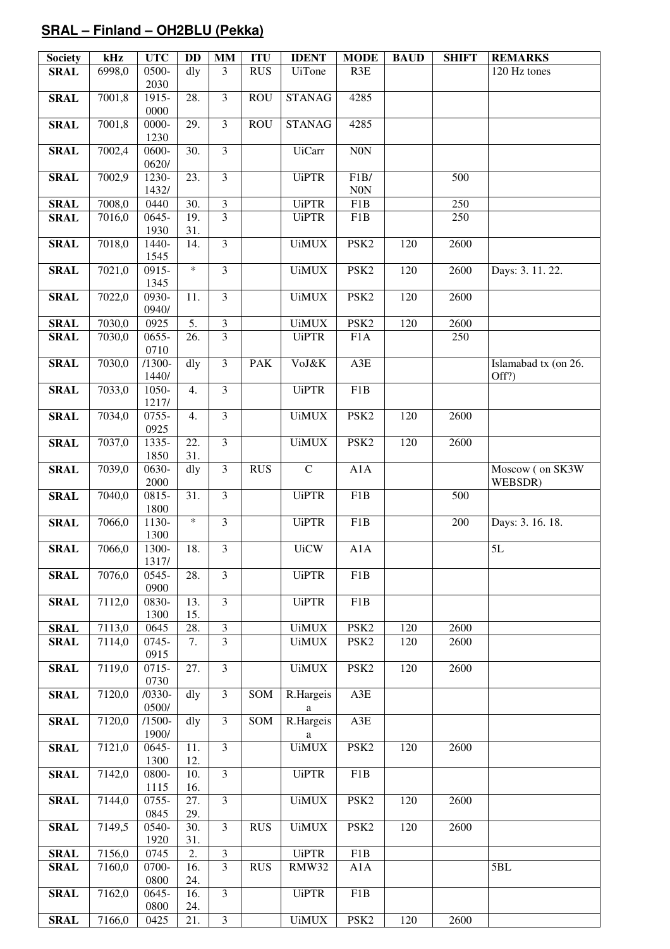## **SRAL – Finland – OH2BLU (Pekka)**

| <b>Society</b> | kHz    | <b>UTC</b>            | <b>DD</b>         | <b>MM</b>               | <b>ITU</b> | <b>IDENT</b>   | <b>MODE</b>      | <b>BAUD</b> | <b>SHIFT</b> | <b>REMARKS</b>                |
|----------------|--------|-----------------------|-------------------|-------------------------|------------|----------------|------------------|-------------|--------------|-------------------------------|
| <b>SRAL</b>    | 6998,0 | 0500-<br>2030         | dly               | 3                       | <b>RUS</b> | <b>UiTone</b>  | R3E              |             |              | 120 Hz tones                  |
| <b>SRAL</b>    | 7001,8 | 1915-                 | 28.               | $\overline{3}$          | <b>ROU</b> | <b>STANAG</b>  | 4285             |             |              |                               |
| <b>SRAL</b>    | 7001,8 | 0000<br>0000-         | 29.               | $\overline{3}$          | <b>ROU</b> | <b>STANAG</b>  | 4285             |             |              |                               |
| <b>SRAL</b>    | 7002,4 | 1230<br>0600-         | 30.               | $\overline{3}$          |            | <b>UiCarr</b>  | N0N              |             |              |                               |
|                |        | 0620/                 |                   |                         |            |                |                  |             |              |                               |
| <b>SRAL</b>    | 7002,9 | 1230-<br>1432/        | 23.               | $\overline{3}$          |            | <b>UiPTR</b>   | F1B/<br>N0N      |             | 500          |                               |
| <b>SRAL</b>    | 7008,0 | 0440                  | 30.               | $\mathfrak{Z}$          |            | <b>UiPTR</b>   | F1B              |             | 250          |                               |
| <b>SRAL</b>    | 7016,0 | 0645-<br>1930         | 19.<br>31.        | $\overline{3}$          |            | <b>UiPTR</b>   | F1B              |             | 250          |                               |
| <b>SRAL</b>    | 7018,0 | 1440-                 | 14.               | $\overline{3}$          |            | <b>UiMUX</b>   | PSK <sub>2</sub> | 120         | 2600         |                               |
| <b>SRAL</b>    | 7021,0 | 1545<br>0915-         | $\ast$            | $\overline{3}$          |            | <b>UiMUX</b>   | PSK <sub>2</sub> | 120         | 2600         | Days: 3. 11. 22.              |
|                |        | 1345                  |                   |                         |            |                |                  |             |              |                               |
| <b>SRAL</b>    | 7022,0 | 0930-<br>0940/        | 11.               | $\overline{\mathbf{3}}$ |            | <b>UiMUX</b>   | PSK <sub>2</sub> | 120         | 2600         |                               |
| <b>SRAL</b>    | 7030,0 | 0925                  | $\overline{5}$ .  | $\overline{3}$          |            | <b>UiMUX</b>   | PSK <sub>2</sub> | 120         | 2600         |                               |
| <b>SRAL</b>    | 7030,0 | $0655 -$<br>0710      | $\overline{26}$ . | $\overline{3}$          |            | <b>UiPTR</b>   | F <sub>1</sub> A |             | 250          |                               |
| <b>SRAL</b>    | 7030,0 | $/1300-$<br>1440/     | dly               | $\overline{3}$          | <b>PAK</b> | VoJ&K          | A3E              |             |              | Islamabad tx (on 26.<br>Off?) |
| <b>SRAL</b>    | 7033,0 | 1050-<br>1217/        | 4.                | $\overline{3}$          |            | <b>UiPTR</b>   | F1B              |             |              |                               |
| <b>SRAL</b>    | 7034,0 | 0755-<br>0925         | $\overline{4}$ .  | $\overline{3}$          |            | <b>UiMUX</b>   | PSK <sub>2</sub> | 120         | 2600         |                               |
| <b>SRAL</b>    | 7037,0 | 1335-                 | 22.               | $\overline{3}$          |            | <b>UiMUX</b>   | PSK <sub>2</sub> | 120         | 2600         |                               |
| <b>SRAL</b>    | 7039,0 | 1850<br>0630-<br>2000 | 31.<br>dly        | $\overline{3}$          | <b>RUS</b> | ${\bf C}$      | A1A              |             |              | Moscow (on SK3W<br>WEBSDR)    |
| <b>SRAL</b>    | 7040,0 | $0815 -$<br>1800      | 31.               | $\overline{3}$          |            | <b>UiPTR</b>   | F1B              |             | 500          |                               |
| <b>SRAL</b>    | 7066,0 | 1130-<br>1300         | $\ast$            | $\overline{3}$          |            | <b>UiPTR</b>   | F1B              |             | 200          | Days: 3. 16. 18.              |
| <b>SRAL</b>    | 7066,0 | 1300-<br>1317/        | 18.               | $\overline{3}$          |            | <b>UiCW</b>    | A1A              |             |              | 5L                            |
| <b>SRAL</b>    | 7076,0 | 0545-<br>0900         | 28.               | $\overline{3}$          |            | <b>UiPTR</b>   | F <sub>1</sub> B |             |              |                               |
| <b>SRAL</b>    | 7112,0 | 0830-                 | 13.<br>15.        | $\overline{3}$          |            | <b>UiPTR</b>   | F1B              |             |              |                               |
| <b>SRAL</b>    | 7113,0 | 1300<br>0645          | 28.               | $\mathfrak{Z}$          |            | <b>UiMUX</b>   | PSK <sub>2</sub> | 120         | 2600         |                               |
| <b>SRAL</b>    | 7114,0 | 0745-                 | 7.                | $\overline{3}$          |            | <b>UiMUX</b>   | PSK <sub>2</sub> | 120         | 2600         |                               |
| <b>SRAL</b>    | 7119,0 | 0915<br>0715-         | 27.               | $\overline{3}$          |            | <b>UiMUX</b>   | PSK <sub>2</sub> | 120         | 2600         |                               |
| <b>SRAL</b>    | 7120,0 | 0730<br>$/0330-$      | dly               | $\overline{3}$          | SOM        | R.Hargeis      | $A3E$            |             |              |                               |
|                |        | 0500/                 |                   |                         |            | a              |                  |             |              |                               |
| <b>SRAL</b>    | 7120,0 | $/1500-$<br>1900/     | $d$ ly            | $\overline{3}$          | SOM        | R.Hargeis<br>a | A3E              |             |              |                               |
| <b>SRAL</b>    | 7121,0 | 0645-<br>1300         | 11.<br>12.        | $\overline{3}$          |            | <b>UiMUX</b>   | PSK <sub>2</sub> | 120         | 2600         |                               |
| <b>SRAL</b>    | 7142,0 | 0800-<br>1115         | 10.<br>16.        | $\overline{3}$          |            | <b>UiPTR</b>   | F1B              |             |              |                               |
| <b>SRAL</b>    | 7144,0 | 0755-<br>0845         | 27.<br>29.        | $\overline{3}$          |            | <b>UiMUX</b>   | PSK <sub>2</sub> | 120         | 2600         |                               |
| <b>SRAL</b>    | 7149,5 | 0540-<br>1920         | 30.               | $\overline{3}$          | <b>RUS</b> | <b>UiMUX</b>   | PSK <sub>2</sub> | 120         | 2600         |                               |
| <b>SRAL</b>    | 7156,0 | 0745                  | 31.<br>2.         | 3                       |            | <b>UiPTR</b>   | F1B              |             |              |                               |
| <b>SRAL</b>    | 7160,0 | 0700-                 | 16.               | $\overline{3}$          | <b>RUS</b> | RMW32          | A1A              |             |              | 5BL                           |
| <b>SRAL</b>    | 7162,0 | 0800<br>0645-         | 24.<br>16.        | $\overline{3}$          |            | <b>UiPTR</b>   | F1B              |             |              |                               |
|                |        | 0800                  | 24.               |                         |            |                |                  |             |              |                               |
| <b>SRAL</b>    | 7166,0 | 0425                  | 21.               | $\mathfrak{Z}$          |            | <b>UiMUX</b>   | PSK <sub>2</sub> | 120         | 2600         |                               |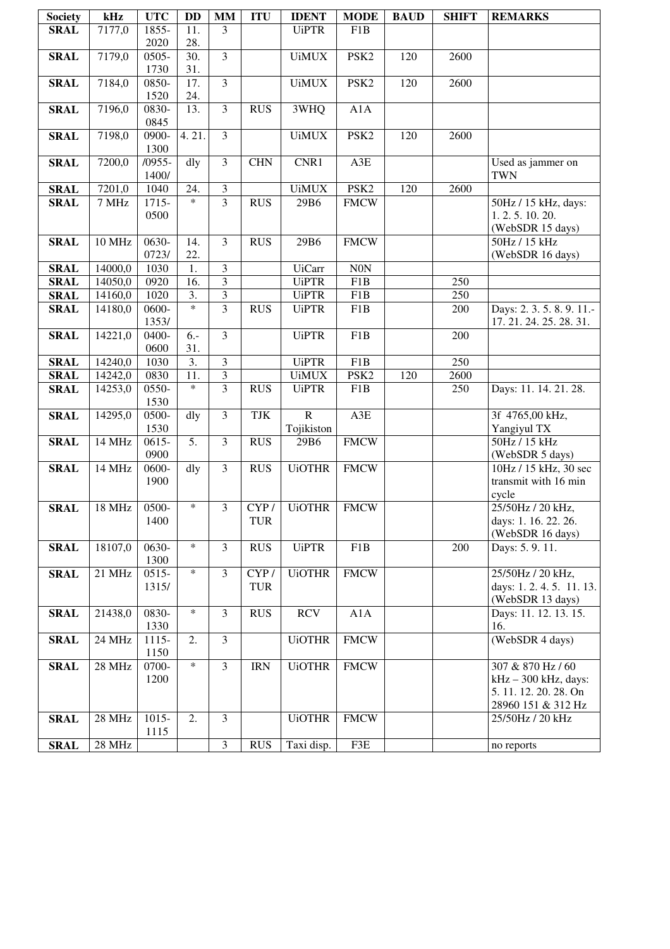| <b>Society</b>             | kHz                | <b>UTC</b>                  | DD                | MM                               | <b>ITU</b> | <b>IDENT</b>                  | <b>MODE</b>      | <b>BAUD</b>     | <b>SHIFT</b> | <b>REMARKS</b>                              |
|----------------------------|--------------------|-----------------------------|-------------------|----------------------------------|------------|-------------------------------|------------------|-----------------|--------------|---------------------------------------------|
| <b>SRAL</b>                | 7177,0             | 1855-                       | 11.               | 3                                |            | <b>UiPTR</b>                  | F1B              |                 |              |                                             |
|                            |                    | 2020                        | 28.               | $\overline{3}$                   |            |                               |                  |                 |              |                                             |
| <b>SRAL</b>                | 7179,0             | $\overline{0505}$ -<br>1730 | 30.<br>31.        |                                  |            | <b>UiMUX</b>                  | PSK <sub>2</sub> | 120             | 2600         |                                             |
| <b>SRAL</b>                | 7184,0             | 0850-                       | $\overline{17}$ . | $\overline{3}$                   |            | <b>UiMUX</b>                  | PSK <sub>2</sub> | 120             | 2600         |                                             |
|                            |                    | 1520                        | 24.               |                                  |            |                               |                  |                 |              |                                             |
| <b>SRAL</b>                | 7196,0             | 0830-                       | 13.               | $\overline{3}$                   | <b>RUS</b> | 3WHQ                          | A1A              |                 |              |                                             |
|                            |                    | 0845                        |                   |                                  |            |                               |                  |                 |              |                                             |
| <b>SRAL</b>                | 7198,0             | 0900-                       | 4.21.             | $\overline{3}$                   |            | <b>UiMUX</b>                  | PSK <sub>2</sub> | 120             | 2600         |                                             |
|                            |                    | 1300                        |                   |                                  |            |                               |                  |                 |              |                                             |
| <b>SRAL</b>                | 7200,0             | $/0955-$<br>1400/           | dly               | $\overline{3}$                   | <b>CHN</b> | CNR1                          | A3E              |                 |              | Used as jammer on<br><b>TWN</b>             |
| <b>SRAL</b>                | 7201,0             | 1040                        | 24.               | 3                                |            | <b>UiMUX</b>                  | PSK <sub>2</sub> | <sup>1</sup> 20 | 2600         |                                             |
| <b>SRAL</b>                | 7 MHz              | 1715-                       | $\ast$            | $\overline{3}$                   | <b>RUS</b> | 29B6                          | <b>FMCW</b>      |                 |              | 50Hz / 15 kHz, days:                        |
|                            |                    | 0500                        |                   |                                  |            |                               |                  |                 |              | 1.2.5.10.20.                                |
|                            |                    |                             |                   |                                  |            |                               |                  |                 |              | (WebSDR 15 days)                            |
| <b>SRAL</b>                | 10 MHz             | $0630-$                     | 14.               | $\overline{3}$                   | <b>RUS</b> | 29B6                          | <b>FMCW</b>      |                 |              | 50Hz / 15 kHz                               |
|                            |                    | 0723/                       | 22.               |                                  |            |                               |                  |                 |              | (WebSDR 16 days)                            |
| <b>SRAL</b>                | 14000,0<br>14050,0 | 1030<br>0920                | 1.<br>16.         | $\overline{3}$<br>$\overline{3}$ |            | <b>UiCarr</b><br><b>UiPTR</b> | $\rm N0N$<br>F1B |                 | 250          |                                             |
| <b>SRAL</b><br><b>SRAL</b> | 14160,0            | 1020                        | 3.                | 3                                |            | <b>UiPTR</b>                  | F1B              |                 | 250          |                                             |
| <b>SRAL</b>                | 14180,0            | 0600-                       | $\ast$            | $\overline{3}$                   | <b>RUS</b> | <b>UiPTR</b>                  | F1B              |                 | 200          | Days: 2.3.5.8.9.11.-                        |
|                            |                    | 1353/                       |                   |                                  |            |                               |                  |                 |              | 17.21.24.25.28.31.                          |
| <b>SRAL</b>                | 14221,0            | 0400-                       | $6. -$            | 3                                |            | <b>UiPTR</b>                  | F1B              |                 | 200          |                                             |
|                            |                    | 0600                        | 31.               |                                  |            |                               |                  |                 |              |                                             |
| <b>SRAL</b>                | 14240,0            | 1030                        | $\overline{3}$ .  | $\overline{3}$                   |            | <b>UiPTR</b>                  | F1B              |                 | 250          |                                             |
| <b>SRAL</b>                | 14242,0            | 0830                        | 11.<br>$\ast$     | 3                                |            | <b>UiMUX</b>                  | PSK <sub>2</sub> | 120             | 2600         |                                             |
| <b>SRAL</b>                | 14253,0            | 0550-<br>1530               |                   | $\overline{3}$                   | <b>RUS</b> | <b>UiPTR</b>                  | F1B              |                 | 250          | Days: 11. 14. 21. 28.                       |
| <b>SRAL</b>                | 14295,0            | 0500-                       | dly               | $\overline{3}$                   | TJK        | $\overline{R}$                | A3E              |                 |              | 3f 4765,00 kHz,                             |
|                            |                    | 1530                        |                   |                                  |            | Tojikiston                    |                  |                 |              | Yangiyul TX                                 |
| <b>SRAL</b>                | 14 MHz             | $0615 -$                    | 5.                | 3                                | <b>RUS</b> | 29B6                          | <b>FMCW</b>      |                 |              | 50Hz / 15 kHz                               |
|                            |                    | 0900                        |                   |                                  |            |                               |                  |                 |              | (WebSDR 5 days)                             |
| <b>SRAL</b>                | 14 MHz             | 0600-                       | dly               | 3                                | <b>RUS</b> | <b>UiOTHR</b>                 | <b>FMCW</b>      |                 |              | 10Hz / 15 kHz, 30 sec                       |
|                            |                    | 1900                        |                   |                                  |            |                               |                  |                 |              | transmit with 16 min                        |
| <b>SRAL</b>                | 18 MHz             | 0500-                       | $\ast$            | 3                                | CYP/       | <b>UiOTHR</b>                 | <b>FMCW</b>      |                 |              | cycle<br>25/50Hz / 20 kHz,                  |
|                            |                    | 1400                        |                   |                                  | TUR        |                               |                  |                 |              | days: 1. 16. 22. 26.                        |
|                            |                    |                             |                   |                                  |            |                               |                  |                 |              | (WebSDR 16 days)                            |
| <b>SRAL</b>                | 18107,0            | 0630-                       | $\ast$            | 3                                | <b>RUS</b> | <b>UiPTR</b>                  | F1B              |                 | 200          | Days: 5.9.11.                               |
|                            |                    | 1300                        |                   |                                  |            |                               |                  |                 |              |                                             |
| <b>SRAL</b>                | 21 MHz             | $0515 -$                    | $\ast$            | $\overline{3}$                   | CYP/       | <b>UiOTHR</b>                 | <b>FMCW</b>      |                 |              | 25/50Hz / 20 kHz,                           |
|                            |                    | 1315/                       |                   |                                  | <b>TUR</b> |                               |                  |                 |              | days: 1.2.4.5. 11.13.<br>(WebSDR 13 days)   |
| <b>SRAL</b>                | 21438,0            | 0830-                       | $\ast$            | $\overline{3}$                   | <b>RUS</b> | <b>RCV</b>                    | A1A              |                 |              | Days: 11. 12. 13. 15.                       |
|                            |                    | 1330                        |                   |                                  |            |                               |                  |                 |              | 16.                                         |
| <b>SRAL</b>                | 24 MHz             | 1115-                       | 2.                | $\overline{3}$                   |            | <b>UiOTHR</b>                 | <b>FMCW</b>      |                 |              | (WebSDR 4 days)                             |
|                            |                    | 1150                        |                   |                                  |            |                               |                  |                 |              |                                             |
| <b>SRAL</b>                | 28 MHz             | 0700-                       | $\ast$            | $\overline{3}$                   | <b>IRN</b> | <b>UiOTHR</b>                 | <b>FMCW</b>      |                 |              | 307 & 870 Hz / 60                           |
|                            |                    | 1200                        |                   |                                  |            |                               |                  |                 |              | $kHz - 300 kHz$ , days:                     |
|                            |                    |                             |                   |                                  |            |                               |                  |                 |              | 5. 11. 12. 20. 28. On<br>28960 151 & 312 Hz |
| <b>SRAL</b>                | 28 MHz             | $1015 -$                    | 2.                | 3                                |            | <b>UiOTHR</b>                 | <b>FMCW</b>      |                 |              | 25/50Hz / 20 kHz                            |
|                            |                    | 1115                        |                   |                                  |            |                               |                  |                 |              |                                             |
| <b>SRAL</b>                | 28 MHz             |                             |                   | $\overline{3}$                   | <b>RUS</b> | Taxi disp.                    | F3E              |                 |              | no reports                                  |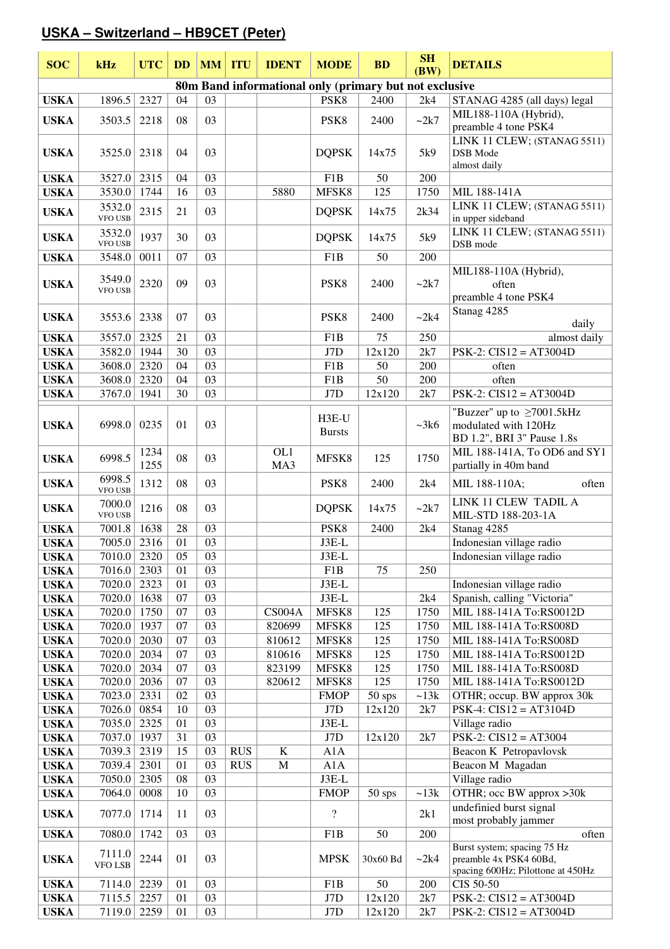## **USKA – Switzerland – HB9CET (Peter)**

| <b>SOC</b>                 | kHz                      | <b>UTC</b>   | <b>DD</b> |                 | <b>MM ITU</b> | <b>IDENT</b>                                           | <b>MODE</b>              | <b>BD</b>  | <b>SH</b><br>(BW) | <b>DETAILS</b>                                                                             |
|----------------------------|--------------------------|--------------|-----------|-----------------|---------------|--------------------------------------------------------|--------------------------|------------|-------------------|--------------------------------------------------------------------------------------------|
|                            |                          |              |           |                 |               | 80m Band informational only (primary but not exclusive |                          |            |                   |                                                                                            |
| <b>USKA</b>                | 1896.5                   | 2327         | 04        | 03              |               |                                                        | PSK8                     | 2400       | 2k4               | STANAG 4285 (all days) legal                                                               |
| <b>USKA</b>                | 3503.5                   | 2218         | 08        | 03              |               |                                                        | PSK8                     | 2400       | ~2k7              | MIL188-110A (Hybrid),<br>preamble 4 tone PSK4                                              |
| <b>USKA</b>                | 3525.0                   | 2318         | 04        | 03              |               |                                                        | <b>DQPSK</b>             | 14x75      | 5k9               | LINK 11 CLEW; (STANAG 5511)<br>DSB Mode<br>almost daily                                    |
| <b>USKA</b>                | 3527.0                   | 2315         | 04        | 03              |               |                                                        | F1B                      | 50         | 200               |                                                                                            |
| <b>USKA</b>                | 3530.0                   | 1744         | 16        | 03              |               | 5880                                                   | MFSK8                    | 125        | 1750              | MIL 188-141A                                                                               |
| <b>USKA</b>                | 3532.0<br>VFO USB        | 2315         | 21        | 03              |               |                                                        | <b>DQPSK</b>             | 14x75      | 2k34              | LINK 11 CLEW; (STANAG 5511)<br>in upper sideband                                           |
| <b>USKA</b>                | 3532.0<br>VFO USB        | 1937         | 30        | 03              |               |                                                        | <b>DQPSK</b>             | 14x75      | 5k9               | LINK 11 CLEW; (STANAG 5511)<br>DSB mode                                                    |
| <b>USKA</b>                | 3548.0                   | 0011         | 07        | 03              |               |                                                        | F1B                      | 50         | 200               |                                                                                            |
| <b>USKA</b>                | 3549.0<br><b>VFO USB</b> | 2320         | 09        | 03              |               |                                                        | PSK8                     | 2400       | ~2k7              | MIL188-110A (Hybrid),<br>often<br>preamble 4 tone PSK4                                     |
| <b>USKA</b>                | 3553.6                   | 2338         | 07        | 03              |               |                                                        | PSK8                     | 2400       | ~2k4              | Stanag 4285<br>daily                                                                       |
| <b>USKA</b>                | 3557.0                   | 2325         | 21        | 03              |               |                                                        | F1B                      | 75         | 250               | almost daily                                                                               |
| <b>USKA</b>                | 3582.0                   | 1944         | 30        | 03              |               |                                                        | J7D                      | 12x120     | 2k7               | $PSK-2$ : $CIS12 = AT3004D$                                                                |
| <b>USKA</b>                | 3608.0                   | 2320         | 04        | 03              |               |                                                        | F1B                      | 50         | 200               | often                                                                                      |
| <b>USKA</b>                | 3608.0                   | 2320         | 04        | 03              |               |                                                        | F1B                      | 50         | 200               | often                                                                                      |
| <b>USKA</b>                | 3767.0                   | 1941         | 30        | 03              |               |                                                        | J7D                      | 12x120     | 2k7               | $PSK-2$ : $CIS12 = AT3004D$                                                                |
| <b>USKA</b>                | 6998.0                   | 0235         | 01        | 03              |               |                                                        | H3E-U<br><b>Bursts</b>   |            | ~28k              | "Buzzer" up to $\geq$ 7001.5kHz<br>modulated with 120Hz<br>BD 1.2", BRI 3" Pause 1.8s      |
| <b>USKA</b>                | 6998.5                   | 1234<br>1255 | 08        | 03              |               | OL1<br>MA3                                             | MFSK8                    | 125        | 1750              | MIL 188-141A, To OD6 and SY1<br>partially in 40m band                                      |
| <b>USKA</b>                | 6998.5<br><b>VFO USB</b> | 1312         | 08        | 03              |               |                                                        | PSK <sub>8</sub>         | 2400       | 2k4               | MIL 188-110A;<br>often                                                                     |
| <b>USKA</b>                | 7000.0<br>VFO USB        | 1216         | 08        | 03              |               |                                                        | <b>DQPSK</b>             | 14x75      | $\sim$ 2k7        | LINK 11 CLEW TADIL A<br>MIL-STD 188-203-1A                                                 |
| <b>USKA</b>                | 7001.8                   | 1638         | 28        | 03              |               |                                                        | PSK8                     | 2400       | 2k4               | Stanag 4285                                                                                |
| <b>USKA</b>                | 7005.0                   | 2316         | 01        | 03              |               |                                                        | $J3E-L$                  |            |                   | Indonesian village radio                                                                   |
| <b>USKA</b>                | 7010.0                   | 2320         | 05        | 03              |               |                                                        | $J3E-L$                  |            |                   | Indonesian village radio                                                                   |
| <b>USKA</b>                | 7016.0                   | 2303         | 01        | 03              |               |                                                        | F1B                      | 75         | 250               |                                                                                            |
| <b>USKA</b>                | 7020.0                   | 2323         | 01        | 03              |               |                                                        | $J3E-L$                  |            |                   | Indonesian village radio                                                                   |
| <b>USKA</b>                | 7020.0                   | 1638         | 07        | 03              |               |                                                        | $J3E-L$                  |            | 2k4               | Spanish, calling "Victoria"                                                                |
| <b>USKA</b>                | 7020.0                   | 1750         | 07        | $\overline{03}$ |               | CS004A                                                 | MFSK8                    | 125        | 1750              | MIL 188-141A To:RS0012D                                                                    |
| <b>USKA</b>                | 7020.0                   | 1937         | 07<br>07  | $\overline{03}$ |               | 820699                                                 | MFSK8                    | 125        | 1750              | MIL 188-141A To:RS008D                                                                     |
| <b>USKA</b>                | 7020.0<br>7020.0         | 2030<br>2034 | 07        | 03<br>03        |               | 810612<br>810616                                       | MFSK8<br>MFSK8           | 125<br>125 | 1750<br>1750      | MIL 188-141A To:RS008D<br>MIL 188-141A To:RS0012D                                          |
| <b>USKA</b><br><b>USKA</b> | 7020.0                   | 2034         | 07        | 03              |               | 823199                                                 | MFSK8                    | 125        | 1750              | MIL 188-141A To:RS008D                                                                     |
| <b>USKA</b>                | 7020.0                   | 2036         | 07        | 03              |               | 820612                                                 | MFSK8                    | 125        | 1750              | MIL 188-141A To:RS0012D                                                                    |
| <b>USKA</b>                | 7023.0                   | 2331         | 02        | 03              |               |                                                        | <b>FMOP</b>              | 50 sps     | ~13k              | OTHR; occup. BW approx 30k                                                                 |
| <b>USKA</b>                | 7026.0                   | 0854         | 10        | 03              |               |                                                        | J7D                      | 12x120     | 2k7               | $PSK-4$ : $CIS12 = AT3104D$                                                                |
| <b>USKA</b>                | 7035.0                   | 2325         | 01        | 03              |               |                                                        | $J3E-L$                  |            |                   | Village radio                                                                              |
| <b>USKA</b>                | 7037.0                   | 1937         | 31        | 03              |               |                                                        | J7D                      | 12x120     | 2k7               | $PSK-2$ : $CIS12 = AT3004$                                                                 |
| <b>USKA</b>                | 7039.3                   | 2319         | 15        | 03              | <b>RUS</b>    | $\bf K$                                                | A1A                      |            |                   | Beacon K Petropavlovsk                                                                     |
| <b>USKA</b>                | 7039.4                   | 2301         | 01        | 03              | <b>RUS</b>    | M                                                      | A1A                      |            |                   | Beacon M Magadan                                                                           |
| <b>USKA</b>                | 7050.0                   | 2305         | 08        | 03              |               |                                                        | J3E-L                    |            |                   | Village radio                                                                              |
| <b>USKA</b>                | 7064.0                   | 0008         | 10        | 03              |               |                                                        | <b>FMOP</b>              | $50$ sps   | ~13k              | OTHR; occ BW approx >30k                                                                   |
| <b>USKA</b>                | 7077.0                   | 1714         | 11        | 03              |               |                                                        | $\overline{\mathcal{L}}$ |            | 2k1               | undefinied burst signal<br>most probably jammer                                            |
| <b>USKA</b>                | 7080.0                   | 1742         | 03        | 03              |               |                                                        | F1B                      | 50         | 200               | often                                                                                      |
| <b>USKA</b>                | 7111.0<br>VFO LSB        | 2244         | 01        | 03              |               |                                                        | <b>MPSK</b>              | 30x60 Bd   | ~2k4              | Burst system; spacing 75 Hz<br>preamble 4x PSK4 60Bd,<br>spacing 600Hz; Pilottone at 450Hz |
| <b>USKA</b>                | 7114.0                   | 2239         | 01        | 03              |               |                                                        | F1B                      | 50         | 200               | CIS 50-50                                                                                  |
| <b>USKA</b>                | 7115.5                   | 2257         | 01        | 03              |               |                                                        | J7D                      | 12x120     | 2k7               | $PSK-2$ : $CIS12 = AT3004D$                                                                |
| <b>USKA</b>                | 7119.0                   | 2259         | 01        | 03              |               |                                                        | J7D                      | 12x120     | 2k7               | $PSK-2$ : $CIS12 = AT3004D$                                                                |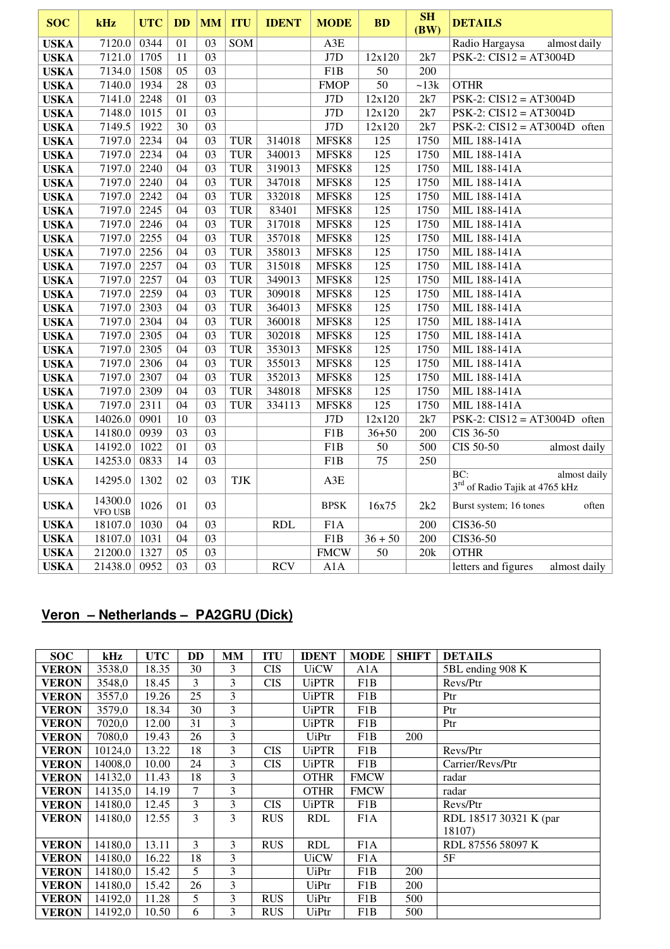| <b>SOC</b>  | kHz                       | <b>UTC</b> | <b>DD</b>       | <b>MM</b> | <b>ITU</b> | <b>IDENT</b> | <b>MODE</b>      | <b>BD</b>        | SH<br>(BW) | <b>DETAILS</b>                                                    |
|-------------|---------------------------|------------|-----------------|-----------|------------|--------------|------------------|------------------|------------|-------------------------------------------------------------------|
| <b>USKA</b> | 7120.0                    | 0344       | 01              | 03        | SOM        |              | A3E              |                  |            | Radio Hargaysa<br>almost daily                                    |
| <b>USKA</b> | 7121.0                    | 1705       | $11\,$          | 03        |            |              | J7D              | 12x120           | 2k7        | $PSK-2$ : $CIS12 = AT3004D$                                       |
| <b>USKA</b> | 7134.0                    | 1508       | 05              | 03        |            |              | F1B              | 50               | 200        |                                                                   |
| <b>USKA</b> | 7140.0                    | 1934       | 28              | 03        |            |              | <b>FMOP</b>      | 50               | ~13k       | <b>OTHR</b>                                                       |
| <b>USKA</b> | 7141.0                    | 2248       | 01              | 03        |            |              | J7D              | 12x120           | 2k7        | $\overline{\text{PSK-2}}$ : CIS12 = AT3004D                       |
| <b>USKA</b> | 7148.0                    | 1015       | 01              | 03        |            |              | J7D              | 12x120           | 2k7        | $PSK-2$ : $CIS12 = AT3004D$                                       |
| <b>USKA</b> | 7149.5                    | 1922       | 30              | 03        |            |              | J7D              | 12x120           | 2k7        | PSK-2: $CIS12 = AT3004D$ often                                    |
| <b>USKA</b> | 7197.0                    | 2234       | 04              | 03        | <b>TUR</b> | 314018       | MFSK8            | 125              | 1750       | MIL 188-141A                                                      |
| <b>USKA</b> | 7197.0                    | 2234       | 04              | 03        | <b>TUR</b> | 340013       | MFSK8            | 125              | 1750       | MIL 188-141A                                                      |
| <b>USKA</b> | 7197.0                    | 2240       | $\overline{04}$ | 03        | <b>TUR</b> | 319013       | MFSK8            | 125              | 1750       | MIL 188-141A                                                      |
| <b>USKA</b> | 7197.0                    | 2240       | 04              | 03        | <b>TUR</b> | 347018       | MFSK8            | $\overline{125}$ | 1750       | MIL 188-141A                                                      |
| <b>USKA</b> | 7197.0                    | 2242       | 04              | 03        | <b>TUR</b> | 332018       | MFSK8            | 125              | 1750       | MIL 188-141A                                                      |
| <b>USKA</b> | 7197.0                    | 2245       | 04              | 03        | <b>TUR</b> | 83401        | MFSK8            | 125              | 1750       | MIL 188-141A                                                      |
| <b>USKA</b> | 7197.0                    | 2246       | 04              | 03        | <b>TUR</b> | 317018       | MFSK8            | 125              | 1750       | MIL 188-141A                                                      |
| <b>USKA</b> | 7197.0                    | 2255       | 04              | 03        | <b>TUR</b> | 357018       | MFSK8            | 125              | 1750       | MIL 188-141A                                                      |
| <b>USKA</b> | 7197.0                    | 2256       | 04              | 03        | <b>TUR</b> | 358013       | MFSK8            | 125              | 1750       | MIL 188-141A                                                      |
| <b>USKA</b> | 7197.0                    | 2257       | 04              | 03        | <b>TUR</b> | 315018       | MFSK8            | 125              | 1750       | MIL 188-141A                                                      |
| <b>USKA</b> | 7197.0                    | 2257       | 04              | 03        | <b>TUR</b> | 349013       | MFSK8            | 125              | 1750       | MIL 188-141A                                                      |
| <b>USKA</b> | 7197.0                    | 2259       | 04              | 03        | <b>TUR</b> | 309018       | MFSK8            | 125              | 1750       | MIL 188-141A                                                      |
| <b>USKA</b> | 7197.0                    | 2303       | 04              | 03        | <b>TUR</b> | 364013       | MFSK8            | 125              | 1750       | MIL 188-141A                                                      |
| <b>USKA</b> | 7197.0                    | 2304       | 04              | 03        | <b>TUR</b> | 360018       | MFSK8            | 125              | 1750       | MIL 188-141A                                                      |
| <b>USKA</b> | 7197.0                    | 2305       | 04              | 03        | <b>TUR</b> | 302018       | MFSK8            | 125              | 1750       | MIL 188-141A                                                      |
| <b>USKA</b> | 7197.0                    | 2305       | 04              | 03        | <b>TUR</b> | 353013       | MFSK8            | 125              | 1750       | MIL 188-141A                                                      |
| <b>USKA</b> | 7197.0                    | 2306       | 04              | 03        | <b>TUR</b> | 355013       | MFSK8            | $\overline{125}$ | 1750       | MIL 188-141A                                                      |
| <b>USKA</b> | 7197.0                    | 2307       | 04              | 03        | <b>TUR</b> | 352013       | MFSK8            | 125              | 1750       | MIL 188-141A                                                      |
| <b>USKA</b> | 7197.0                    | 2309       | 04              | 03        | <b>TUR</b> | 348018       | MFSK8            | 125              | 1750       | MIL 188-141A                                                      |
| <b>USKA</b> | 7197.0                    | 2311       | 04              | 03        | <b>TUR</b> | 334113       | MFSK8            | 125              | 1750       | MIL 188-141A                                                      |
| <b>USKA</b> | 14026.0                   | 0901       | 10              | 03        |            |              | J7D              | 12x120           | 2k7        | PSK-2: $CIS12 = AT3004D$ often                                    |
| <b>USKA</b> | 14180.0                   | 0939       | 03              | 03        |            |              | F <sub>1</sub> B | $36 + 50$        | 200        | CIS 36-50                                                         |
| <b>USKA</b> | 14192.0                   | 1022       | 01              | 03        |            |              | F <sub>1</sub> B | 50               | 500        | CIS 50-50<br>almost daily                                         |
| <b>USKA</b> | 14253.0                   | 0833       | 14              | 03        |            |              | F1B              | 75               | 250        |                                                                   |
| <b>USKA</b> | 14295.0                   | 1302       | 02              | 03        | <b>TJK</b> |              | A3E              |                  |            | BC:<br>almost daily<br>3 <sup>rd</sup> of Radio Tajik at 4765 kHz |
| <b>USKA</b> | 14300.0<br><b>VFO USB</b> | 1026       | 01              | 03        |            |              | <b>BPSK</b>      | 16x75            | 2k2        | Burst system; 16 tones<br>often                                   |
| <b>USKA</b> | 18107.0                   | 1030       | 04              | 03        |            | <b>RDL</b>   | F1A              |                  | 200        | CIS36-50                                                          |
| <b>USKA</b> | 18107.0                   | 1031       | 04              | 03        |            |              | F <sub>1</sub> B | $36 + 50$        | 200        | CIS36-50                                                          |
| <b>USKA</b> | 21200.0                   | 1327       | 05              | 03        |            |              | <b>FMCW</b>      | 50               | 20k        | <b>OTHR</b>                                                       |
| <b>USKA</b> | 21438.0                   | 0952       | 03              | 03        |            | <b>RCV</b>   | A1A              |                  |            | letters and figures<br>almost daily                               |

# **Veron – Netherlands – PA2GRU (Dick)**

| <b>SOC</b>   | kHz     | <b>UTC</b> | <b>DD</b> | MМ | <b>ITU</b> | <b>IDENT</b> | <b>MODE</b>      | <b>SHIFT</b> | <b>DETAILS</b>         |
|--------------|---------|------------|-----------|----|------------|--------------|------------------|--------------|------------------------|
| <b>VERON</b> | 3538,0  | 18.35      | 30        | 3  | <b>CIS</b> | <b>UiCW</b>  | A1A              |              | 5BL ending 908 K       |
| <b>VERON</b> | 3548,0  | 18.45      | 3         | 3  | <b>CIS</b> | <b>UiPTR</b> | F1B              |              | Revs/Ptr               |
| <b>VERON</b> | 3557,0  | 19.26      | 25        | 3  |            | <b>UiPTR</b> | F1B              |              | Ptr                    |
| <b>VERON</b> | 3579,0  | 18.34      | 30        | 3  |            | <b>UiPTR</b> | F1B              |              | Ptr                    |
| <b>VERON</b> | 7020,0  | 12.00      | 31        | 3  |            | <b>UiPTR</b> | F1B              |              | Ptr                    |
| <b>VERON</b> | 7080,0  | 19.43      | 26        | 3  |            | <b>UiPtr</b> | F1B              | 200          |                        |
| <b>VERON</b> | 10124,0 | 13.22      | 18        | 3  | <b>CIS</b> | <b>UiPTR</b> | F1B              |              | Revs/Ptr               |
| <b>VERON</b> | 14008,0 | 10.00      | 24        | 3  | <b>CIS</b> | <b>UiPTR</b> | F1B              |              | Carrier/Revs/Ptr       |
| <b>VERON</b> | 14132,0 | 11.43      | 18        | 3  |            | <b>OTHR</b>  | <b>FMCW</b>      |              | radar                  |
| <b>VERON</b> | 14135,0 | 14.19      | 7         | 3  |            | <b>OTHR</b>  | <b>FMCW</b>      |              | radar                  |
| <b>VERON</b> | 14180,0 | 12.45      | 3         | 3  | <b>CIS</b> | <b>UiPTR</b> | F1B              |              | Revs/Ptr               |
| <b>VERON</b> | 14180,0 | 12.55      | 3         | 3  | <b>RUS</b> | <b>RDL</b>   | F1A              |              | RDL 18517 30321 K (par |
|              |         |            |           |    |            |              |                  |              | 18107)                 |
| <b>VERON</b> | 14180,0 | 13.11      | 3         | 3  | <b>RUS</b> | <b>RDL</b>   | F1A              |              | RDL 87556 58097 K      |
| <b>VERON</b> | 14180,0 | 16.22      | 18        | 3  |            | <b>UiCW</b>  | F <sub>1</sub> A |              | 5F                     |
| <b>VERON</b> | 14180,0 | 15.42      | 5         | 3  |            | <b>UiPtr</b> | F1B              | 200          |                        |
| <b>VERON</b> | 14180,0 | 15.42      | 26        | 3  |            | <b>UiPtr</b> | F1B              | 200          |                        |
| <b>VERON</b> | 14192,0 | 11.28      | 5         | 3  | <b>RUS</b> | <b>UiPtr</b> | F1B              | 500          |                        |
| <b>VERON</b> | 14192,0 | 10.50      | 6         | 3  | <b>RUS</b> | <b>UiPtr</b> | F1B              | 500          |                        |